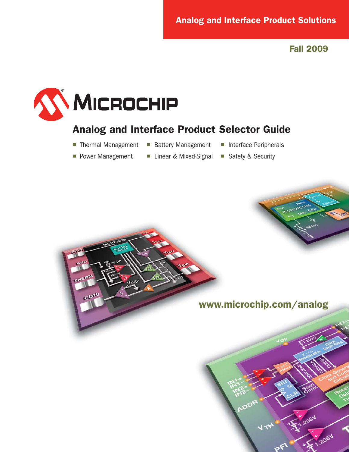# **Analog and Interface Product Solutions**

**Fall 2009**



# **Analog and Interface Product Selector Guide**

- Thermal Management Battery Management Interface Peripherals
	-
- 

- 
- Power Management Linear & Mixed-Signal Safety & Security
- 

**www.microchip.com/analog**

2051

2051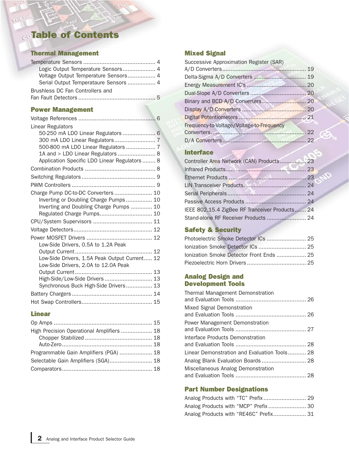# **Table of Contents**

#### **Thermal Management**

 $(11)$ 

| Logic Output Temperature Sensors 4 |  |
|------------------------------------|--|
|                                    |  |
|                                    |  |
| Brushless DC Fan Controllers and   |  |
|                                    |  |

## **Power Management**

| 50-250 mA LDO Linear Regulators  6            |
|-----------------------------------------------|
|                                               |
| 500-800 mA LDO Linear Regulators  7           |
| 1A and > LDO Linear Regulators  8             |
| Application Specific LDO Linear Regulators  8 |
|                                               |
|                                               |
|                                               |
| Charge Pump DC-to-DC Converters  10           |
| Inverting or Doubling Charge Pumps 10         |
| Inverting and Doubling Charge Pumps  10       |
| Regulated Charge Pumps 10                     |
|                                               |
|                                               |
|                                               |
|                                               |
|                                               |
| Low-Side Drivers, 1.5A Peak Output Current 12 |
|                                               |
|                                               |
| High-Side/Low-Side Drivers  13                |
| Synchronous Buck High-Side Drivers 13         |
|                                               |
|                                               |
|                                               |

### **Linear**

| High Precision Operational Amplifiers  18 |  |
|-------------------------------------------|--|
|                                           |  |
|                                           |  |
| Programmable Gain Amplifiers (PGA)  18    |  |
| Selectable Gain Amplifiers (SGA) 18       |  |
|                                           |  |
|                                           |  |

### **Mixed Signal**

| Successive Approximation Register (SAR)   |  |
|-------------------------------------------|--|
|                                           |  |
| Delta-Sigma A/D Converters  19            |  |
|                                           |  |
|                                           |  |
|                                           |  |
|                                           |  |
|                                           |  |
| Frequency-to-Voltage/Voltage-to-Frequency |  |
|                                           |  |
|                                           |  |

## **Interface**

| Controller Area Network (CAN) Products 23      |  |
|------------------------------------------------|--|
|                                                |  |
|                                                |  |
|                                                |  |
|                                                |  |
|                                                |  |
| IEEE 802.15.4 ZigBee RF Tranceiver Products 24 |  |
|                                                |  |

# **Safety & Security**

| Photoelectric Smoke Detector ICs  25     |  |
|------------------------------------------|--|
| Ionization Smoke Detector ICs  25        |  |
| lonization Smoke Detector Front Ends  25 |  |
|                                          |  |

#### **Analog Design and Development Tools**

| Thermal Management Demonstration             |  |
|----------------------------------------------|--|
| Mixed Signal Demonstration                   |  |
| Power Management Demonstration               |  |
| Interface Products Demonstration             |  |
| Linear Demonstration and Evaluation Tools 28 |  |
| Analog Blank Evaluation Boards 28            |  |
| Miscellaneous Analog Demonstration           |  |

## **Part Number Designations**

| Analog Products with "MCP" Prefix 30   |  |
|----------------------------------------|--|
| Analog Products with "RE46C" Prefix 31 |  |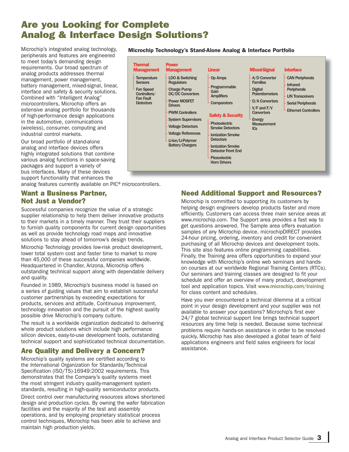# **Are you Looking for Complete Analog & Interface Design Solutions?**

Microchip's integrated analog technology, peripherals and features are engineered to meet today's demanding design requirements. Our broad spectrum of analog products addresses thermal management, power management, battery management, mixed-signal, linear, interface and safety & security solutions. Combined with "Intelligent Analog" microcontrollers, Microchip offers an extensive analog portfolio for thousands of high-performance design applications in the automotive, communications (wireless), consumer, computing and industrial control markets.

Our broad portfolio of stand-alone analog and interface devices offers highly integrated solutions that combine various analog functions in space-saving packages and support a variety of bus interfaces. Many of these devices support functionality that enhances the

analog features currently available on PIC<sup>®</sup> microcontrollers.

### **Want a Business Partner, Not Just a Vendor?**

Successful companies recognize the value of a strategic supplier relationship to help them deliver innovative products to their markets in a timely manner. They trust their suppliers to furnish quality components for current design opportunities as well as provide technology road maps and innovative solutions to stay ahead of tomorrow's design trends.

Microchip Technology provides low-risk product development, lower total system cost and faster time to market to more than 45,000 of these successful companies worldwide. Headquartered in Chandler, Arizona, Microchip offers outstanding technical support along with dependable delivery and quality.

Founded in 1989, Microchip's business model is based on a series of guiding values that aim to establish successful customer partnerships by exceeding expectations for products, services and attitude. Continuous improvement, technology innovation and the pursuit of the highest quality possible drive Microchip's company culture.

The result is a worldwide organization dedicated to delivering whole product solutions which include high performance silicon devices, easy-to-use development tools, outstanding technical support and sophisticated technical documentation.

## **Are Quality and Delivery a Concern?**

Microchip's quality systems are certified according to the International Organization for Standards/Technical Specification (ISO/TS)-16949:2002 requirements. This demonstrates that the Company's quality systems meet the most stringent industry quality-management system standards, resulting in high-quality semiconductor products.

Direct control over manufacturing resources allows shortened design and production cycles. By owning the wafer fabrication facilities and the majority of the test and assembly operations, and by employing proprietary statistical process control techniques, Microchip has been able to achieve and maintain high production yields.

#### **Microchip Technology's Stand-Alone Analog & Interface Portfolio**



## **Need Additional Support and Resources?**

Microchip is committed to supporting its customers by helping design engineers develop products faster and more efficiently. Customers can access three main service areas at www.microchip.com. The Support area provides a fast way to get questions answered. The Sample area offers evaluation samples of any Microchip device. microchipDIRECT provides 24-hour pricing, ordering, inventory and credit for convenient purchasing of all Microchip devices and development tools. This site also features online programming capabilities. Finally, the Training area offers opportunities to expand your knowledge with Microchip's online web seminars and handson courses at our worldwide Regional Training Centers (RTCs). Our seminars and training classes are designed to fit your schedule and offer an overview of many product, development tool and application topics. Visit www.microchip.com/training for class content and schedules.

Have you ever encountered a technical dilemma at a critical point in your design development and your supplier was not available to answer your questions? Microchip's first ever 24/7 global technical support line brings technical support resources any time help is needed. Because some technical problems require hands-on assistance in order to be resolved quickly, Microchip has also developed a global team of field applications engineers and field sales engineers for local assistance.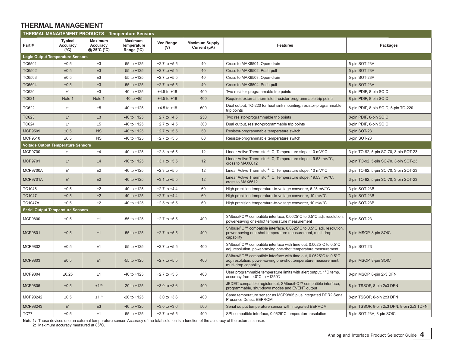## **THERMAL MANAGEMENT**

| <b>THERMAL MANAGEMENT PRODUCTS - Temperature Sensors</b> |                                             |                                           |                                                    |                  |                                       |                                                                                                                                                                           |                                            |  |  |
|----------------------------------------------------------|---------------------------------------------|-------------------------------------------|----------------------------------------------------|------------------|---------------------------------------|---------------------------------------------------------------------------------------------------------------------------------------------------------------------------|--------------------------------------------|--|--|
| Part#                                                    | <b>Typical</b><br>Accuracy<br>$(^{\circ}C)$ | <b>Maximum</b><br>Accuracy<br>@ 25°C (°C) | <b>Maximum</b><br><b>Temperature</b><br>Range (°C) | Vcc Range<br>(V) | <b>Maximum Supply</b><br>Current (µA) | <b>Features</b>                                                                                                                                                           | Packages                                   |  |  |
| <b>Logic Output Temperature Sensors</b>                  |                                             |                                           |                                                    |                  |                                       |                                                                                                                                                                           |                                            |  |  |
| TC6501                                                   | ±0.5                                        | ±3                                        | $-55$ to $+125$                                    | $+2.7$ to $+5.5$ | 40                                    | Cross to MAX6501, Open-drain                                                                                                                                              | 5-pin SOT-23A                              |  |  |
| <b>TC6502</b>                                            | ±0.5                                        | ±3                                        | $-55$ to $+125$                                    | $+2.7$ to $+5.5$ | 40                                    | Cross to MAX6502, Push-pull                                                                                                                                               | 5-pin SOT-23A                              |  |  |
| TC6503                                                   | ±0.5                                        | ±3                                        | $-55$ to $+125$                                    | $+2.7$ to $+5.5$ | 40                                    | Cross to MAX6503, Open-drain                                                                                                                                              | 5-pin SOT-23A                              |  |  |
| <b>TC6504</b>                                            | ±0.5                                        | ±3                                        | $-55$ to $+125$                                    | $+2.7$ to $+5.5$ | 40                                    | Cross to MAX6504, Push-pull                                                                                                                                               | 5-pin SOT-23A                              |  |  |
| <b>TC620</b>                                             | ±1                                          | ±3                                        | $-40$ to $+125$                                    | $+4.5$ to $+18$  | 400                                   | Two resistor-programmable trip points                                                                                                                                     | 8-pin PDIP, 8-pin SOIC                     |  |  |
| <b>TC621</b>                                             | Note 1                                      | Note 1                                    | $-40$ to $+85$                                     | $+4.5$ to $+18$  | 400                                   | Requires external thermistor, resistor-programmable trip points                                                                                                           | 8-pin PDIP, 8-pin SOIC                     |  |  |
| TC622                                                    | ±1                                          | ±5                                        | $-40$ to $+125$                                    | $+4.5$ to $+18$  | 600                                   | Dual output, TO-220 for heat sink mounting, resistor-programmable<br>trip points                                                                                          | 8-pin PDIP, 8-pin SOIC, 5-pin TO-220       |  |  |
| <b>TC623</b>                                             | ±1                                          | ±3                                        | $-40$ to $+125$                                    | $+2.7$ to $+4.5$ | 250                                   | Two resistor-programmable trip points                                                                                                                                     | 8-pin PDIP, 8-pin SOIC                     |  |  |
| <b>TC624</b>                                             | ±1                                          | ±5                                        | $-40$ to $+125$                                    | $+2.7$ to $+4.5$ | 300                                   | Dual output, resistor-programmable trip points                                                                                                                            | 8-pin PDIP, 8-pin SOIC                     |  |  |
| <b>MCP9509</b>                                           | ±0.5                                        | <b>NS</b>                                 | $-40$ to $+125$                                    | $+2.7$ to $+5.5$ | 50                                    | Resistor-programmable temperature switch                                                                                                                                  | 5-pin SOT-23                               |  |  |
| MCP9510                                                  | ±0.5                                        | <b>NS</b>                                 | $-40$ to $+125$                                    | $+2.7$ to $+5.5$ | 80                                    | Resistor-programmable temperature switch                                                                                                                                  | 6-pin SOT-23                               |  |  |
| <b>Voltage Output Temperature Sensors</b>                |                                             |                                           |                                                    |                  |                                       |                                                                                                                                                                           |                                            |  |  |
| <b>MCP9700</b>                                           | ±1                                          | ±4                                        | $-40$ to $+125$                                    | $+2.3$ to $+5.5$ | 12                                    | Linear Active Thermistor® IC, Temperature slope: 10 mV/°C                                                                                                                 | 3-pin TO-92, 5-pin SC-70, 3-pin SOT-23     |  |  |
| <b>MCP9701</b>                                           | ±1                                          | ±4                                        | $-10$ to $+125$                                    | $+3.1$ to $+5.5$ | 12                                    | Linear Active Thermistor® IC, Temperature slope: 19.53 mV/°C,<br>cross to MAX6612                                                                                         | 3-pin TO-92, 5-pin SC-70, 3-pin SOT-23     |  |  |
| <b>MCP9700A</b>                                          | ±1                                          | ±2                                        | $-40$ to $+125$                                    | $+2.3$ to $+5.5$ | 12                                    | Linear Active Thermistor® IC, Temperature slope: 10 mV/°C                                                                                                                 | 3-pin TO-92, 5-pin SC-70, 3-pin SOT-23     |  |  |
| <b>MCP9701A</b>                                          | ±1                                          | ±2                                        | $-40$ to $+125$                                    | $+3.1$ to $+5.5$ | 12                                    | Linear Active Thermistor® IC, Temperature slope: 19.53 mV/°C,<br>cross to MAX6612                                                                                         | 3-pin TO-92, 5-pin SC-70, 3-pin SOT-23     |  |  |
| <b>TC1046</b>                                            | ±0.5                                        | ±2                                        | $-40$ to $+125$                                    | $+2.7$ to $+4.4$ | 60                                    | High precision temperature-to-voltage converter, 6.25 mV/°C                                                                                                               | 3-pin SOT-23B                              |  |  |
| <b>TC1047</b>                                            | ±0.5                                        | ±2                                        | $-40$ to $+125$                                    | $+2.7$ to $+4.4$ | 60                                    | High precision temperature-to-voltage converter, 10 mV/°C                                                                                                                 | 3-pin SOT-23B                              |  |  |
| <b>TC1047A</b>                                           | ±0.5                                        | ±2                                        | $-40$ to $+125$                                    | $+2.5$ to $+5.5$ | 60                                    | High precision temperature-to-voltage converter, 10 mV/°C                                                                                                                 | 3-pin SOT-23B                              |  |  |
| <b>Serial Output Temperature Sensors</b>                 |                                             |                                           |                                                    |                  |                                       |                                                                                                                                                                           |                                            |  |  |
| <b>MCP9800</b>                                           | ±0.5                                        | ±1                                        | $-55$ to $+125$                                    | $+2.7$ to $+5.5$ | 400                                   | SMbus/l <sup>2</sup> C™ compatible interface, 0.0625°C to 0.5°C adj. resolution,<br>power-saving one-shot temperature measurement                                         | 5-pin SOT-23                               |  |  |
| <b>MCP9801</b>                                           | ±0.5                                        | ±1                                        | $-55$ to $+125$                                    | $+2.7$ to $+5.5$ | 400                                   | SMbus/l <sup>2</sup> C™ compatible interface, 0.0625°C to 0.5°C adj. resolution,<br>power-saving one-shot temperature measurement, multi-drop<br>capability               | 8-pin MSOP, 8-pin SOIC                     |  |  |
| MCP9802                                                  | ±0.5                                        | ±1                                        | $-55$ to $+125$                                    | $+2.7$ to $+5.5$ | 400                                   | SMbus/l <sup>2</sup> C™ compatible interface with time out, 0.0625°C to 0.5°C<br>adj. resolution, power-saving one-shot temperature measurement                           | 5-pin SOT-23                               |  |  |
| <b>MCP9803</b>                                           | ±0.5                                        | ±1                                        | $-55$ to $+125$                                    | $+2.7$ to $+5.5$ | 400                                   | SMbus/l <sup>2</sup> C™ compatible interface with time out, 0.0625°C to 0.5°C<br>adj. resolution, power-saving one-shot temperature measurement,<br>multi-drop capability | 8-pin MSOP, 8-pin SOIC                     |  |  |
| MCP9804                                                  | ±0.25                                       | ±1                                        | $-40$ to $+125$                                    | $+2.7$ to $+5.5$ | 400                                   | User programmable temperature limits with alert output, 1°C temp.<br>accuracy from -40°C to +125°C                                                                        | 8-pin MSOP, 8-pin 2x3 DFN                  |  |  |
| <b>MCP9805</b>                                           | ±0.5                                        | ±1 <sup>(2)</sup>                         | $-20$ to $+125$                                    | $+3.0$ to $+3.6$ | 400                                   | JEDEC compatible register set, SMbus/l <sup>2</sup> C™ compatible interface,<br>8-pin TSSOP, 8-pin 2x3 DFN<br>programmable, shut-down modes and EVENT output              |                                            |  |  |
| MCP98242                                                 | ±0.5                                        | $±1^{(2)}$                                | $-20$ to $+125$                                    | $+3.0$ to $+3.6$ | 400                                   | Same temperature sensor as MCP9805 plus integrated DDR2 Serial<br>Presence Detect EEPROM                                                                                  | 8-pin TSSOP, 8-pin 2x3 DFN                 |  |  |
| MCP98243                                                 | ±1                                          | ±3                                        | $-40$ to $+125$                                    | $+3.0$ to $+3.6$ | 500                                   | Serial output temperature sensor with integrated EEPROM                                                                                                                   | 8-pin TSSOP, 8-pin 2x3 DFN, 8-pin 2x3 TDFN |  |  |
| TC77                                                     | ±0.5                                        | ±1                                        | $-55$ to $+125$                                    | $+2.7$ to $+5.5$ | 400                                   | SPI compatible interface, 0.0625°C temperature resolution                                                                                                                 | 5-pin SOT-23A, 8-pin SOIC                  |  |  |

**Note 1:** These devices use an external temperature sensor. Accuracy of the total solution is a function of the accuracy of the external sensor.

**2:** Maximum accuracy measured at 85°C.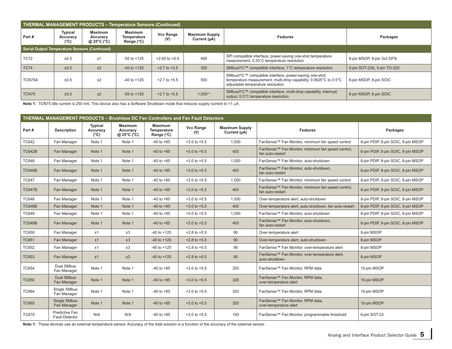| <b>THERMAL MANAGEMENT PRODUCTS - Temperature Sensors (Continued)</b> |                                    |                                                               |                                             |                         |                                       |                                                                                                                                                                                                         |                        |  |  |  |
|----------------------------------------------------------------------|------------------------------------|---------------------------------------------------------------|---------------------------------------------|-------------------------|---------------------------------------|---------------------------------------------------------------------------------------------------------------------------------------------------------------------------------------------------------|------------------------|--|--|--|
| Part#                                                                | <b>Typical</b><br>Accuracy<br>(°C) | <b>Maximum</b><br>Accuracy<br>@ 25 $\degree$ C ( $\degree$ C) | <b>Maximum</b><br>Temperature<br>Range (°C) | <b>Vcc Range</b><br>(V) | <b>Maximum Supply</b><br>Current (µA) | <b>Features</b>                                                                                                                                                                                         | Packages               |  |  |  |
| Serial Output Temperature Sensors (Continued)                        |                                    |                                                               |                                             |                         |                                       |                                                                                                                                                                                                         |                        |  |  |  |
| <b>TC72</b>                                                          | ±0.5                               | ±1                                                            | $-55$ to $+125$                             | $+2.65$ to $+5.5$       | 400                                   | SPI compatible interface, power-saving one-shot temperature<br>8-pin MSOP, 8-pin 3x3 DFN<br>measurement, 0.25°C temperature resolution                                                                  |                        |  |  |  |
| <b>TC74</b>                                                          | ±0.5                               | ±2                                                            | $-40$ to $+125$                             | $+2.7$ to $+5.5$        | 350                                   | SMbus/l <sup>2</sup> C™ compatible interface, 1°C temperature resolution<br>5-pin SOT-23A, 5-pin TO-220                                                                                                 |                        |  |  |  |
| TCN75A                                                               | ±0.5                               | ±2                                                            | $-40$ to $+125$                             | $+2.7$ to $+5.5$        | 500                                   | SMbus/l <sup>2</sup> C™ compatible interface, power-saving one-shot<br>temperature measurement, multi-drop capability, 0.0625°C to 0.5°C<br>8-pin MSOP, 8-pin SOIC<br>adjustable temperature resolution |                        |  |  |  |
| TCN75                                                                | ±0.5                               | ±2                                                            | $-55$ to $+125$                             | $+2.7$ to $+5.5$        | $1,000^{(1)}$                         | SMbus/l <sup>2</sup> C™ compatible interface, multi-drop capability, interrupt<br>output, 0.5°C temperature resolution                                                                                  | 8-pin MSOP, 8-pin SOIC |  |  |  |

Note 1: TCN75 idle current is 250 mA. This device also has a Software Shutdown mode that reduces supply current to <1 µA.

| <b>THERMAL MANAGEMENT PRODUCTS - Brushless DC Fan Controllers and Fan Fault Detectors</b> |                                         |                                             |                                           |                                                    |                         |                                       |                                                                       |                                    |  |
|-------------------------------------------------------------------------------------------|-----------------------------------------|---------------------------------------------|-------------------------------------------|----------------------------------------------------|-------------------------|---------------------------------------|-----------------------------------------------------------------------|------------------------------------|--|
| Part#                                                                                     | <b>Description</b>                      | <b>Typical</b><br>Accuracy<br>$(^{\circ}C)$ | <b>Maximum</b><br>Accuracy<br>@ 25°C (°C) | <b>Maximum</b><br><b>Temperature</b><br>Range (°C) | <b>Vcc Range</b><br>(V) | <b>Maximum Supply</b><br>Current (µA) | <b>Features</b>                                                       | Packages                           |  |
| <b>TC642</b>                                                                              | Fan Manager                             | Note 1                                      | Note 1                                    | $-40$ to $+85$                                     | $+3.0$ to $+5.5$        | 1.000                                 | FanSense™ Fan Monitor, minimum fan speed control                      | 8-pin PDIP, 8-pin SOIC, 8-pin MSOP |  |
| <b>TC642B</b>                                                                             | Fan Manager                             | Note 1                                      | Note 1                                    | $-40$ to $+85$                                     | $+3.0$ to $+5.5$        | 400                                   | FanSense™ Fan Monitor, minimum fan speed control,<br>fan auto-restart | 8-pin PDIP, 8-pin SOIC, 8-pin MSOP |  |
| <b>TC646</b>                                                                              | Fan Manager                             | Note 1                                      | Note 1                                    | $-40$ to $+85$                                     | $+3.0$ to $+5.5$        | 1,000                                 | FanSense™ Fan Monitor, auto-shutdown                                  | 8-pin PDIP, 8-pin SOIC, 8-pin MSOP |  |
| <b>TC646B</b>                                                                             | Fan Manager                             | Note 1                                      | Note 1                                    | $-40$ to $+85$                                     | $+3.0$ to $+5.5$        | 400                                   | FanSense™ Fan Monitor, auto-shutdown,<br>fan auto-restart             | 8-pin PDIP, 8-pin SOIC, 8-pin MSOP |  |
| <b>TC647</b>                                                                              | Fan Manager                             | Note 1                                      | Note 1                                    | $-40$ to $+85$                                     | $+3.0$ to $+5.5$        | 1,000                                 | FanSense™ Fan Monitor, minimum fan speed control                      | 8-pin PDIP, 8-pin SOIC, 8-pin MSOP |  |
| <b>TC647B</b>                                                                             | Fan Manager                             | Note 1                                      | Note 1                                    | $-40$ to $+85$                                     | $+3.0$ to $+5.5$        | 400                                   | FanSense™ Fan Monitor, minimum fan speed control,<br>fan auto-restart | 8-pin PDIP, 8-pin SOIC, 8-pin MSOP |  |
| <b>TC648</b>                                                                              | Fan Manager                             | Note 1                                      | Note 1                                    | $-40$ to $+85$                                     | $+3.0$ to $+5.5$        | 1,000                                 | Over-temperature alert, auto-shutdown                                 | 8-pin PDIP, 8-pin SOIC, 8-pin MSOP |  |
| <b>TC648B</b>                                                                             | Fan Manager                             | Note 1                                      | Note 1                                    | $-40$ to $+85$                                     | $+3.0$ to $+5.5$        | 400                                   | Over-temperature alert, auto-shutdown, fan auto-restart               | 8-pin PDIP, 8-pin SOIC, 8-pin MSOP |  |
| <b>TC649</b>                                                                              | Fan Manager                             | Note 1                                      | Note 1                                    | $-40$ to $+85$                                     | $+3.0$ to $+5.5$        | 1,000                                 | FanSense™ Fan Monitor, auto-shutdown                                  | 8-pin PDIP, 8-pin SOIC, 8-pin MSOP |  |
| <b>TC649B</b>                                                                             | Fan Manager                             | Note 1                                      | Note 1                                    | $-40$ to $+85$                                     | $+3.0$ to $+5.5$        | 400                                   | FanSense <sup>™</sup> Fan Monitor, auto-shutdown,<br>fan auto-restart | 8-pin PDIP, 8-pin SOIC, 8-pin MSOP |  |
| <b>TC650</b>                                                                              | Fan Manager                             | ±1                                          | ±3                                        | $-40$ to $+125$                                    | $+2.8$ to $+5.5$        | 90                                    | Over-temperature alert                                                | 8-pin MSOP                         |  |
| <b>TC651</b>                                                                              | Fan Manager                             | ±1                                          | ±3                                        | $-40$ to $+125$                                    | $+2.8$ to $+5.5$        | 90                                    | Over-temperature alert, auto-shutdown                                 | 8-pin MSOP                         |  |
| <b>TC652</b>                                                                              | Fan Manager                             | ±1                                          | ±3                                        | $-40$ to $+125$                                    | $+2.8$ to $+5.5$        | 90                                    | FanSense™ Fan Monitor, over-temperature alert                         | 8-pin MSOP                         |  |
| <b>TC653</b>                                                                              | Fan Manager                             | ±1                                          | ±3                                        | $-40$ to $+125$                                    | $+2.8$ to $+5.5$        | 90                                    | FanSense™ Fan Monitor, over-temperature alert,<br>auto-shutdown       | 8-pin MSOP                         |  |
| <b>TC654</b>                                                                              | Dual SMbus<br>Fan Manager               | Note 1                                      | Note 1                                    | $-40$ to $+85$                                     | $+3.0$ to $+5.5$        | 320                                   | FanSense™ Fan Monitor, RPM data                                       | 10-pin MSOP                        |  |
| <b>TC655</b>                                                                              | <b>Dual SMbus</b><br>Fan Manager        | Note 1                                      | Note 1                                    | $-40$ to $+85$                                     | $+3.0$ to $+5.5$        | 320                                   | FanSense™ Fan Monitor, RPM data,<br>over-temperature alert            | 10-pin MSOP                        |  |
| <b>TC664</b>                                                                              | Single SMbus<br>Fan Manager             | Note 1                                      | Note 1                                    | $-40$ to $+85$                                     | $+3.0$ to $+5.5$        | 320                                   | FanSense™ Fan Monitor. RPM data<br>10-pin MSOP                        |                                    |  |
| <b>TC665</b>                                                                              | <b>Single SMbus</b><br>Fan Manager      | Note 1                                      | Note 1                                    | $-40$ to $+85$                                     | $+3.0$ to $+5.5$        | 320                                   | FanSense™ Fan Monitor, RPM data,<br>over-temperature alert            | 10-pin MSOP                        |  |
| <b>TC670</b>                                                                              | Predictive Fan<br><b>Fault Detector</b> | N/A                                         | N/A                                       | $-40$ to $+85$                                     | $+3.0$ to $+5.5$        | 150                                   | FanSense™ Fan Monitor, programmable threshold                         | 6-pin SOT-23                       |  |

**Note 1:** These devices use an external temperature sensor. Accuracy of the total solution is a function of the accuracy of the external sensor.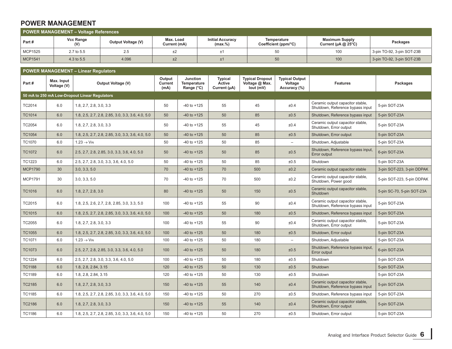## **POWER MANAGEMENT**

| POWER MANAGEMENT - Voltage References |                  |                    |                           |                                       |                                     |                                                    |                            |  |  |  |
|---------------------------------------|------------------|--------------------|---------------------------|---------------------------------------|-------------------------------------|----------------------------------------------------|----------------------------|--|--|--|
| Part#                                 | Vcc Range<br>(V) | Output Voltage (V) | Max. Load<br>Current (mA) | <b>Initial Accuracy</b><br>$(max,\%)$ | Temperature<br>Coefficient (ppm/°C) | <b>Maximum Supply</b><br>Current ( $\mu$ A @ 25°C) | Packages                   |  |  |  |
| MCP1525                               | 2.7 to 5.5       | 2.5                | ±2                        |                                       |                                     | 100                                                | 3-pin TO-92, 3-pin SOT-23B |  |  |  |
| <b>MCP1541</b>                        | 4.3 to 5.5       | 4.096              | ±2                        | ±1                                    | 50                                  | 100                                                | 3-pin TO-92, 3-pin SOT-23B |  |  |  |

## **POWER MANAGEMENT – Linear Regulators Part # Max. Input Voltage (V) Output Voltage (V) Output Current (mA) Junction Temperature Range (°C) Typical Active Current (μA) Typical Dropout Voltage @ Max. Iout (mV) Typical Output Voltage Accuracy (%) Features Packages 50 mA to 250 mA Low-Dropout Linear Regulators** TC2014 6.0 1.8, 2.7, 2.8, 3.0, 3.3 60 50 50 50 50 50 50 55 45 ±0.4 Ceramic output capacitor stable, 5-pin SOT-23A TC1014 6.0 1.8, 2.5, 2.7, 2.8, 2.85, 3.0, 3.3, 3.6, 4.0, 5.0 50 40 to +125 50 50 40 50 50 50 50 50 50 500 500 40.5 TC2054 6.0 1.8, 2.7, 2.8, 3.0, 3.3 60 50 50 50 50 50 50 55 45 ±0.4 Ceramic output capacitor stable, 5-pin SOT-23A TC1054 6.0 1.8, 2.5, 2.7, 2.8, 2.85, 3.0, 3.3, 3.6, 4.0, 5.0 50 -40 to +125 50 85 ±0.5 Shutdown, Error output 5-pin SOT-23A TC1070 6.0 $1.23 \rightarrow V_{IN}$  50 -40 to +125 50 85 – Shutdown, Adjustable 5-pin SOT-23A TC1072 6.0 2.5, 2.7, 2.8, 2.85, 3.0, 3.3, 3.6, 4.0, 5.0 50 -40 to +125 50 50 -50 50 50 50 50 50 50 50 50 50 50<br>Error output 6-pin SOT-23A TC1223 6.0 2.5, 2.7, 2.8, 3.0, 3.3, 3.6, 4.0, 5.0 50 40 to +125 50 50 85 ±0.5 Shutdown 5-pin SOT-23A MCP1790 30 3.0, 3.3, 5.0 70 40 to +125 70 500 500 ±0.2 Ceramic output capacitor stable 3-pin SOT-223, 3-pin DDPAK MCP1791 30 3.0, 3.3, 5.0 70 -40 to +125 70 500 ±0.2 Ceramic output capacitor stable, 5-pin SOT-223, 5-pin DDPAK<br>Shutdown, Power good 5-pin SOT-223, 5-pin DDPAK TC1016 6.0 1.8, 2.7, 2.8, 3.0 80 -40 to +125 50 150 150 ±0.5 Ceramic output capacitor stable, Ceramic output capacitor stable,<br>Shutdown TC2015 6.0 1.8, 2.5, 2.6, 2.7, 2.8, 2.85, 3.0, 3.3, 5.0 100 -40 to +125 55 90 ±0.4 Ceramic output capacitor stable, 5-pin SOT-23A TC1015 6.0 1.8, 2.5, 2.7, 2.8, 2.85, 3.0, 3.3, 3.6, 4.0, 5.0 100 40 to +125 50 180 180 ±0.5 Shutdown, Reference bypass input 5-pin SOT-23A TC2055 6.0 1.8, 2.7, 2.8, 3.0, 3.3 100 -40 to +125 55 90 ±0.4 Ceramic output capacitor stable, 5-pin SOT-23A TC1055 6.0 1.8, 2.5, 2.7, 2.8, 2.85, 3.0, 3.3, 3.6, 4.0, 5.0 1 100 40 to +125 50 50 180 50 180 50 180 50 180 to 180 5-pin SOT-23A  $TC1071$  6.0  $1.23 \rightarrow V_{IN}$ 100  $-40$  to +125  $\vert$  50 180  $\vert$  50 180  $\vert$  5-pin SOT-23A TC1073 6.0 2.5, 2.7, 2.8, 2.85, 3.0, 3.3, 3.6, 4.0, 5.0 100 -40 to +125 50 180 ±0.5 Shutdown, Reference bypass input, Reference by ass input, Reference by ass input, Reference by ass input, Reference 5.23A TC1224 6.0 2.5, 2.7, 2.8, 3.0, 3.3, 3.6, 4.0, 5.0 100 40to +125 50 180 ±0.5 Shutdown 5-pin SOT-23A TC1188 | 6.0 |1.8, 2.8, 2.84, 3.15 | 120 | -40 to +125 | 50 | 130 | ±0.5 |Shutdown | 5-pin SOT-23A TC1189 | 6.0 |1.8, 2.8, 2.84, 3.15 | 120 | -40 to +125 | 50 | 130 | ±0.5 |Shutdown | 5-pin SOT-23A TC2185 6.0 1.8, 2.7, 2.8, 3.0, 3.3 150 -40 to +125 55 140 ±0.4 Ceramic output capacitor stable, 5-pin SOT-23A TC1185 6.0 1.8, 2.5, 2.7, 2.8, 2.85, 3.0, 3.3, 3.6, 4.0, 5.0 150 40 to +125 50 270 ±0.5 Shutdown, Reference bypass input 5-pin SOT-23A TC2186 6.0 1.8, 2.7, 2.8, 3.0, 3.3 150 150 -40 to +125 55 140 ±0.4 Ceramic output capacitor stable, 5-pin SOT-23A TC1186 6.0 1.8, 2.5, 2.7, 2.8, 2.85, 3.0, 3.3, 3.6, 4.0, 5.0 150 40 to +125 50 50 270 ±0.5 Shutdown, Error output 5-pin SOT-23A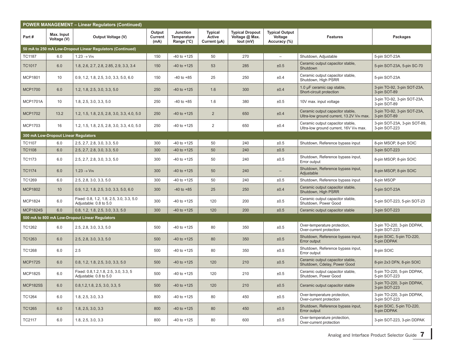|                 | <b>POWER MANAGEMENT - Linear Regulators (Continued)</b> |                                                                    |                           |                                              |                                          |                                                       |                                                  |                                                                              |                                               |  |  |  |  |
|-----------------|---------------------------------------------------------|--------------------------------------------------------------------|---------------------------|----------------------------------------------|------------------------------------------|-------------------------------------------------------|--------------------------------------------------|------------------------------------------------------------------------------|-----------------------------------------------|--|--|--|--|
| Part#           | Max. Input<br>Voltage (V)                               | Output Voltage (V)                                                 | Output<br>Current<br>(mA) | Junction<br><b>Temperature</b><br>Range (°C) | <b>Typical</b><br>Active<br>Current (µA) | <b>Typical Dropout</b><br>Voltage @ Max.<br>lout (mV) | <b>Typical Output</b><br>Voltage<br>Accuracy (%) | <b>Features</b>                                                              | Packages                                      |  |  |  |  |
|                 |                                                         | 50 mA to 250 mA Low-Dropout Linear Regulators (Continued)          |                           |                                              |                                          |                                                       |                                                  |                                                                              |                                               |  |  |  |  |
| <b>TC1187</b>   | 6.0                                                     | $1.23 \rightarrow$ V <sub>IN</sub>                                 | 150                       | $-40$ to $+125$                              | 50                                       | 270                                                   | $\overline{\phantom{0}}$                         | Shutdown, Adiustable                                                         | 5-pin SOT-23A                                 |  |  |  |  |
| <b>TC1017</b>   | 6.0                                                     | 1.8, 2.6, 2.7, 2.8, 2.85, 2.9, 3.3, 3.4                            | 150                       | $-40$ to $+125$                              | 53                                       | 285                                                   | ±0.5                                             | Ceramic output capacitor stable,<br>Shutdown                                 | 5-pin SOT-23A, 5-pin SC-70                    |  |  |  |  |
| <b>MCP1801</b>  | 10 <sup>°</sup>                                         | $0.9, 1.2, 1.8, 2.5, 3.0, 3.3, 5.0, 6.0$                           | 150                       | $-40$ to $+85$                               | 25                                       | 250                                                   | ±0.4                                             | Ceramic output capacitor stable,<br>Shutdown, High PSRR                      | 5-pin SOT-23A                                 |  |  |  |  |
| <b>MCP1700</b>  | 6.0                                                     | 1.2, 1.8, 2.5, 3.0, 3.3, 5.0                                       | 250                       | $-40$ to $+125$                              | 1.6                                      | 300                                                   | ±0.4                                             | 1.0 µF ceramic cap stable,<br>Short-circuit protection                       | 3-pin TO-92, 3-pin SOT-23A,<br>3-pin SOT-89   |  |  |  |  |
| <b>MCP1701A</b> | 10 <sup>°</sup>                                         | 1.8, 2.5, 3.0, 3.3, 5.0                                            | 250                       | $-40$ to $+85$                               | 1.6                                      | 380                                                   | ±0.5                                             | 10V max. input voltage                                                       | 3-pin TO-92, 3-pin SOT-23A.<br>3-pin SOT-89   |  |  |  |  |
| <b>MCP1702</b>  | 13.2                                                    | 1.2, 1.5, 1.8, 2.5, 2.8, 3.0, 3.3, 4.0, 5.0                        | 250                       | $-40$ to $+125$                              | $\overline{2}$                           | 650                                                   | ±0.4                                             | Ceramic output capacitor stable,<br>Ultra-low ground current, 13.2V VIN max. | 3-pin TO-92, 3-pin SOT-23A,<br>3-pin SOT-89   |  |  |  |  |
| <b>MCP1703</b>  | 16                                                      | 1.2, 1.5, 1.8, 2.5, 2.8, 3.0, 3.3, 4.0, 5.0                        | 250                       | -40 to +125                                  | 2                                        | 650                                                   | ±0.4                                             | Ceramic output capacitor stable,<br>Ultra-low ground current, 16V VIN max.   | 3-pin SOT-23A, 3-pin SOT-89,<br>3-pin SOT-223 |  |  |  |  |
|                 | 300 mA Low-Dropout Linear Regulators                    |                                                                    |                           |                                              |                                          |                                                       |                                                  |                                                                              |                                               |  |  |  |  |
| <b>TC1107</b>   | 6.0                                                     | 2.5, 2.7, 2.8, 3.0, 3.3, 5.0                                       | 300                       | $-40$ to $+125$                              | 50                                       | 240                                                   | ±0.5                                             | Shutdown, Reference bypass input                                             | 8-pin MSOP, 8-pin SOIC                        |  |  |  |  |
| <b>TC1108</b>   | 6.0                                                     | 2.5, 2.7, 2.8, 3.0, 3.3, 5.0                                       | 300                       | $-40$ to $+125$                              | 50                                       | 240                                                   | ±0.5                                             |                                                                              | 3-pin SOT-223                                 |  |  |  |  |
| TC1173          | 6.0                                                     | 2.5, 2.7, 2.8, 3.0, 3.3, 5.0                                       | 300                       | $-40$ to $+125$                              | 50                                       | 240                                                   | ±0.5                                             | Shutdown, Reference bypass input,<br>Error output                            | 8-pin MSOP, 8-pin SOIC                        |  |  |  |  |
| <b>TC1174</b>   | 6.0                                                     | $1.23 \rightarrow V_{IN}$                                          | 300                       | $-40$ to $+125$                              | 50                                       | 240                                                   |                                                  | Shutdown, Reference bypass input,<br>Adjustable                              | 8-pin MSOP, 8-pin SOIC                        |  |  |  |  |
| TC1269          | 6.0                                                     | 2.5, 2.8, 3.0, 3.3, 5.0                                            | 300                       | $-40$ to $+125$                              | 50                                       | 240                                                   | ±0.5                                             | Shutdown, Reference bypass input                                             | 8-pin MSOP                                    |  |  |  |  |
| <b>MCP1802</b>  | 10 <sup>°</sup>                                         | 0.9, 1.2, 1.8, 2.5, 3.0, 3.3, 5.0, 6.0                             | 300                       | $-40$ to $+85$                               | 25                                       | 250                                                   | ±0.4                                             | Ceramic output capacitor stable,<br>Shutdown, High PSRR                      | 5-pin SOT-23A                                 |  |  |  |  |
| <b>MCP1824</b>  | 6.0                                                     | Fixed: 0.8, 1.2, 1.8, 2.5, 3.0, 3.3, 5.0<br>Adjustable: 0.8 to 5.0 | 300                       | $-40$ to $+125$                              | 120                                      | 200                                                   | ±0.5                                             | Ceramic output capacitor stable,<br>Shutdown, Power Good                     | 5-pin SOT-223, 5-pin SOT-23                   |  |  |  |  |
| <b>MCP1824S</b> | 6.0                                                     | 0.8, 1.2, 1.8, 2.5, 3.0, 3.3, 5.0                                  | 300                       | $-40$ to $+125$                              | 120                                      | 200                                                   | ±0.5                                             | Ceramic output capacitor stable                                              | 3-pin SOT-223                                 |  |  |  |  |
|                 |                                                         | 500 mA to 800 mA Low-Dropout Linear Regulators                     |                           |                                              |                                          |                                                       |                                                  |                                                                              |                                               |  |  |  |  |
| <b>TC1262</b>   | 6.0                                                     | 2.5, 2.8, 3.0, 3.3, 5.0                                            | 500                       | $-40$ to $+125$                              | 80                                       | 350                                                   | ±0.5                                             | Over-temperature protection,<br>Over-current protection                      | 3-pin TO-220, 3-pin DDPAK,<br>3-pin SOT-223   |  |  |  |  |
| TC1263          | 6.0                                                     | 2.5, 2.8, 3.0, 3.3, 5.0                                            | 500                       | $-40$ to $+125$                              | 80                                       | 350                                                   | ±0.5                                             | Shutdown, Reference bypass input,<br>Error output                            | 8-pin SOIC, 5-pin TO-220,<br>5-pin DDPAK      |  |  |  |  |
| TC1268          | 6.0                                                     | 2.5                                                                | 500                       | -40 to +125                                  | 80                                       | 350                                                   | ±0.5                                             | Shutdown, Reference bypass input,<br>Error output                            | 8-pin SOIC                                    |  |  |  |  |
| <b>MCP1725</b>  | 6.0                                                     | 0.8, 1.2, 1.8, 2.5, 3.0, 3.3, 5.0                                  | 500                       | $-40$ to $+125$                              | 120                                      | 210                                                   | ±0.5                                             | Ceramic output capacitor stable,<br>Shutdown, Cdelay, Power Good             | 8-pin 2x3 DFN, 8-pin SOIC                     |  |  |  |  |
| <b>MCP1825</b>  | 6.0                                                     | Fixed: 0.8, 1.2, 1.8, 2.5, 3.0, 3.3, 5<br>Adjustable: 0.8 to 5.0   | 500                       | $-40$ to $+125$                              | 120                                      | 210                                                   | ±0.5                                             | Ceramic output capacitor stable,<br>Shutdown, Power Good                     | 5-pin TO-220, 5-pin DDPAK,<br>5-pin SOT-223   |  |  |  |  |
| <b>MCP1825S</b> | 6.0                                                     | 0.8, 1.2, 1.8, 2.5, 3.0, 3.3, 5                                    | 500                       | $-40$ to $+125$                              | 120                                      | 210                                                   | ±0.5                                             | Ceramic output capacitor stable                                              | 3-pin TO-220, 3-pin DDPAK,<br>3-pin SOT-223   |  |  |  |  |
| TC1264          | 6.0                                                     | 1.8, 2.5, 3.0, 3.3                                                 | 800                       | $-40$ to $+125$                              | 80                                       | 450                                                   | ±0.5                                             | Over-temperature protection.<br>Over-current protection                      | 3-pin TO-220, 3-pin DDPAK,<br>3-pin SOT-223   |  |  |  |  |
| <b>TC1265</b>   | 6.0                                                     | 1.8, 2.5, 3.0, 3.3                                                 | 800                       | $-40$ to $+125$                              | 80                                       | 450                                                   | ±0.5                                             | Shutdown, Reference bypass input,<br>Error output                            | 8-pin SOIC, 5-pin TO-220,<br>5-pin DDPAK      |  |  |  |  |
| TC2117          | 6.0                                                     | 1.8, 2.5, 3.0, 3.3                                                 | 800                       | $-40$ to $+125$                              | 80                                       | 600                                                   | ±0.5                                             | Over-temperature protection,<br>Over-current protection                      | 3-pin SOT-223, 3-pin DDPAK                    |  |  |  |  |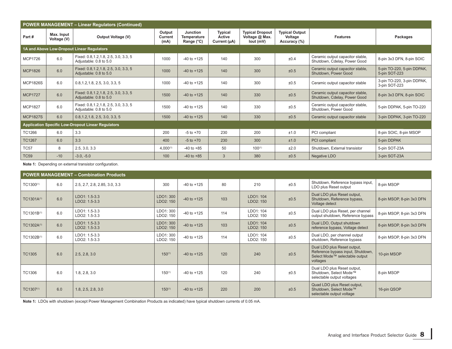|                 |                           | <b>POWER MANAGEMENT - Linear Regulators (Continued)</b>          |                           |                                              |                                   |                                                       |                                                  |                                                                  |                                             |
|-----------------|---------------------------|------------------------------------------------------------------|---------------------------|----------------------------------------------|-----------------------------------|-------------------------------------------------------|--------------------------------------------------|------------------------------------------------------------------|---------------------------------------------|
| Part#           | Max. Input<br>Voltage (V) | <b>Output Voltage (V)</b>                                        | Output<br>Current<br>(mA) | Junction<br><b>Temperature</b><br>Range (°C) | Typical<br>Active<br>Current (µA) | <b>Typical Dropout</b><br>Voltage @ Max.<br>lout (mV) | <b>Typical Output</b><br>Voltage<br>Accuracy (%) | <b>Features</b>                                                  | Packages                                    |
|                 |                           | 1A and Above Low-Dropout Linear Regulators                       |                           |                                              |                                   |                                                       |                                                  |                                                                  |                                             |
| <b>MCP1726</b>  | 6.0                       | Fixed: 0.8, 1.2, 1.8, 2.5, 3.0, 3.3, 5<br>Adjustable: 0.8 to 5.0 | 1000                      | $-40$ to $+125$                              | 140                               | 300                                                   | ±0.4                                             | Ceramic output capacitor stable,<br>Shutdown, Cdelay, Power Good | 8-pin 3x3 DFN, 8-pin SOIC                   |
| <b>MCP1826</b>  | 6.0                       | Fixed: 0.8, 1.2, 1.8, 2.5, 3.0, 3.3, 5<br>Adjustable: 0.8 to 5.0 | 1000                      | $-40$ to $+125$                              | 140                               | 300                                                   | ±0.5                                             | Ceramic output capacitor stable,<br>Shutdown, Power Good         | 5-pin TO-220, 5-pin DDPAK,<br>5-pin SOT-223 |
| <b>MCP1826S</b> | 6.0                       | 0.8, 1.2, 1.8, 2.5, 3.0, 3.3, 5                                  | 1000                      | $-40$ to $+125$                              | 140                               | 300                                                   | ±0.5                                             | Ceramic output capacitor stable                                  | 3-pin TO-220, 3-pin DDPAK,<br>3-pin SOT-223 |
| <b>MCP1727</b>  | 6.0                       | Fixed: 0.8, 1.2, 1.8, 2.5, 3.0, 3.3, 5<br>Adjustable: 0.8 to 5.0 | 1500                      | $-40$ to $+125$                              | 140                               | 330                                                   | ±0.5                                             | Ceramic output capacitor stable,<br>Shutdown, Cdelay, Power Good | 8-pin 3x3 DFN, 8-pin SOIC                   |
| <b>MCP1827</b>  | 6.0                       | Fixed: 0.8, 1.2, 1.8, 2.5, 3.0, 3.3, 5<br>Adjustable: 0.8 to 5.0 | 1500                      | $-40$ to $+125$                              | 140                               | 330                                                   | ±0.5                                             | Ceramic output capacitor stable,<br>Shutdown, Power Good         | 5-pin DDPAK, 5-pin TO-220                   |
| <b>MCP1827S</b> | 6.0                       | 0.8, 1.2, 1.8, 2.5, 3.0, 3.3, 5                                  | 1500                      | $-40$ to $+125$                              | 140                               | 330                                                   | ±0.5                                             | Ceramic output capacitor stable                                  | 3-pin DDPAK, 3-pin TO-220                   |
|                 |                           | <b>Application Specific Low-Dropout Linear Regulators</b>        |                           |                                              |                                   |                                                       |                                                  |                                                                  |                                             |
| TC1266          | 6.0                       | 3.3                                                              | 200                       | $-5$ to $+70$                                | 230                               | 200                                                   | ±1.0                                             | PCI compliant                                                    | 8-pin SOIC, 8-pin MSOP                      |
| <b>TC1267</b>   | 6.0                       | 3.3                                                              | 400                       | $-5$ to $+70$                                | 230                               | 300                                                   | ±1.0                                             | PCI compliant                                                    | 5-pin DDPAK                                 |
| <b>TC57</b>     | 8                         | 2.5, 3.0, 3.3                                                    | $4,000^{(1)}$             | $-40$ to $+85$                               | 50                                | $100^{(1)}$                                           | ±2.0                                             | Shutdown, External transistor                                    | 5-pin SOT-23A                               |
| <b>TC59</b>     | $-10$                     | $-3.0, -5.0$                                                     | 100                       | $-40$ to $+85$                               | 3                                 | 380                                                   | ±0.5                                             | Negative LDO                                                     | 3-pin SOT-23A                               |

Note 1: Depending on external transistor configuration.

|                        | <b>POWER MANAGEMENT - Combination Products</b> |                                |                        |                 |     |                        |      |                                                                                                                |                           |  |  |  |  |
|------------------------|------------------------------------------------|--------------------------------|------------------------|-----------------|-----|------------------------|------|----------------------------------------------------------------------------------------------------------------|---------------------------|--|--|--|--|
| TC1300 <sup>(1)</sup>  | 6.0                                            | 2.5, 2.7, 2.8, 2.85, 3.0, 3.3  | 300                    | $-40$ to $+125$ | 80  | 210                    | ±0.5 | Shutdown, Reference bypass input,<br>LDO plus Reset output                                                     | 8-pin MSOP                |  |  |  |  |
| TC1301A(1)             | 6.0                                            | LDO1: 1.5-3.3<br>LDO2: 1.5-3.3 | LDO1: 300<br>LDO2: 150 | $-40$ to $+125$ | 103 | LDO1: 104<br>LDO2: 150 | ±0.5 | Dual LDO plus Reset output,<br>Shutdown, Reference bypass,<br>Voltage detect                                   | 8-pin MSOP, 8-pin 3x3 DFN |  |  |  |  |
| TC1301B(1)             | 6.0                                            | LDO1: 1.5-3.3<br>LDO2: 1.5-3.3 | LDO1: 300<br>LDO2: 150 | $-40$ to $+125$ | 114 | LDO1: 104<br>LDO2: 150 | ±0.5 | Dual LDO plus Reset, per channel<br>output shutdown, Reference bypass                                          | 8-pin MSOP, 8-pin 3x3 DFN |  |  |  |  |
| TC1302A <sup>(1)</sup> | 6.0                                            | LDO1: 1.5-3.3<br>LDO2: 1.5-3.3 | LDO1: 300<br>LDO2: 150 | $-40$ to $+125$ | 103 | LDO1: 104<br>LDO2: 150 | ±0.5 | Dual LDO, Output shutdown<br>reference bypass, Voltage detect                                                  | 8-pin MSOP, 8-pin 3x3 DFN |  |  |  |  |
| TC1302B(1)             | 6.0                                            | LDO1: 1.5-3.3<br>LDO2: 1.5-3.3 | LDO1: 300<br>LDO2: 150 | $-40$ to $+125$ | 114 | LDO1: 104<br>LDO2: 150 | ±0.5 | Dual LDO, per channel output<br>shutdown, Reference bypass                                                     | 8-pin MSOP, 8-pin 3x3 DFN |  |  |  |  |
| <b>TC1305</b>          | 6.0                                            | 2.5, 2.8, 3.0                  | $150^{(1)}$            | $-40$ to $+125$ | 120 | 240                    | ±0.5 | Dual LDO plus Reset output,<br>Reference bypass input, Shutdown,<br>Select Mode™ selectable output<br>voltages | 10-pin MSOP               |  |  |  |  |
| TC1306                 | 6.0                                            | 1.8, 2.8, 3.0                  | $150^{(1)}$            | $-40$ to $+125$ | 120 | 240                    | ±0.5 | Dual LDO plus Reset output,<br>Shutdown, Select Mode™<br>selectable output voltages                            | 8-pin MSOP                |  |  |  |  |
| TC1307(1)              | 6.0                                            | 1.8, 2.5, 2.8, 3.0             | $150^{(1)}$            | $-40$ to $+125$ | 220 | 200                    | ±0.5 | Quad LDO plus Reset output.<br>Shutdown, Select Mode™<br>selectable output voltage                             | 16-pin QSOP               |  |  |  |  |

**Note 1:** LDOs with shutdown (except Power Management Combination Products as indicated) have typical shutdown currents of 0.05 mA.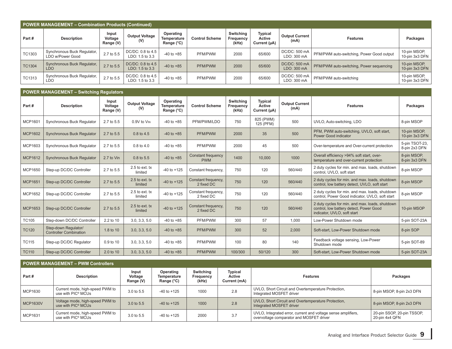| POWER MANAGEMENT - Combination Products (Continued) |                                                  |                               |                                      |                                        |                       |                                 |                                          |                               |                                           |                                |  |  |
|-----------------------------------------------------|--------------------------------------------------|-------------------------------|--------------------------------------|----------------------------------------|-----------------------|---------------------------------|------------------------------------------|-------------------------------|-------------------------------------------|--------------------------------|--|--|
| Part #                                              | Description                                      | Input<br>Voltage<br>Range (V) | <b>Output Voltage</b><br>(V)         | Operating<br>Temperature<br>Range (°C) | <b>Control Scheme</b> | Switching<br>Frequency<br>(kHz) | <b>Typical</b><br>Active<br>Current (µA) | <b>Output Current</b><br>(mA) | <b>Features</b>                           | Packages                       |  |  |
| TC1303                                              | Synchronous Buck Regulator,<br>LDO w/Power Good  | 2.7 to 5.5                    | DC/DC: 0.8 to 4.5<br>LDO: 1.5 to 3.3 | $-40$ to $+85$                         | PFM/PWM               | 2000                            | 65/600                                   | DC/DC: 500 mA<br>LDO: 300 mA  | PFM/PWM auto-switching, Power Good output | 10-pin MSOP,<br>10-pin 3x3 DFN |  |  |
| <b>TC1304</b>                                       | <b>Synchronous Buck Regulator,</b><br><b>LDO</b> | 2.7 to 5.5                    | DC/DC: 0.8 to 4.5<br>LDO: 1.5 to 3.3 | $-40$ to $+85$                         | PFM/PWM               | 2000                            | 65/600                                   | DC/DC: 500 mA<br>LDO: 300 mA  | PFM/PWM auto-switching, Power sequencing  | 10-pin MSOP,<br>10-pin 3x3 DFN |  |  |
| TC1313                                              | Synchronous Buck Regulator,<br>LDO               | 2.7 to 5.5                    | DC/DC: 0.8 to 4.5<br>LDO: 1.5 to 3.3 | $-40$ to $+85$                         | PFM/PWM               | 2000                            | 65/600                                   | DC/DC: 500 mA<br>LDO: 300 mA  | PFM/PWM auto-switching                    | 10-pin MSOP,<br>10-pin 3x3 DFN |  |  |

|                | <b>POWER MANAGEMENT - Switching Regulators</b>        |                               |                              |                                        |                                         |                                 |                                          |                               |                                                                                                                           |                                 |  |  |  |  |
|----------------|-------------------------------------------------------|-------------------------------|------------------------------|----------------------------------------|-----------------------------------------|---------------------------------|------------------------------------------|-------------------------------|---------------------------------------------------------------------------------------------------------------------------|---------------------------------|--|--|--|--|
| Part#          | <b>Description</b>                                    | Input<br>Voltage<br>Range (V) | <b>Output Voltage</b><br>(V) | Operating<br>Temperature<br>Range (°C) | <b>Control Scheme</b>                   | Switching<br>Frequency<br>(kHz) | <b>Typical</b><br>Active<br>Current (µA) | <b>Output Current</b><br>(mA) | <b>Features</b>                                                                                                           | Packages                        |  |  |  |  |
| MCP1601        | Synchronous Buck Regulator                            | 2.7 to 5.5                    | 0.9V to VIN                  | $-40$ to $+85$                         | PFM/PWM/LDO                             | 750                             | 825 (PWM)<br>125 (PFM)                   | 500                           | UVLO, Auto-switching, LDO                                                                                                 | 8-pin MSOP                      |  |  |  |  |
| <b>MCP1602</b> | <b>Synchronous Buck Regulator</b>                     | 2.7 to 5.5                    | 0.8 to 4.5                   | $-40$ to $+85$                         | PFM/PWM                                 | 2000                            | 35                                       | 500                           | PFM, PWM auto-switching, UVLO, soft start,<br>Power Good indicator                                                        | 10-pin MSOP,<br>10-pin 3x3 DFN  |  |  |  |  |
| MCP1603        | Synchronous Buck Regulator                            | 2.7 to 5.5                    | 0.8 to 4.0                   | $-40$ to $+85$                         | PFM/PWM                                 | 2000                            | 45                                       | 500                           | Over-temperature and Over-current protection                                                                              | 5-pin TSOT-23.<br>8-pin 2x3 DFN |  |  |  |  |
| <b>MCP1612</b> | <b>Synchronous Buck Regulator</b>                     | 2.7 to Vin                    | 0.8 to 5.5                   | $-40$ to $+85$                         | <b>Constant frequency</b><br><b>PWM</b> | 1400                            | 10.000                                   | 1000                          | Overall efficiency >94% soft start, over-<br>temperature and over-current protection                                      | 8-pin MSOP,<br>8-pin 3x3 DFN    |  |  |  |  |
| MCP1650        | Step-up DC/DC Controller                              | 2.7 to 5.5                    | $2.5$ to ext. tx<br>limited  | $-40$ to $+125$                        | Constant frequency,                     | 750                             | 120                                      | 560/440                       | 2 duty cycles for min. and max. loads, shutdown<br>control. UVLO, soft start                                              | 8-pin MSOP                      |  |  |  |  |
| <b>MCP1651</b> | Step-up DC/DC Controller                              | 2.7 to 5.5                    | $2.5$ to ext. tx<br>limited  | $-40$ to $+125$                        | Constant frequency,<br>2 fixed DC       | 750                             | 120                                      | 560/440                       | 2 duty cycles for min. and max. loads, shutdown<br>control, low battery detect, UVLO, soft start                          | 8-pin MSOP                      |  |  |  |  |
| MCP1652        | Step-up DC/DC Controller                              | 2.7 to 5.5                    | $2.5$ to ext. tx<br>limited  | $-40$ to $+125$                        | Constant frequency,<br>2 fixed DC       | 750                             | 120                                      | 560/440                       | 2 duty cycles for min. and max. loads, shutdown<br>control. Power Good indicator, UVLO, soft start                        | 8-pin MSOP                      |  |  |  |  |
| MCP1653        | Step-up DC/DC Controller                              | 2.7 to 5.5                    | $2.5$ to ext. tx<br>limited  | $-40$ to $+125$                        | Constant frequency,<br>2 fixed DC       | 750                             | 120                                      | 560/440                       | 2 duty cycles for min. and max. loads, shutdown<br>control, low battery detect, Power Good<br>indicator, UVLO, soft start | 10-pin MSOP                     |  |  |  |  |
| <b>TC105</b>   | Step-down DC/DC Controller                            | 2.2 to 10                     | 3.0, 3.3, 5.0                | $-40$ to $+85$                         | PFM/PWM                                 | 300                             | 57                                       | 1,000                         | Low-Power Shutdown mode                                                                                                   | 5-pin SOT-23A                   |  |  |  |  |
| <b>TC120</b>   | Step-down Regulator/<br><b>Controller Combination</b> | 1.8 to 10                     | 3.0, 3.3, 5.0                | $-40$ to $+85$                         | PFM/PWM                                 | 300                             | 52                                       | 2,000                         | Soft-start. Low-Power Shutdown mode                                                                                       | 8-pin SOP                       |  |  |  |  |
| <b>TC115</b>   | Step-up DC/DC Regulator                               | 0.9 to 10                     | 3.0, 3.3, 5.0                | $-40$ to $+85$                         | PFM/PWM                                 | 100                             | 80                                       | 140                           | Feedback voltage sensing, Low-Power<br>Shutdown mode                                                                      | 5-pin SOT-89                    |  |  |  |  |
| <b>TC110</b>   | Step-up DC/DC Controller                              | 2.0 to 10                     | 3.0, 3.3, 5.0                | $-40$ to $+85$                         | PFM/PWM                                 | 100/300                         | 50/120                                   | 300                           | Soft-start. Low-Power Shutdown mode                                                                                       | 5-pin SOT-23A                   |  |  |  |  |

#### **POWER MANAGEMENT – PWM Controllers**

| Part#           | Description                                                           | Input<br>Voltage<br>Range (V) | Operating<br>Temperature<br>Range (°C) | Switching<br>Frequency<br>(kHz) | <b>Typical</b><br>Active<br>Current (mA) | <b>Features</b>                                                                                           | Packages                                     |
|-----------------|-----------------------------------------------------------------------|-------------------------------|----------------------------------------|---------------------------------|------------------------------------------|-----------------------------------------------------------------------------------------------------------|----------------------------------------------|
| MCP1630         | Current mode, high-speed PWM to<br>use with PIC® MCUs                 | 3.0 to 5.5                    | $-40$ to $+125$                        | 1000                            | 2.8                                      | UVLO, Short Circuit and Overtemperature Protection,<br>Integrated MOSFET driver                           | 8-pin MSOP, 8-pin 2x3 DFN                    |
| <b>MCP1630V</b> | Voltage mode, high-speed PWM to<br>use with PIC <sup>®</sup> MCUs     | 3.0 to 5.5                    | $-40$ to $+125$                        | 1000                            | 2.8                                      | UVLO, Short Circuit and Overtemperature Protection,<br>Integrated MOSFET driver                           | 8-pin MSOP, 8-pin 2x3 DFN                    |
| MCP1631         | Current mode, high-speed PWM to<br>use with $\mathsf{PIC}^\circ$ MCUs | 3.0 to 5.5                    | $-40$ to $+125$                        | 2000                            | 3.7                                      | UVLO, Integrated error, current and voltage sense amplifiers,<br>overvoltage comparator and MOSFET driver | 20-pin SSOP, 20-pin TSSOP,<br>20-pin 4x4 QFN |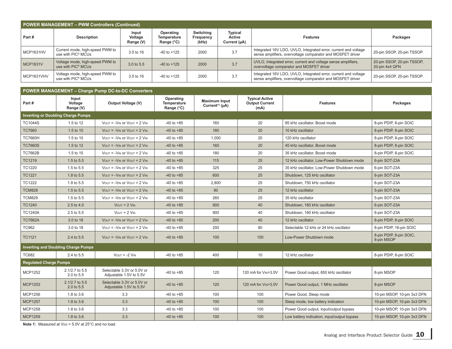| POWER MANAGEMENT - PWM Controllers (Continued) |                                                                   |                               |                                        |                                 |                                          |                                                                                                                               |                                              |  |  |  |  |
|------------------------------------------------|-------------------------------------------------------------------|-------------------------------|----------------------------------------|---------------------------------|------------------------------------------|-------------------------------------------------------------------------------------------------------------------------------|----------------------------------------------|--|--|--|--|
| Part#                                          | <b>Description</b>                                                | Input<br>Voltage<br>Range (V) | Operating<br>Temperature<br>Range (°C) | Switching<br>Frequency<br>(kHz) | <b>Typical</b><br>Active<br>Current (µA) | <b>Features</b>                                                                                                               | Packages                                     |  |  |  |  |
| <b>MCP1631HV</b>                               | Current mode, high-speed PWM to<br>use with PIC <sup>®</sup> MCUs | 3.5 to 16                     | $-40$ to $+125$                        | 2000                            | 3.7                                      | Integrated 16V LDO, UVLO, Integrated error, current and voltage<br>sense amplifiers, overvoltage comparator and MOSFET driver | 20-pin SSOP, 20-pin TSSOP                    |  |  |  |  |
| <b>MCP1631V</b>                                | Voltage mode, high-speed PWM to<br>use with PIC <sup>®</sup> MCUs | 3.0 to 5.5                    | $-40$ to $+125$                        | 2000                            | 3.7                                      | UVLO, Integrated error, current and voltage sense amplifiers,<br>overvoltage comparator and MOSFET driver                     | 20-pin SSOP, 20-pin TSSOP,<br>20-pin 4x4 QFN |  |  |  |  |
| MCP1631VHV                                     | Voltage mode, high-speed PWM to<br>use with PIC <sup>®</sup> MCUs | 3.5 to 16                     | $-40$ to $+125$                        | 2000                            | 3.7                                      | Integrated 16V LDO, UVLO, Integrated error, current and voltage<br>sense amplifiers, overvoltage comparator and MOSFET driver | 20-pin SSOP, 20-pin TSSOP                    |  |  |  |  |

| <b>POWER MANAGEMENT - Charge Pump DC-to-DC Converters</b> |                                            |                                                                           |                                        |                                                           |                                                        |                                             |                                       |  |  |  |  |  |
|-----------------------------------------------------------|--------------------------------------------|---------------------------------------------------------------------------|----------------------------------------|-----------------------------------------------------------|--------------------------------------------------------|---------------------------------------------|---------------------------------------|--|--|--|--|--|
| Part#                                                     | Input<br>Voltage<br>Range (V)              | Output Voltage (V)                                                        | Operating<br>Temperature<br>Range (°C) | <b>Maximum Input</b><br>Current <sup>(1)</sup> ( $\mu$ A) | <b>Typical Active</b><br><b>Output Current</b><br>(mA) | <b>Features</b>                             | Packages                              |  |  |  |  |  |
|                                                           | <b>Inverting or Doubling Charge Pumps</b>  |                                                                           |                                        |                                                           |                                                        |                                             |                                       |  |  |  |  |  |
| <b>TC1044S</b>                                            | 1.5 to 12                                  | $V_{\text{OUT}} = -V_{\text{IN}}$ or $V_{\text{OUT}} = 2 V_{\text{IN}}$   | $-40$ to $+85$                         | 160                                                       | 20                                                     | 85 kHz oscillator, Boost mode               | 8-pin PDIP, 8-pin SOIC                |  |  |  |  |  |
| <b>TC7660</b>                                             | 1.5 to 10                                  | $V_{\text{OUT}} = -V_{\text{IN}}$ or $V_{\text{OUT}} = 2 V_{\text{IN}}$   | $-40$ to $+85$                         | 180                                                       | 20                                                     | 10 kHz oscillator                           | 8-pin PDIP, 8-pin SOIC                |  |  |  |  |  |
| <b>TC7660H</b>                                            | 1.5 to 10                                  | $V_{\text{OUT}} = -V_{\text{IN}}$ or $V_{\text{OUT}} = 2 V_{\text{IN}}$   | $-40$ to $+85$                         | 1,000                                                     | 20                                                     | 120 kHz oscillator                          | 8-pin PDIP, 8-pin SOIC                |  |  |  |  |  |
| <b>TC7660S</b>                                            | 1.5 to 12                                  | $V_{\text{OUT}} = -V_{\text{IN}}$ or $V_{\text{OUT}} = 2 V_{\text{IN}}$   | $-40$ to $+85$                         | 160                                                       | 20                                                     | 45 kHz oscillator, Boost mode               | 8-pin PDIP, 8-pin SOIC                |  |  |  |  |  |
| <b>TC7662B</b>                                            | 1.5 to 15                                  | $V_{\text{OUT}} = -V_{\text{IN}}$ or $V_{\text{OUT}} = 2 V_{\text{IN}}$   | $-40$ to $+85$                         | 180                                                       | 20                                                     | 35 kHz oscillator. Boost mode               | 8-pin PDIP, 8-pin SOIC                |  |  |  |  |  |
| <b>TC1219</b>                                             | 1.5 to 5.5                                 | $V_{\text{OUT}} = -V_{\text{IN}}$ or $V_{\text{OUT}} = 2 V_{\text{IN}}$   | $-40$ to $+85$                         | 115                                                       | 25                                                     | 12 kHz oscillator, Low-Power Shutdown mode  | 6-pin SOT-23A                         |  |  |  |  |  |
| TC1220                                                    | 1.5 to 5.5                                 | $V_{\text{OUT}} = -V_{\text{IN}}$ or $V_{\text{OUT}} = 2 V_{\text{IN}}$   | $-40$ to $+85$                         | 325                                                       | 25                                                     | 35 kHz oscillator, Low-Power Shutdown mode  | 6-pin SOT-23A                         |  |  |  |  |  |
| <b>TC1221</b>                                             | 1.8 to 5.5                                 | $V_{\text{OUT}} = -V_{\text{IN}}$ or $V_{\text{OUT}} = 2 V_{\text{IN}}$   | $-40$ to $+85$                         | 600                                                       | 25                                                     | Shutdown, 125 kHz oscillator                | 6-pin SOT-23A                         |  |  |  |  |  |
| <b>TC1222</b>                                             | 1.8 to 5.5                                 | $V_{\text{OUT}} = -V_{\text{IN}}$ or $V_{\text{OUT}} = 2 V_{\text{IN}}$   | $-40$ to $+85$                         | 2,800                                                     | 25                                                     | Shutdown, 750 kHz oscillator                | 6-pin SOT-23A                         |  |  |  |  |  |
| <b>TCM828</b>                                             | 1.5 to 5.5                                 | $V_{\text{OUT}} = -V_{\text{IN}}$ or $V_{\text{OUT}} = 2 V_{\text{IN}}$   | $-40$ to $+85$                         | 90                                                        | 25                                                     | 12 kHz oscillator                           | 5-pin SOT-23A                         |  |  |  |  |  |
| <b>TCM829</b>                                             | 1.5 to 5.5                                 | $V_{\text{OUT}} = -V_{\text{IN}}$ or $V_{\text{OUT}} = 2 V_{\text{IN}}$   | $-40$ to $+85$                         | 260                                                       | 25                                                     | 35 kHz oscillator                           | 5-pin SOT-23A                         |  |  |  |  |  |
| <b>TC1240</b>                                             | $2.5$ to $4.0$                             | $V_{\text{OUT}} = 2 V_{\text{IN}}$                                        | $-40$ to $+85$                         | 900                                                       | 40                                                     | Shutdown, 160 kHz oscillator                | 6-pin SOT-23A                         |  |  |  |  |  |
| <b>TC1240A</b>                                            | 2.5 to 5.5                                 | $V_{\text{OUT}} = 2 V_{\text{IN}}$                                        | $-40$ to $+85$                         | 900                                                       | 40                                                     | Shutdown, 160 kHz oscillator                | 6-pin SOT-23A                         |  |  |  |  |  |
| <b>TC7662A</b>                                            | 3.0 to 18                                  | $V_{\text{OUT}} = -V_{\text{IN}}$ or $V_{\text{OUT}} = 2 V_{\text{IN}}$   | $-40$ to $+85$                         | 200                                                       | 40                                                     | 12 kHz oscillator                           | 8-pin PDIP, 8-pin SOIC                |  |  |  |  |  |
| <b>TC962</b>                                              | 3.0 to 18                                  | $V_{\text{OUT}} = -V_{\text{IN}}$ or $V_{\text{OUT}} = 2$ $V_{\text{IN}}$ | $-40$ to $+85$                         | 200                                                       | 80                                                     | Selectable 12 kHz or 24 kHz oscillator      | 8-pin PDIP, 16-pin SOIC               |  |  |  |  |  |
| <b>TC1121</b>                                             | 2.4 to 5.5                                 | $V_{\text{OUT}} = -V_{\text{IN}}$ or $V_{\text{OUT}} = 2 V_{\text{IN}}$   | $-40$ to $+85$                         | 100                                                       | 100                                                    | Low-Power Shutdown mode                     | 8-pin PDIP, 8-pin SOIC,<br>8-pin MSOP |  |  |  |  |  |
|                                                           | <b>Inverting and Doubling Charge Pumps</b> |                                                                           |                                        |                                                           |                                                        |                                             |                                       |  |  |  |  |  |
| <b>TC682</b>                                              | 2.4 to 5.5                                 | $V$ OUT = $-2$ $V$ IN                                                     | $-40$ to $+85$                         | 400                                                       | 10                                                     | 12 kHz oscillator                           | 8-pin PDIP, 8-pin SOIC                |  |  |  |  |  |
| <b>Regulated Charge Pumps</b>                             |                                            |                                                                           |                                        |                                                           |                                                        |                                             |                                       |  |  |  |  |  |
| <b>MCP1252</b>                                            | 2.1/2.7 to 5.5<br>2.0 to 5.5               | Selectable 3.3V or 5.0V or<br>Adjustable 1.5V to 5.5V                     | $-40$ to $+85$                         | 120                                                       | 120 mA for VIN>3.0V                                    | Power Good output, 650 kHz oscillator       | 8-pin MSOP                            |  |  |  |  |  |
| <b>MCP1253</b>                                            | 2.1/2.7 to 5.5<br>2.0 to 5.5               | Selectable 3.3V or 5.0V or<br>Adjustable 1.5V to 5.5V                     | $-40$ to $+85$                         | 120                                                       | 120 mA for VIN>3.0V                                    | Power Good output, 1 MHz oscillator         | 8-pin MSOP                            |  |  |  |  |  |
| <b>MCP1256</b>                                            | 1.8 to 3.6                                 | 3.3                                                                       | $-40$ to $+85$                         | 100                                                       | 100                                                    | Power Good, Sleep mode                      | 10-pin MSOP, 10-pin 3x3 DFN           |  |  |  |  |  |
| <b>MCP1257</b>                                            | 1.8 to 3.6                                 | 3.3                                                                       | $-40$ to $+85$                         | 100                                                       | 100                                                    | Sleep mode, low battery indication          | 10-pin MSOP, 10-pin 3x3 DFN           |  |  |  |  |  |
| <b>MCP1258</b>                                            | 1.8 to 3.6                                 | 3.3                                                                       | $-40$ to $+85$                         | 100                                                       | 100                                                    | Power Good output, input/output bypass      | 10-pin MSOP, 10-pin 3x3 DFN           |  |  |  |  |  |
| <b>MCP1259</b>                                            | 1.8 to $3.6$                               | 3.3                                                                       | $-40$ to $+85$                         | 100                                                       | 100                                                    | Low battery indication, input/output bypass | 10-pin MSOP, 10-pin 3x3 DFN           |  |  |  |  |  |

**Note 1:** Measured at VDD = 5.0V at 25°C and no load.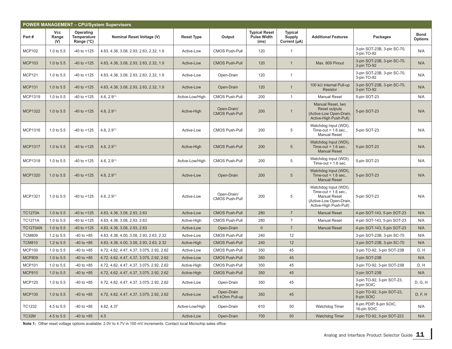|                 | <b>POWER MANAGEMENT - CPU/System Supervisors</b> |                                        |                                           |                   |                                      |                                                    |                                          |                                                                                                                             |                                            |                               |  |  |  |
|-----------------|--------------------------------------------------|----------------------------------------|-------------------------------------------|-------------------|--------------------------------------|----------------------------------------------------|------------------------------------------|-----------------------------------------------------------------------------------------------------------------------------|--------------------------------------------|-------------------------------|--|--|--|
| Part#           | <b>Vcc</b><br>Range<br>(V)                       | Operating<br>Temperature<br>Range (°C) | Nominal Reset Voltage (V)                 | <b>Reset Type</b> | Output                               | <b>Typical Reset</b><br><b>Pulse Width</b><br>(ms) | <b>Typical</b><br>Supply<br>Current (µA) | <b>Additional Features</b>                                                                                                  | Packages                                   | <b>Bond</b><br><b>Options</b> |  |  |  |
| <b>MCP102</b>   | 1.0 to 5.5                                       | $-40$ to $+125$                        | 4.63, 4.38, 3.08, 2.93, 2.63, 2.32, 1.9   | Active-Low        | <b>CMOS Push-Pull</b>                | 120                                                | $\mathbf{1}$                             |                                                                                                                             | 3-pin SOT-23B, 3-pin SC-70,<br>3-pin TO-92 | N/A                           |  |  |  |
| <b>MCP103</b>   | 1.0 to 5.5                                       | $-40$ to $+125$                        | 4.63, 4.38, 3.08, 2.93, 2.63, 2.32, 1.9   | Active-Low        | <b>CMOS Push-Pull</b>                | 120                                                | $\mathbf 1$                              | Max. 809 Pinout                                                                                                             | 3-pin SOT-23B, 3-pin SC-70,<br>3-pin TO-92 | N/A                           |  |  |  |
| <b>MCP121</b>   | 1.0 to 5.5                                       | $-40$ to $+125$                        | 4.63, 4.38, 3.08, 2.93, 2.63, 2.32, 1.9   | Active-Low        | Open-Drain                           | 120                                                | $\mathbf{1}$                             |                                                                                                                             | 3-pin SOT-23B, 3-pin SC-70,<br>3-pin TO-92 | N/A                           |  |  |  |
| <b>MCP131</b>   | 1.0 to 5.5                                       | $-40$ to $+125$                        | 4.63, 4.38, 3.08, 2.93, 2.63, 2.32, 1.9   | Active-Low        | Open-Drain                           | 120                                                | $\mathbf{1}$                             | 100 k $\Omega$ Internal Pull-up<br><b>Resistor</b>                                                                          | 3-pin SOT-23B, 3-pin SC-70,<br>3-pin TO-92 | N/A                           |  |  |  |
| MCP1319         | 1.0 to 5.5                                       | $-40$ to $+125$                        | 4.6, 2.9 <sup>(1)</sup>                   | Active-Low/High   | CMOS Push-Pull                       | 200                                                | $\mathbf{1}$                             | <b>Manual Reset</b>                                                                                                         | 5-pin SOT-23                               | N/A                           |  |  |  |
| <b>MCP1322</b>  | 1.0 to 5.5                                       | $-40$ to $+125$                        | 4.6, 2.9 <sup>(1)</sup>                   | Active-High       | Open-Drain/<br><b>CMOS Push-Pull</b> | 200                                                | -1                                       | Manual Reset, two<br><b>Reset outputs</b><br>(Active-Low Open-Drain,<br>Active-High Push-Pull)                              | 5-pin SOT-23                               | N/A                           |  |  |  |
| MCP1316         | 1.0 to 5.5                                       | $-40$ to $+125$                        | 4.6, $2.9(1)$                             | Active-Low        | <b>CMOS Push-Pull</b>                | 200                                                | 5                                        | Watchdog Input (WDI),<br>Time-out = $1.6$ sec.,<br><b>Manual Reset</b>                                                      | 5-pin SOT-23                               | N/A                           |  |  |  |
| <b>MCP1317</b>  | 1.0 to 5.5                                       | $-40$ to $+125$                        | 4.6, 2.9 <sup>(1)</sup>                   | Active-High       | <b>CMOS Push-Pull</b>                | 200                                                | 5                                        | Watchdog Input (WDI),<br>Time-out = $1.6$ sec.,<br><b>Manual Reset</b>                                                      | 5-pin SOT-23                               | N/A                           |  |  |  |
| <b>MCP1318</b>  | 1.0 to 5.5                                       | $-40$ to $+125$                        | 4.6, 2.9 <sup>(1)</sup>                   | Active-Low/High   | <b>CMOS Push-Pull</b>                | 200                                                | 5                                        | Watchdog Input (WDI),<br>Time-out = $1.6$ sec.                                                                              | 5-pin SOT-23                               | N/A                           |  |  |  |
| <b>MCP1320</b>  | 1.0 to 5.5                                       | $-40$ to $+125$                        | 4.6, 2.9 <sup>(1)</sup>                   | Active-Low        | Open-Drain                           | 200                                                | $5\phantom{.0}$                          | Watchdog Input (WDI),<br>Time-out = $1.6$ sec<br><b>Manual Reset</b>                                                        | 5-pin SOT-23                               | N/A                           |  |  |  |
| <b>MCP1321</b>  | 1.0 to 5.5                                       | $-40$ to $+125$                        | 4.6, 2.9 <sup>(1)</sup>                   | Active-Low        | Open-Drain/<br>CMOS Push-Pull        | 200                                                | 5                                        | Watchdog Input (WDI),<br>Time-out = $1.6$ sec.,<br><b>Manual Reset</b><br>(Active-Low Open-Drain,<br>Active-High Push-Pull) | 5-pin SOT-23                               | N/A                           |  |  |  |
| <b>TC1270A</b>  | 1.0 to 5.5                                       | $-40$ to $+125$                        | 4.63, 4.38, 3.08, 2.93, 2.63              | Active-Low        | <b>CMOS Push-Pull</b>                | 280                                                | $\overline{7}$                           | <b>Manual Reset</b>                                                                                                         | 4-pin SOT-143, 5-pin SOT-23                | N/A                           |  |  |  |
| <b>TC1271A</b>  | 1.0 to 5.5                                       | $-40$ to $+125$                        | 4.63, 4.38, 3.08, 2.93, 2.63              | Active-High       | CMOS Push-Pull                       | 280                                                | $\overline{7}$                           | <b>Manual Reset</b>                                                                                                         | 4-pin SOT-143, 5-pin SOT-23                | N/A                           |  |  |  |
| <b>TC1270AN</b> | 1.0 to 5.5                                       | $-40$ to $+125$                        | 4.63, 4.38, 3.08, 2.93, 2.63              | Active-Low        | Open-Drain                           | $\mathbf{0}$                                       | $\overline{7}$                           | <b>Manual Reset</b>                                                                                                         | 4-pin SOT-143, 5-pin SOT-23                | N/A                           |  |  |  |
| <b>TCM809</b>   | 1.2 to 5.5                                       | $-40$ to $+85$                         | 4.63, 4.38, 4.00, 3.08, 2.93, 2.63, 2.32  | Active-Low        | CMOS Push-Pull                       | 240                                                | 12                                       |                                                                                                                             | 3-pin SOT-23B, 3-pin SC-70                 | N/A                           |  |  |  |
| <b>TCM810</b>   | 1.2 to 5.5                                       | $-40$ to $+85$                         | 4.63, 4.38, 4.00, 3.08, 2.93, 2.63, 2.32  | Active-High       | <b>CMOS Push-Pull</b>                | 240                                                | 12                                       |                                                                                                                             | 3-pin SOT-23B, 3-pin SC-70                 | N/A                           |  |  |  |
| <b>MCP100</b>   | 1.0 to 5.5                                       | $-40$ to $+85$                         | 4.72, 4.62, 4.47, 4.37, 3.075, 2.92, 2.62 | Active-Low        | <b>CMOS Push-Pull</b>                | 350                                                | 45                                       |                                                                                                                             | 3-pin TO-92, 3-pin SOT-23B                 | D, H                          |  |  |  |
| <b>MCP809</b>   | 1.0 to 5.5                                       | $-40$ to $+85$                         | 4.72, 4.62, 4.47, 4.37, 3.075, 2.92, 2.62 | Active-Low        | <b>CMOS Push-Pull</b>                | 350                                                | 45                                       |                                                                                                                             | 3-pin SOT-23B                              | N/A                           |  |  |  |
| <b>MCP101</b>   | 1.0 to 5.5                                       | $-40$ to $+85$                         | 4.72, 4.62, 4.47, 4.37, 3.075, 2.92, 2.62 | Active-High       | <b>CMOS Push-Pull</b>                | 350                                                | 45                                       |                                                                                                                             | 3-pin TO-92, 3-pin SOT-23B                 | D, H                          |  |  |  |
| <b>MCP810</b>   | 1.0 to $5.5$                                     | $-40$ to $+85$                         | 4.72, 4.62, 4.47, 4.37, 3.075, 2.92, 2.62 | Active-High       | <b>CMOS Push-Pull</b>                | 350                                                | 45                                       |                                                                                                                             | 3-pin SOT-23B                              | N/A                           |  |  |  |
| <b>MCP120</b>   | 1.0 to 5.5                                       | $-40$ to $+85$                         | 4.72, 4.62, 4.47, 4.37, 3.075, 2.92, 2.62 | Active-Low        | Open-Drain                           | 350                                                | 45                                       |                                                                                                                             | 3-pin TO-92, 3-pin SOT-23,<br>8-pin SOIC   | D, G, H                       |  |  |  |
| <b>MCP130</b>   | 1.0 to 5.5                                       | $-40$ to $+85$                         | 4.72, 4.62, 4.47, 4.37, 3.075, 2.92, 2.62 | Active-Low        | Open-Drain<br>w/5 kOhm Pull-up       | 350                                                | 45                                       |                                                                                                                             | 3-pin TO-92, 3-pin SOT-23,<br>8-pin SOIC   | D, F, H                       |  |  |  |
| TC1232          | 4.5 to 5.5                                       | $-40$ to $+85$                         | 4.62, 4.37                                | Active-Low/High   | Open-Drain                           | 610                                                | 50                                       | Watchdog Timer                                                                                                              | 8-pin PDIP, 8-pin SOIC,<br>16-pin SOIC     | N/A                           |  |  |  |
| TC32M           | 4.5 to 5.5                                       | $-40$ to $+85$                         | 4.5                                       | Active-Low        | Open-Drain                           | 700                                                | 50                                       | <b>Watchdog Timer</b>                                                                                                       | 3-pin TO-92, 3-pin SOT-223                 | N/A                           |  |  |  |

Note 1: Other reset voltage options available: 2.0V to 4.7V in 100 mV increments. Contact local Microchip sales office.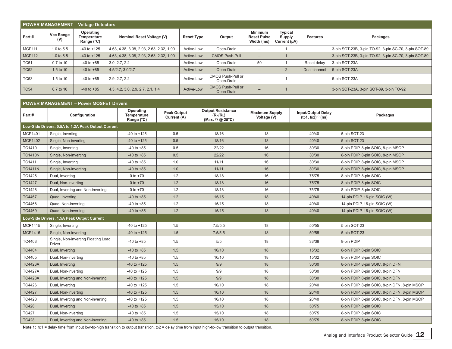|               | <b>POWER MANAGEMENT - Voltage Detectors</b> |                                        |                                          |                   |                                        |                                                    |                                               |                 |                                                       |  |  |  |  |
|---------------|---------------------------------------------|----------------------------------------|------------------------------------------|-------------------|----------------------------------------|----------------------------------------------------|-----------------------------------------------|-----------------|-------------------------------------------------------|--|--|--|--|
| Part#         | <b>Vcc Range</b><br>(V)                     | Operating<br>Temperature<br>Range (°C) | Nominal Reset Voltage (V)                | <b>Reset Type</b> | Output                                 | <b>Minimum</b><br><b>Reset Pulse</b><br>Width (ms) | <b>Typical</b><br>Supply<br>Current $(\mu A)$ | <b>Features</b> | Packages                                              |  |  |  |  |
| <b>MCP111</b> | 1.0 to 5.5                                  | $-40$ to $+125$                        | 4.63, 4.38, 3.08, 2.93, 2.63, 2.32, 1.90 | Active-Low        | Open-Drain                             | -                                                  |                                               |                 | 3-pin SOT-23B, 3-pin TO-92, 3-pin SC-70, 3-pin SOT-89 |  |  |  |  |
| <b>MCP112</b> | 1.0 to $5.5$                                | $-40$ to $+125$                        | 4.63, 4.38, 3.08, 2.93, 2.63, 2.32, 1.90 | Active-Low        | <b>CMOS Push-Pull</b>                  | -                                                  |                                               |                 | 3-pin SOT-23B, 3-pin TO-92, 3-pin SC-70, 3-pin SOT-89 |  |  |  |  |
| <b>TC51</b>   | 0.7 to 10                                   | $-40$ to $+85$                         | 3.0, 2.7, 2.2                            | Active-Low        | Open-Drain                             | 50                                                 |                                               | Reset delay     | 3-pin SOT-23A                                         |  |  |  |  |
| <b>TC52</b>   | $1.5$ to $10$                               | $-40$ to $+85$                         | 4.5/2.7.3.0/2.7                          | Active-Low        | Open-Drain                             | -                                                  | $\overline{2}$                                | Dual channel    | 5-pin SOT-23A                                         |  |  |  |  |
| <b>TC53</b>   | 1.5 to 10                                   | $-40$ to $+85$                         | 2.9.2.7.2.2                              | Active-Low        | CMOS Push-Pull or<br>Open-Drain        |                                                    |                                               |                 | 5-pin SOT-23A                                         |  |  |  |  |
| <b>TC54</b>   | 0.7 to 10                                   | $-40$ to $+85$                         | 4.3, 4.2, 3.0, 2.9, 2.7, 2.1, 1.4        | Active-Low        | <b>CMOS Push-Pull or</b><br>Open-Drain |                                                    |                                               |                 | 3-pin SOT-23A, 3-pin SOT-89, 3-pin TO-92              |  |  |  |  |

#### **POWER MANAGEMENT – Power MOSFET Drivers**

| Part#          | Configuration                                        | Operating<br>Temperature<br>Range (°C) | <b>Peak Output</b><br>Current (A) | <b>Output Resistance</b><br>(RH/RL)<br>(Max. $\Omega$ @ 25°C) | <b>Maximum Supply</b><br>Voltage (V) | <b>Input/Output Delay</b><br>$(tD1, tD2)^{(1)}$ (ns) | Packages                                      |
|----------------|------------------------------------------------------|----------------------------------------|-----------------------------------|---------------------------------------------------------------|--------------------------------------|------------------------------------------------------|-----------------------------------------------|
|                | Low-Side Drivers, 0.5A to 1.2A Peak Output Current   |                                        |                                   |                                                               |                                      |                                                      |                                               |
| <b>MCP1401</b> | Single, Inverting                                    | $-40$ to $+125$                        | 0.5                               | 18/16                                                         | 18                                   | 40/40                                                | 5-pin SOT-23                                  |
| <b>MCP1402</b> | Single, Non-inverting                                | $-40$ to $+125$                        | 0.5                               | 18/16                                                         | 18                                   | 40/40                                                | 5-pin SOT-23                                  |
| <b>TC1410</b>  | Single, Inverting                                    | $-40$ to $+85$                         | 0.5                               | 22/22                                                         | 16                                   | 30/30                                                | 8-pin PDIP, 8-pin SOIC, 8-pin MSOP            |
| <b>TC1410N</b> | Single, Non-inverting                                | $-40$ to $+85$                         | 0.5                               | 22/22                                                         | 16                                   | 30/30                                                | 8-pin PDIP, 8-pin SOIC, 8-pin MSOP            |
| TC1411         | Single, Inverting                                    | $-40$ to $+85$                         | 1.0                               | 11/11                                                         | 16                                   | 30/30                                                | 8-pin PDIP, 8-pin SOIC, 8-pin MSOP            |
| <b>TC1411N</b> | Single, Non-inverting                                | $-40$ to $+85$                         | 1.0                               | 11/11                                                         | 16                                   | 30/30                                                | 8-pin PDIP, 8-pin SOIC, 8-pin MSOP            |
| <b>TC1426</b>  | Dual, Inverting                                      | $0$ to $+70$                           | 1.2                               | 18/18                                                         | 16                                   | 75/75                                                | 8-pin PDIP, 8-pin SOIC                        |
| <b>TC1427</b>  | Dual, Non-inverting                                  | 0 to $+70$                             | 1.2                               | 18/18                                                         | 16                                   | 75/75                                                | 8-pin PDIP, 8-pin SOIC                        |
| <b>TC1428</b>  | Dual, Inverting and Non-inverting                    | 0 to $+70$                             | 1.2                               | 18/18                                                         | 16                                   | 75/75                                                | 8-pin PDIP, 8-pin SOIC                        |
| <b>TC4467</b>  | Quad, Inverting                                      | $-40$ to $+85$                         | 1.2                               | 15/15                                                         | 18                                   | 40/40                                                | 14-pin PDIP, 16-pin SOIC (W)                  |
| TC4468         | Quad, Non-inverting                                  | $-40$ to $+85$                         | 1.2                               | 15/15                                                         | 18                                   | 40/40                                                | 14-pin PDIP, 16-pin SOIC (W)                  |
| <b>TC4469</b>  | Quad, Non-inverting                                  | $-40$ to $+85$                         | 1.2                               | 15/15                                                         | 18                                   | 40/40                                                | 14-pin PDIP, 16-pin SOIC (W)                  |
|                | Low-Side Drivers, 1.5A Peak Output Current           |                                        |                                   |                                                               |                                      |                                                      |                                               |
| <b>MCP1415</b> | Single, Inverting                                    | $-40$ to $+125$                        | 1.5                               | 7.5/5.5                                                       | 18                                   | 50/55                                                | 5-pin SOT-23                                  |
| <b>MCP1416</b> | Single, Non-inverting                                | $-40$ to $+125$                        | 1.5                               | 7.5/5.5                                                       | 18                                   | 50/55                                                | 5-pin SOT-23                                  |
| TC4403         | Single, Non-inverting Floating Load<br><b>Driver</b> | $-40$ to $+85$                         | 1.5                               | 5/5                                                           | 18                                   | 33/38                                                | 8-pin PDIP                                    |
| TC4404         | Dual, Inverting                                      | $-40$ to $+85$                         | 1.5                               | 10/10                                                         | 18                                   | 15/32                                                | 8-pin PDIP, 8-pin SOIC                        |
| TC4405         | Dual, Non-inverting                                  | $-40$ to $+85$                         | 1.5                               | 10/10                                                         | 18                                   | 15/32                                                | 8-pin PDIP, 8-pin SOIC                        |
| <b>TC4426A</b> | Dual, Inverting                                      | $-40$ to $+125$                        | 1.5                               | 9/9                                                           | 18                                   | 30/30                                                | 8-pin PDIP, 8-pin SOIC, 8-pin DFN             |
| <b>TC4427A</b> | Dual, Non-inverting                                  | $-40$ to $+125$                        | 1.5                               | 9/9                                                           | 18                                   | 30/30                                                | 8-pin PDIP, 8-pin SOIC, 8-pin DFN             |
| <b>TC4428A</b> | Dual, Inverting and Non-inverting                    | $-40$ to $+125$                        | 1.5                               | 9/9                                                           | 18                                   | 30/30                                                | 8-pin PDIP, 8-pin SOIC, 8-pin DFN             |
| TC4426         | Dual, Inverting                                      | $-40$ to $+125$                        | 1.5                               | 10/10                                                         | 18                                   | 20/40                                                | 8-pin PDIP, 8-pin SOIC, 8-pin DFN, 8-pin MSOP |
| <b>TC4427</b>  | Dual, Non-inverting                                  | $-40$ to $+125$                        | 1.5                               | 10/10                                                         | 18                                   | 20/40                                                | 8-pin PDIP, 8-pin SOIC, 8-pin DFN, 8-pin MSOP |
| TC4428         | Dual, Inverting and Non-inverting                    | $-40$ to $+125$                        | 1.5                               | 10/10                                                         | 18                                   | 20/40                                                | 8-pin PDIP, 8-pin SOIC, 8-pin DFN, 8-pin MSOP |
| <b>TC426</b>   | Dual, Inverting                                      | $-40$ to $+85$                         | 1.5                               | 15/10                                                         | 18                                   | 50/75                                                | 8-pin PDIP, 8-pin SOIC                        |
| <b>TC427</b>   | Dual, Non-inverting                                  | $-40$ to $+85$                         | 1.5                               | 15/10                                                         | 18                                   | 50/75                                                | 8-pin PDIP, 8-pin SOIC                        |
| <b>TC428</b>   | Dual, Inverting and Non-inverting                    | $-40$ to $+85$                         | 1.5                               | 15/10                                                         | 18                                   | 50/75                                                | 8-pin PDIP, 8-pin SOIC                        |

Note 1:  $\text{to1}$  = delay time from input low-to-high transition to output transition.  $\text{to2}$  = delay time from input high-to-low transition to output transition.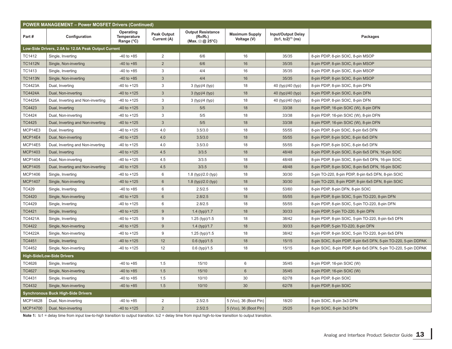| <b>POWER MANAGEMENT - Power MOSFET Drivers (Continued)</b> |                                                     |                                        |                                   |                                                               |                                      |                                                      |                                                                  |  |  |  |  |  |
|------------------------------------------------------------|-----------------------------------------------------|----------------------------------------|-----------------------------------|---------------------------------------------------------------|--------------------------------------|------------------------------------------------------|------------------------------------------------------------------|--|--|--|--|--|
| Part#                                                      | Configuration                                       | Operating<br>Temperature<br>Range (°C) | <b>Peak Output</b><br>Current (A) | <b>Output Resistance</b><br>(RH/RL)<br>(Max. $\Omega$ @ 25°C) | <b>Maximum Supply</b><br>Voltage (V) | <b>Input/Output Delay</b><br>$(tD1, tD2)^{(1)}$ (ns) | Packages                                                         |  |  |  |  |  |
|                                                            | Low-Side Drivers, 2.0A to 12.0A Peak Output Current |                                        |                                   |                                                               |                                      |                                                      |                                                                  |  |  |  |  |  |
| <b>TC1412</b>                                              | Single, Inverting                                   | $-40$ to $+85$                         | 2                                 | 6/6                                                           | 16                                   | 35/35                                                | 8-pin PDIP, 8-pin SOIC, 8-pin MSOP                               |  |  |  |  |  |
| <b>TC1412N</b>                                             | Single, Non-inverting                               | $-40$ to $+85$                         | $\overline{2}$                    | 6/6                                                           | 16                                   | 35/35                                                | 8-pin PDIP, 8-pin SOIC, 8-pin MSOP                               |  |  |  |  |  |
| TC1413                                                     | Single, Inverting                                   | $-40$ to $+85$                         | 3                                 | 4/4                                                           | 16                                   | 35/35                                                | 8-pin PDIP, 8-pin SOIC, 8-pin MSOP                               |  |  |  |  |  |
| <b>TC1413N</b>                                             | Single, Non-inverting                               | $-40$ to $+85$                         | $\mathbf{3}$                      | 4/4                                                           | 16                                   | 35/35                                                | 8-pin PDIP, 8-pin SOIC, 8-pin MSOP                               |  |  |  |  |  |
| <b>TC4423A</b>                                             | Dual, Inverting                                     | $-40$ to $+125$                        | 3                                 | 3 (typ)/4 (typ)                                               | 18                                   | 40 (typ)/40 (typ)                                    | 8-pin PDIP, 8-pin SOIC, 8-pin DFN                                |  |  |  |  |  |
| <b>TC4424A</b>                                             | Dual, Non-inverting                                 | $-40$ to $+125$                        | $\mathfrak{S}$                    | 3 (typ)/4 (typ)                                               | 18                                   | 40 (typ)/40 (typ)                                    | 8-pin PDIP, 8-pin SOIC, 8-pin DFN                                |  |  |  |  |  |
| <b>TC4425A</b>                                             | Dual, Inverting and Non-inverting                   | $-40$ to $+125$                        | 3                                 | 3 (typ)/4 (typ)                                               | 18                                   | 40 (typ)/40 (typ)                                    | 8-pin PDIP, 8-pin SOIC, 8-pin DFN                                |  |  |  |  |  |
| <b>TC4423</b>                                              | Dual, Inverting                                     | $-40$ to $+125$                        | $\mathbf{3}$                      | 5/5                                                           | 18                                   | 33/38                                                | 8-pin PDIP, 16-pin SOIC (W), 8-pin DFN                           |  |  |  |  |  |
| <b>TC4424</b>                                              | Dual, Non-inverting                                 | $-40$ to $+125$                        | 3                                 | 5/5                                                           | 18                                   | 33/38                                                | 8-pin PDIP, 16-pin SOIC (W), 8-pin DFN                           |  |  |  |  |  |
| <b>TC4425</b>                                              | Dual, Inverting and Non-inverting                   | $-40$ to $+125$                        | 3                                 | 5/5                                                           | 18                                   | 33/38                                                | 8-pin PDIP, 16-pin SOIC (W), 8-pin DFN                           |  |  |  |  |  |
| MCP14E3                                                    | Dual, Inverting                                     | $-40$ to $+125$                        | 4.0                               | 3.5/3.0                                                       | 18                                   | 55/55                                                | 8-pin PDIP, 8-pin SOIC, 8-pin 6x5 DFN                            |  |  |  |  |  |
| MCP14E4                                                    | Dual, Non-inverting                                 | $-40$ to $+125$                        | 4.0                               | 3.5/3.0                                                       | 18                                   | 55/55                                                | 8-pin PDIP, 8-pin SOIC, 8-pin 6x5 DFN                            |  |  |  |  |  |
| MCP14E5                                                    | Dual, Inverting and Non-inverting                   | $-40$ to $+125$                        | 4.0                               | 3.5/3.0                                                       | 18                                   | 55/55                                                | 8-pin PDIP, 8-pin SOIC, 8-pin 6x5 DFN                            |  |  |  |  |  |
| <b>MCP1403</b>                                             | Dual, Inverting                                     | $-40$ to $+125$                        | 4.5                               | 3/3.5                                                         | 18                                   | 48/48                                                | 8-pin PDIP, 8-pin SOIC, 8-pin 6x5 DFN, 16-pin SOIC               |  |  |  |  |  |
| <b>MCP1404</b>                                             | Dual, Non-inverting                                 | $-40$ to $+125$                        | 4.5                               | 3/3.5                                                         | 18                                   | 48/48                                                | 8-pin PDIP, 8-pin SOIC, 8-pin 6x5 DFN, 16-pin SOIC               |  |  |  |  |  |
| <b>MCP1405</b>                                             | Dual, Inverting and Non-inverting                   | $-40$ to $+125$                        | 4.5                               | 3/3.5                                                         | 18                                   | 48/48                                                | 8-pin PDIP, 8-pin SOIC, 8-pin 6x5 DFN, 16-pin SOIC               |  |  |  |  |  |
| <b>MCP1406</b>                                             | Single, Inverting                                   | $-40$ to $+125$                        | 6                                 | 1.8 (typ)/2.0 (typ)                                           | 18                                   | 30/30                                                | 5-pin TO-220, 8-pin PDIP, 8-pin 6x5 DFN, 8-pin SOIC              |  |  |  |  |  |
| <b>MCP1407</b>                                             | Single, Non-inverting                               | $-40$ to $+125$                        | 6                                 | 1.8 (typ)/2.0 (typ)                                           | 18                                   | 30/30                                                | 5-pin TO-220, 8-pin PDIP, 8-pin 6x5 DFN, 8-pin SOIC              |  |  |  |  |  |
| <b>TC429</b>                                               | Single, Inverting                                   | $-40$ to $+85$                         | 6                                 | 2.5/2.5                                                       | 18                                   | 53/60                                                | 8-pin PDIP, 8-pin DFN, 8-pin SOIC                                |  |  |  |  |  |
| <b>TC4420</b>                                              | Single, Non-inverting                               | $-40$ to $+125$                        | 6                                 | 2.8/2.5                                                       | 18                                   | 55/55                                                | 8-pin PDIP, 8-pin SOIC, 5-pin TO-220, 8-pin DFN                  |  |  |  |  |  |
| TC4429                                                     | Single, Inverting                                   | -40 to +125                            | 6                                 | 2.8/2.5                                                       | 18                                   | 55/55                                                | 8-pin PDIP, 8-pin SOIC, 5-pin TO-220, 8-pin DFN                  |  |  |  |  |  |
| TC4421                                                     | Single, Inverting                                   | $-40$ to $+125$                        | $\boldsymbol{9}$                  | 1.4 $(typ)/1.7$                                               | 18                                   | 30/33                                                | 8-pin PDIP, 5-pin TO-220, 8-pin DFN                              |  |  |  |  |  |
| <b>TC4421A</b>                                             | Single, Inverting                                   | $-40$ to $+125$                        | 9                                 | 1.25 (typ)/1.5                                                | 18                                   | 38/42                                                | 8-pin PDIP, 8-pin SOIC, 5-pin TO-220, 8-pin 6x5 DFN              |  |  |  |  |  |
| <b>TC4422</b>                                              | Single, Non-inverting                               | $-40$ to $+125$                        | 9                                 | 1.4 $(typ)/1.7$                                               | 18                                   | 30/33                                                | 8-pin PDIP, 5-pin TO-220, 8-pin DFN                              |  |  |  |  |  |
| <b>TC4422A</b>                                             | Single, Non-inverting                               | $-40$ to $+125$                        | 9                                 | $1.25$ (typ)/1.5                                              | 18                                   | 38/42                                                | 8-pin PDIP, 8-pin SOIC, 5-pin TO-220, 8-pin 6x5 DFN              |  |  |  |  |  |
| <b>TC4451</b>                                              | Single, Inverting                                   | $-40$ to $+125$                        | 12                                | $0.6$ (typ)/1.5                                               | 18                                   | 15/15                                                | 8-pin SOIC, 8-pin PDIP, 8-pin 6x5 DFN, 5-pin TO-220, 5-pin DDPAK |  |  |  |  |  |
| <b>TC4452</b>                                              | Single, Non-inverting                               | $-40$ to $+125$                        | 12                                | $0.6$ (typ)/1.5                                               | 18                                   | 15/15                                                | 8-pin SOIC, 8-pin PDIP, 8-pin 6x5 DFN, 5-pin TO-220, 5-pin DDPAK |  |  |  |  |  |
|                                                            | <b>High-Side/Low-Side Drivers</b>                   |                                        |                                   |                                                               |                                      |                                                      |                                                                  |  |  |  |  |  |
| TC4626                                                     | Single, Inverting                                   | $-40$ to $+85$                         | 1.5                               | 15/10                                                         | 6                                    | 35/45                                                | 8-pin PDIP, 16-pin SOIC (W)                                      |  |  |  |  |  |
| <b>TC4627</b>                                              | Single, Non-inverting                               | $-40$ to $+85$                         | 1.5                               | 15/10                                                         | $6\phantom{1}$                       | 35/45                                                | 8-pin PDIP, 16-pin SOIC (W)                                      |  |  |  |  |  |
| TC4431                                                     | Single, Inverting                                   | $-40$ to $+85$                         | 1.5                               | 10/10                                                         | 30                                   | 62/78                                                | 8-pin PDIP, 8-pin SOIC                                           |  |  |  |  |  |
| <b>TC4432</b>                                              | Single, Non-inverting                               | $-40$ to $+85$                         | 1.5                               | 10/10                                                         | 30                                   | 62/78                                                | 8-pin PDIP, 8-pin SOIC                                           |  |  |  |  |  |
|                                                            | <b>Synchronous Buck High-Side Drivers</b>           |                                        |                                   |                                                               |                                      |                                                      |                                                                  |  |  |  |  |  |
| MCP14628                                                   | Dual, Non-inverting                                 | $-40$ to $+85$                         | $\overline{2}$                    | 2.5/2.5                                                       | 5 (V <sub>DD</sub> ), 36 (Boot Pin)  | 18/20                                                | 8-pin SOIC, 8-pin 3x3 DFN                                        |  |  |  |  |  |
| MCP14700                                                   | Dual, Non-inverting                                 | $-40$ to $+125$                        | $\overline{2}$                    | 2.5/2.5                                                       | 5 (V <sub>DD</sub> ), 36 (Boot Pin)  | 25/25                                                | 8-pin SOIC, 8-pin 3x3 DFN                                        |  |  |  |  |  |

Note 1: to1 = delay time from input low-to-high transition to output transition. to2 = delay time from input high-to-low transition to output transition.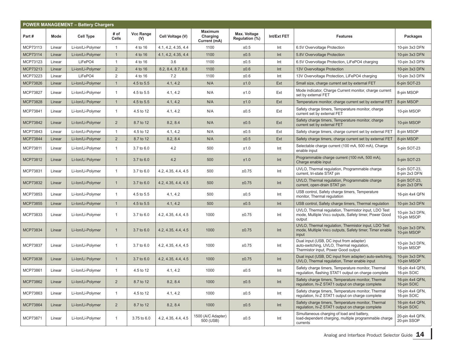| <b>POWER MANAGEMENT - Battery Chargers</b> |        |                   |                      |                  |                     |                                            |                                |             |                                                                                                                             |                                |  |
|--------------------------------------------|--------|-------------------|----------------------|------------------|---------------------|--------------------------------------------|--------------------------------|-------------|-----------------------------------------------------------------------------------------------------------------------------|--------------------------------|--|
| Part#                                      | Mode   | <b>Cell Type</b>  | # of<br><b>Cells</b> | Vcc Range<br>(V) | Cell Voltage (V)    | <b>Maximum</b><br>Charging<br>Current (mA) | Max. Voltage<br>Regulation (%) | Int/Ext FET | <b>Features</b>                                                                                                             | Packages                       |  |
| MCP73113                                   | Linear | Li-ion/Li-Polymer | $\overline{1}$       | 4 to 16          | 4.1, 4.2, 4.35, 4.4 | 1100                                       | ±0.5                           | Int         | 6.5V Overvoltage Protection                                                                                                 | 10-pin 3x3 DFN                 |  |
| MCP73114                                   | Linear | Li-ion/Li-Polymer | $\mathbf{1}$         | 4 to 16          | 4.1, 4.2, 4.35, 4.4 | 1100                                       | ±0.5                           | Int         | 5.8V Overvoltage Protection                                                                                                 | 10-pin 3x3 DFN                 |  |
| MCP73123                                   | Linear | LiFePO4           | $\mathbf{1}$         | 4 to 16          | 3.6                 | 1100                                       | ±0.5                           | Int         | 6.5V Overvoltage Protection, LiFePO4 charging                                                                               | 10-pin 3x3 DFN                 |  |
| MCP73213                                   | Linear | Li-ion/Li-Polymer | $\overline{2}$       | 4 to 16          | 8.2, 8.4, 8.7, 8.8  | 1100                                       | ±0.6                           | Int         | 13V Overvoltage Protection                                                                                                  | 10-pin 3x3 DFN                 |  |
| MCP73223                                   | Linear | LiFePO4           | 2                    | 4 to 16          | 7.2                 | 1100                                       | ±0.6                           | Int         | 13V Overvoltage Protection, LiFePO4 charging                                                                                | 10-pin 3x3 DFN                 |  |
| MCP73826                                   | Linear | Li-Ion/Li-Polymer | $\mathbf{1}$         | 4.5 to 5.5       | 4.1, 4.2            | N/A                                        | ±1.0                           | Ext         | Small size, charge current set by external FET                                                                              | 6-pin SOT-23                   |  |
| MCP73827                                   | Linear | Li-Ion/Li-Polymer | $\mathbf{1}$         | 4.5 to 5.5       | 4.1, 4.2            | N/A                                        | ±1.0                           | Ext         | Mode indicator, Charge Current monitor, charge current<br>set by external FET                                               | 8-pin MSOP                     |  |
| <b>MCP73828</b>                            | Linear | Li-Ion/Li Polymer | $\overline{1}$       | 4.5 to 5.5       | 4.1, 4.2            | N/A                                        | ±1.0                           | Ext         | Temperature monitor, charge current set by external FET                                                                     | 8-pin MSOP                     |  |
| MCP73841                                   | Linear | Li-Ion/Li-Polymer | $\mathbf{1}$         | 4.5 to 12        | 4.1, 4.2            | N/A                                        | ±0.5                           | Ext         | Safety charge timers, Temperature monitor, charge<br>current set by external FET                                            | 10-pin MSOP                    |  |
| MCP73842                                   | Linear | Li-Ion/Li-Polymer | $\overline{2}$       | 8.7 to 12        | 8.2, 8.4            | N/A                                        | ±0.5                           | Ext         | Safety charge timers, Temperature monitor, charge<br>current set by external FET                                            | 10-pin MSOP                    |  |
| MCP73843                                   | Linear | Li-Ion/Li-Polymer | $\mathbf{1}$         | 4.5 to 12        | 4.1, 4.2            | N/A                                        | ±0.5                           | Ext         | Safety charge timers, charge current set by external FET                                                                    | 8-pin MSOP                     |  |
| MCP73844                                   | Linear | Li-Ion/Li-Polymer | 2                    | 8.7 to 12        | 8.2, 8.4            | N/A                                        | ±0.5                           | Ext         | Safety charge timers, charge current set by external FET                                                                    | 8-pin MSOP                     |  |
| MCP73811                                   | Linear | Li-Ion/Li-Polymer | $\mathbf{1}$         | 3.7 to 6.0       | 4.2                 | 500                                        | ±1.0                           | Int         | Selectable charge current (100 mA, 500 mA), Charge<br>enable input                                                          | 5-pin SOT-23                   |  |
| MCP73812                                   | Linear | Li-Ion/Li Polymer | $\mathbf{1}$         | 3.7 to 6.0       | 4.2                 | 500                                        | ±1.0                           | Int         | Programmable charge current (100 mA, 500 mA),<br>Charge enable input                                                        | 5-pin SOT-23                   |  |
| MCP73831                                   | Linear | Li-Ion/Li-Polymer | $\mathbf{1}$         | 3.7 to 6.0       | 4.2, 4.35, 4.4, 4.5 | 500                                        | ±0.75                          | Int         | UVLO, Thermal regulation, Programmable charge<br>current, tri-state STAT pin                                                | 5-pin SOT-23,<br>8-pin 2x3 DFN |  |
| MCP73832                                   | Linear | Li-Ion/Li-Polymer | $\mathbf{1}$         | 3.7 to 6.0       | 4.2, 4.35, 4.4, 4.5 | 500                                        | ±0.75                          | Int         | UVLO, Thermal regulation, Programmable charge<br>current, open-drain STAT pin                                               | 5-pin SOT-23,<br>8-pin 2x3 DFN |  |
| MCP73853                                   | Linear | Li-Ion/Li-Polymer | $\mathbf{1}$         | 4.5 to 5.5       | 4.1, 4.2            | 500                                        | ±0.5                           | Int         | USB control, Safety charge timers, Temperature<br>monitor, Thermal regulation                                               | 16-pin 4x4 QFN                 |  |
| <b>MCP73855</b>                            | Linear | Li-Ion/Li-Polymer | $\mathbf{1}$         | 4.5 to 5.5       | 4.1, 4.2            | 500                                        | ±0.5                           | Int         | USB control, Safety charge timers, Thermal regulation                                                                       | 10-pin 3x3 DFN                 |  |
| MCP73833                                   | Linear | Li-Ion/Li-Polymer | $\mathbf{1}$         | 3.7 to 6.0       | 4.2, 4.35, 4.4, 4.5 | 1000                                       | ±0.75                          | Int         | UVLO, Thermal regulation, Thermistor input, LDO Test<br>mode, Multiple VREG outputs, Safety timer, Power Good<br>output     | 10-pin 3x3 DFN,<br>10-pin MSOP |  |
| <b>MCP73834</b>                            | Linear | Li-Ion/Li-Polymer | $\mathbf{1}$         | 3.7 to 6.0       | 4.2, 4.35, 4.4, 4.5 | 1000                                       | ±0.75                          | Int         | UVLO, Thermal regulation, Thermistor input, LDO Test<br>mode, Multiple VREG outputs, Safety timer, Timer enable<br>input    | 10-pin 3x3 DFN,<br>10-pin MSOP |  |
| MCP73837                                   | Linear | Li-Ion/Li-Polymer | $\mathbf{1}$         | 3.7 to 6.0       | 4.2, 4.35, 4.4, 4.5 | 1000                                       | ±0.75                          | Int         | Dual input (USB, DC input from adapter)<br>auto-switching, UVLO, Thermal regulation,<br>Thermistor input, Power Good output | 10-pin 3x3 DFN,<br>10-pin MSOP |  |
| MCP73838                                   | Linear | Li-Ion/Li Polymer | $\mathbf{1}$         | 3.7 to 6.0       | 4.2, 4.35, 4.4, 4.5 | 1000                                       | ±0.75                          | Int         | Dual input (USB, DC input from adapter) auto-switching,<br>UVLO, Thermal regulation, Timer enable input                     | 10-pin 3x3 DFN,<br>10-pin MSOP |  |
| MCP73861                                   | Linear | Li-Ion/Li-Polymer | $\mathbf{1}$         | 4.5 to 12        | 4.1, 4.2            | 1000                                       | ±0.5                           | Int         | Safety charge timers, Temperature monitor, Thermal<br>regulation, flashing STAT1 output on charge complete                  | 16-pin 4x4 QFN,<br>16-pin SOIC |  |
| MCP73862                                   | Linear | Li-Ion/Li-Polymer | $\overline{2}$       | 8.7 to 12        | 8.2, 8.4            | 1000                                       | ±0.5                           | Int         | Safety charge timers, Temperature monitor, Thermal<br>regulation, hi-Z STAT1 output on charge complete                      | 16-pin 4x4 QFN,<br>16-pin SOIC |  |
| MCP73863                                   | Linear | Li-Ion/Li-Polymer | $\mathbf{1}$         | 4.5 to 12        | 4.1, 4.2            | 1000                                       | ±0.5                           | Int         | Safety charge timers, Temperature monitor, Thermal<br>regulation, hi-Z STAT1 output on charge complete                      | 16-pin 4x4 QFN,<br>16-pin SOIC |  |
| MCP73864                                   | Linear | Li-Ion/Li-Polymer | 2                    | 8.7 to 12        | 8.2, 8.4            | 1000                                       | ±0.5                           | Int         | Safety charge timers, Temperature monitor, Thermal<br>regulation, hi-Z STAT1 output on charge complete                      | 16-pin 4x4 QFN,<br>16-pin SOIC |  |
| MCP73871                                   | Linear | Li-lon/Li-Polymer | $\mathbf{1}$         | 3.75 to 6.0      | 4.2, 4.35, 4.4, 4.5 | 1500 (A/C Adapter)<br>500 (USB)            | ±0.5                           | Int         | Simultaneous charging of load and battery,<br>load-dependent charging, multiple programmable charge<br>currents             | 20-pin 4x4 QFN,<br>20-pin SSOP |  |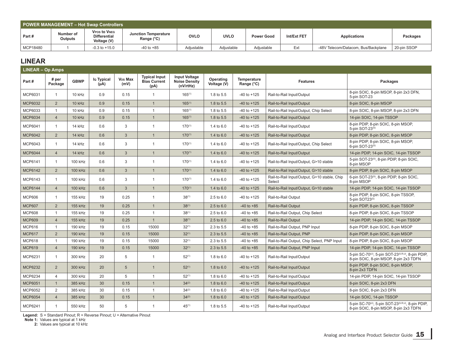|          | <b>POWER MANAGEMENT - Hot Swap Controllers</b> |                                                           |                                             |             |             |                   |             |                                     |             |  |  |  |
|----------|------------------------------------------------|-----------------------------------------------------------|---------------------------------------------|-------------|-------------|-------------------|-------------|-------------------------------------|-------------|--|--|--|
| Part #   | Number of<br>Outputs                           | <b>VPOS to VNEG</b><br><b>Differential</b><br>Voltage (V) | Junction Temperature<br>Range $(^{\circ}C)$ | <b>OVLO</b> | <b>UVLO</b> | <b>Power Good</b> | Int/Ext FET | Applications                        | Packages    |  |  |  |
| MCP18480 |                                                | $-0.3$ to $+15.0$                                         | $-40$ to $+85$                              | Adjustable  | Adjustable  | Adiustable        | Ext         | -48V Telecom/Datacom, Bus/Backplane | 20-pin SSOP |  |  |  |

## **LINEAR**

| <b>LINEAR - Op Amps</b> |                  |             |                    |                 |                                                     |                                                           |                          |                           |                                                        |                                                                                                                      |
|-------------------------|------------------|-------------|--------------------|-----------------|-----------------------------------------------------|-----------------------------------------------------------|--------------------------|---------------------------|--------------------------------------------------------|----------------------------------------------------------------------------------------------------------------------|
| Part#                   | # per<br>Package | <b>GBWP</b> | lo Typical<br>(Au) | Vos Max<br>(mV) | <b>Typical Input</b><br><b>Bias Current</b><br>(pA) | <b>Input Voltage</b><br><b>Noise Density</b><br>(nV/rtHz) | Operating<br>Voltage (V) | Temperature<br>Range (°C) | <b>Features</b>                                        | Packages                                                                                                             |
| MCP6031                 | $\overline{1}$   | 10 kHz      | 0.9                | 0.15            | $\mathbf{1}$                                        | $165^{(1)}$                                               | 1.8 to 5.5               | $-40$ to $+125$           | Rail-to-Rail Input/Output                              | 8-pin SOIC, 8-pin MSOP, 8-pin 2x3 DFN,<br>5-pin SOT-23                                                               |
| <b>MCP6032</b>          | $\overline{2}$   | 10 kHz      | 0.9                | 0.15            | $\overline{1}$                                      | $165^{(1)}$                                               | 1.8 to 5.5               | $-40$ to $+125$           | Rail-to-Rail Input/Output                              | 8-pin SOIC, 8-pin MSOP                                                                                               |
| MCP6033                 | $\overline{1}$   | 10 kHz      | 0.9                | 0.15            | $\mathbf{1}$                                        | $165^{(1)}$                                               | 1.8 to 5.5               | $-40$ to $+125$           | Rail-to-Rail Input/Output, Chip Select                 | 8-pin SOIC, 8-pin MSOP, 8-pin 2x3 DFN                                                                                |
| <b>MCP6034</b>          | $\overline{4}$   | 10 kHz      | 0.9                | 0.15            | $\mathbf{1}$                                        | $165^{(1)}$                                               | 1.8 to 5.5               | $-40$ to $+125$           | Rail-to-Rail Input/Output                              | 14-pin SOIC, 14-pin TSSOP                                                                                            |
| MCP6041                 | $\overline{1}$   | 14 kHz      | 0.6                | 3               | $\mathbf{1}$                                        | $170^{(1)}$                                               | 1.4 to 6.0               | $-40$ to $+125$           | Rail-to-Rail Input/Output                              | 8-pin PDIP, 8-pin SOIC, 8-pin MSOP,<br>5-pin SOT-23(S)                                                               |
| <b>MCP6042</b>          | 2                | 14 kHz      | 0.6                | $\mathbf{3}$    | $\overline{1}$                                      | $170^{(1)}$                                               | 1.4 to 6.0               | $-40$ to $+125$           | Rail-to-Rail Input/Output                              | 8-pin PDIP, 8-pin SOIC, 8-pin MSOP                                                                                   |
| MCP6043                 | $\overline{1}$   | 14 kHz      | 0.6                | 3               | $\mathbf{1}$                                        | $170^{(1)}$                                               | 1.4 to 6.0               | $-40$ to $+125$           | Rail-to-Rail Input/Output, Chip Select                 | 8-pin PDIP, 8-pin SOIC, 8-pin MSOP,<br>6-pin SOT-23(S)                                                               |
| <b>MCP6044</b>          | $\overline{4}$   | 14 kHz      | 0.6                | $\mathbf{3}$    | $\overline{1}$                                      | $170^{(1)}$                                               | 1.4 to $6.0$             | $-40$ to $+125$           | Rail-to-Rail Input/Output                              | 14-pin PDIP, 14-pin SOIC, 14-pin TSSOP                                                                               |
| MCP6141                 | $\overline{1}$   | 100 kHz     | 0.6                | 3               | $\overline{1}$                                      | $170^{(1)}$                                               | 1.4 to 6.0               | $-40$ to $+125$           | Rail-to-Rail Input/Output, G>10 stable                 | 5-pin SOT-23(S), 8-pin PDIP, 8-pin SOIC,<br>8-pin MSOP                                                               |
| <b>MCP6142</b>          | 2                | 100 kHz     | 0.6                | 3               | $\overline{1}$                                      | $170^{(1)}$                                               | 1.4 to $6.0$             | $-40$ to $+125$           | Rail-to-Rail Input/Output, G>10 stable                 | 8-pin PDIP, 8-pin SOIC, 8-pin MSOP                                                                                   |
| MCP6143                 | $\overline{1}$   | 100 kHz     | 0.6                | 3               | $\overline{1}$                                      | $170^{(1)}$                                               | 1.4 to 6.0               | $-40$ to $+125$           | Rail-to-Rail Input/Output, G>10 stable, Chip<br>Select | 6-pin SOT-23(S), 8-pin PDIP, 8-pin SOIC,<br>8-pin MSOP                                                               |
| <b>MCP6144</b>          | $\overline{4}$   | 100 kHz     | 0.6                | $\mathbf{3}$    | $\overline{1}$                                      | $170^{(1)}$                                               | 1.4 to $6.0$             | $-40$ to $+125$           | Rail-to-Rail Input/Output, G>10 stable                 | 14-pin PDIP, 14-pin SOIC, 14-pin TSSOP                                                                               |
| <b>MCP606</b>           | $\overline{1}$   | 155 kHz     | 19                 | 0.25            | $\mathbf{1}$                                        | $38^{(1)}$                                                | $2.5 \text{ to } 6.0$    | $-40$ to $+125$           | Rail-to-Rail Output                                    | 8-pin PDIP, 8-pin SOIC, 8-pin TSSOP,<br>5-pin SOT23(S)                                                               |
| <b>MCP607</b>           | 2                | 155 kHz     | 19                 | 0.25            | $\overline{1}$                                      | $38^{(1)}$                                                | 2.5 to 6.0               | $-40$ to $+85$            | Rail-to-Rail Output                                    | 8-pin PDIP, 8-pin SOIC, 8-pin TSSOP                                                                                  |
| <b>MCP608</b>           | $\overline{1}$   | 155 kHz     | 19                 | 0.25            | $\mathbf{1}$                                        | $38^{(1)}$                                                | 2.5 to 6.0               | $-40$ to $+85$            | Rail-to-Rail Output, Chip Select                       | 8-pin PDIP, 8-pin SOIC, 8-pin TSSOP                                                                                  |
| <b>MCP609</b>           | $\overline{4}$   | 155 kHz     | 19                 | 0.25            | $\overline{1}$                                      | $38^{(1)}$                                                | 2.5 to 6.0               | $-40$ to $+85$            | Rail-to-Rail Output                                    | 14-pin PDIP, 14-pin SOIC, 14-pin TSSOP                                                                               |
| <b>MCP616</b>           | $\overline{1}$   | 190 kHz     | 19                 | 0.15            | 15000                                               | $32^{(1)}$                                                | 2.3 to 5.5               | $-40$ to $+85$            | Rail-to-Rail Output, PNP Input                         | 8-pin PDIP, 8-pin SOIC, 8-pin MSOP                                                                                   |
| <b>MCP617</b>           | $\overline{2}$   | 190 kHz     | 19                 | 0.15            | 15000                                               | $32^{(1)}$                                                | 2.3 to 5.5               | $-40$ to $+85$            | Rail-to-Rail Output, PNP                               | 8-pin PDIP, 8-pin SOIC, 8-pin MSOP                                                                                   |
| <b>MCP618</b>           | $\overline{1}$   | 190 kHz     | 19                 | 0.15            | 15000                                               | $32^{(1)}$                                                | 2.3 to 5.5               | $-40$ to $+85$            | Rail-to-Rail Output, Chip Select, PNP Input            | 8-pin PDIP, 8-pin SOIC, 8-pin MSOP                                                                                   |
| <b>MCP619</b>           | $\overline{4}$   | 190 kHz     | 19                 | 0.15            | 15000                                               | $32^{(1)}$                                                | 2.3 to 5.5               | $-40$ to $+85$            | Rail-to-Rail Output, PNP Input                         | 14-pin PDIP, 14-pin SOIC, 14-pin TSSOP                                                                               |
| MCP6231                 | $\overline{1}$   | 300 kHz     | 20                 | 5               | $\mathbf{1}$                                        | $52^{(1)}$                                                | 1.8 to $6.0$             | $-40$ to $+125$           | Rail-to-Rail Input/Output                              | 5-pin SC-70 <sup>(U)</sup> , 5-pin SOT-23 <sup>(S,R,U)</sup> , 8-pin PDIP,<br>8-pin SOIC, 8-pin MSOP, 8-pin 2x3 TDFN |
| <b>MCP6232</b>          | $\overline{2}$   | 300 kHz     | 20                 | 5               | $\overline{1}$                                      | $52^{(1)}$                                                | 1.8 to 6.0               | $-40$ to $+125$           | Rail-to-Rail Input/Output                              | 8-pin PDIP, 8-pin SOIC, 8-pin MSOP,<br>8-pin 2x3 TDFN                                                                |
| MCP6234                 | $\overline{4}$   | 300 kHz     | 20                 | 5               | $\mathbf{1}$                                        | $52^{(1)}$                                                | 1.8 to 6.0               | $-40$ to $+125$           | Rail-to-Rail Input/Output                              | 14-pin PDIP, 14-pin SOIC, 14-pin TSSOP                                                                               |
| <b>MCP6051</b>          | $\overline{1}$   | 385 kHz     | 30                 | 0.15            | $\overline{1}$                                      | $34^{(2)}$                                                | 1.8 to 6.0               | $-40$ to $+125$           | Rail-to-Rail Input/Output                              | 8-pin SOIC, 8-pin 2x3 DFN                                                                                            |
| MCP6052                 | 2                | 385 kHz     | 30                 | 0.15            | $\mathbf{1}$                                        | $34^{(2)}$                                                | 1.8 to 6.0               | $-40$ to $+125$           | Rail-to-Rail Input/Output                              | 8-pin SOIC, 8-pin 2x3 DFN                                                                                            |
| <b>MCP6054</b>          | $\overline{4}$   | 385 kHz     | 30                 | 0.15            | $\overline{1}$                                      | $34^{(2)}$                                                | 1.8 to 6.0               | $-40$ to $+125$           | Rail-to-Rail Input/Output                              | 14-pin SOIC, 14-pin TSSOP                                                                                            |
| MCP6241                 | $\mathbf{1}$     | 550 kHz     | 50                 | 5               | $\overline{1}$                                      | $45^{(1)}$                                                | 1.8 to 5.5               | $-40$ to $+125$           | Rail-to-Rail Input/Output                              | 5-pin SC-70 <sup>(U)</sup> , 5-pin SOT-23 <sup>(S,R,U)</sup> , 8-pin PDIP,<br>8-pin SOIC, 8-pin MSOP, 8-pin 2x3 TDFN |

**Legend:** S = Standard Pinout; R = Reverse Pinout; U = Alternative Pinout

 **Note 1:** Values are typical at 1 kHz

 **2:** Values are typical at 10 kHz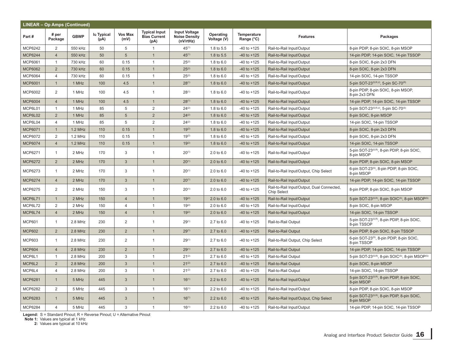| <b>LINEAR - Op Amps (Continued)</b> |                  |             |                         |                        |                                                     |                                                           |                          |                           |                                                                  |                                                                       |  |
|-------------------------------------|------------------|-------------|-------------------------|------------------------|-----------------------------------------------------|-----------------------------------------------------------|--------------------------|---------------------------|------------------------------------------------------------------|-----------------------------------------------------------------------|--|
| Part#                               | # per<br>Package | <b>GBWP</b> | lo Typical<br>$(\mu A)$ | <b>Vos Max</b><br>(mV) | <b>Typical Input</b><br><b>Bias Current</b><br>(pA) | <b>Input Voltage</b><br><b>Noise Density</b><br>(nV/rtHz) | Operating<br>Voltage (V) | Temperature<br>Range (°C) | <b>Features</b>                                                  | Packages                                                              |  |
| MCP6242                             | 2                | 550 kHz     | 50                      | 5                      | $\mathbf{1}$                                        | $45^{(1)}$                                                | 1.8 to 5.5               | $-40$ to $+125$           | Rail-to-Rail Input/Output                                        | 8-pin PDIP, 8-pin SOIC, 8-pin MSOP                                    |  |
| <b>MCP6244</b>                      | $\overline{4}$   | 550 kHz     | 50                      | 5                      | $\mathbf{1}$                                        | $45^{(1)}$                                                | 1.8 to 5.5               | $-40$ to $+125$           | Rail-to-Rail Input/Output                                        | 14-pin PDIP, 14-pin SOIC, 14-pin TSSOP                                |  |
| MCP6061                             | $\mathbf{1}$     | 730 kHz     | 60                      | 0.15                   | $\mathbf{1}$                                        | $25^{(2)}$                                                | 1.8 to 6.0               | $-40$ to $+125$           | Rail-to-Rail Input/Output                                        | 8-pin SOIC, 8-pin 2x3 DFN                                             |  |
| MCP6062                             | $\overline{2}$   | 730 kHz     | 60                      | 0.15                   | $\mathbf{1}$                                        | $25^{(2)}$                                                | 1.8 to $6.0$             | $-40$ to $+125$           | Rail-to-Rail Input/Output                                        | 8-pin SOIC, 8-pin 2x3 DFN                                             |  |
| MCP6064                             | $\overline{4}$   | 730 kHz     | 60                      | 0.15                   | $\mathbf{1}$                                        | $25^{(2)}$                                                | 1.8 to 6.0               | $-40$ to $+125$           | Rail-to-Rail Input/Output                                        | 14-pin SOIC, 14-pin TSSOP                                             |  |
| <b>MCP6001</b>                      | $\overline{1}$   | 1 MHz       | 100                     | 4.5                    | $\mathbf{1}$                                        | $28^{(1)}$                                                | 1.8 to $6.0$             | $-40$ to $+125$           | Rail-to-Rail Input/Output                                        | 5-pin SOT-23 <sup>(S,R,U)</sup> , 5-pin SC-70 <sup>(R)</sup>          |  |
| MCP6002                             | $\overline{2}$   | 1 MHz       | 100                     | 4.5                    | $\mathbf{1}$                                        | $28^{(1)}$                                                | 1.8 to 6.0               | $-40$ to $+125$           | Rail-to-Rail Input/Output                                        | 8-pin PDIP, 8-pin SOIC, 8-pin MSOP,<br>8-pin 2x3 DFN                  |  |
| <b>MCP6004</b>                      | $\overline{4}$   | 1 MHz       | 100                     | 4.5                    | $\mathbf{1}$                                        | $28^{(1)}$                                                | 1.8 to 6.0               | $-40$ to $+125$           | Rail-to-Rail Input/Output                                        | 14-pin PDIP, 14-pin SOIC, 14-pin TSSOP                                |  |
| MCP6L01                             | $\mathbf{1}$     | 1 MHz       | 85                      | 5                      | 2                                                   | $24^{(2)}$                                                | 1.8 to 6.0               | $-40$ to $+125$           | Rail-to-Rail Input/Output                                        | 5-pin SOT-23(S,R,U), 5-pin SC-70(S)                                   |  |
| MCP6L02                             | 2                | 1 MHz       | 85                      | 5                      | $\overline{2}$                                      | $24^{(2)}$                                                | 1.8 to 6.0               | $-40$ to $+125$           | Rail-to-Rail Input/Output                                        | 8-pin SOIC, 8-pin MSOP                                                |  |
| MCP6L04                             | $\overline{4}$   | 1 MHz       | 85                      | 5                      | 2                                                   | $24^{(2)}$                                                | 1.8 to 6.0               | $-40$ to $+125$           | Rail-to-Rail Input/Output                                        | 14-pin SOIC, 14-pin TSSOP                                             |  |
| <b>MCP6071</b>                      | $\overline{1}$   | 1.2 MHz     | 110                     | 0.15                   | $\mathbf{1}$                                        | $19^{(2)}$                                                | 1.8 to $6.0$             | $-40$ to $+125$           | Rail-to-Rail Input/Output                                        | 8-pin SOIC, 8-pin 2x3 DFN                                             |  |
| MCP6072                             | $\overline{2}$   | $1.2$ MHz   | 110                     | 0.15                   | $\mathbf{1}$                                        | $19^{(2)}$                                                | 1.8 to 6.0               | $-40$ to $+125$           | Rail-to-Rail Input/Output                                        | 8-pin SOIC, 8-pin 2x3 DFN                                             |  |
| <b>MCP6074</b>                      | $\overline{4}$   | 1.2 MHz     | 110                     | 0.15                   | $\mathbf{1}$                                        | $19^{(2)}$                                                | 1.8 to $6.0$             | $-40$ to $+125$           | Rail-to-Rail Input/Output                                        | 14-pin SOIC, 14-pin TSSOP                                             |  |
| MCP6271                             | $\mathbf{1}$     | 2 MHz       | 170                     | 3                      | $\mathbf{1}$                                        | $20^{(1)}$                                                | 2.0 to 6.0               | $-40$ to $+125$           | Rail-to-Rail Input/Output                                        | 5-pin SOT-23(S,R), 8-pin PDIP, 8-pin SOIC,<br>8-pin MSOP              |  |
| <b>MCP6272</b>                      | $\overline{2}$   | 2 MHz       | 170                     | $\mathfrak{S}$         | $\mathbf{1}$                                        | $20^{(1)}$                                                | $2.0 \text{ to } 6.0$    | $-40$ to $+125$           | Rail-to-Rail Input/Output                                        | 8-pin PDIP, 8-pin SOIC, 8-pin MSOP                                    |  |
| MCP6273                             | $\mathbf{1}$     | 2 MHz       | 170                     | 3                      | $\mathbf{1}$                                        | $20^{(1)}$                                                | $2.0 \text{ to } 6.0$    | $-40$ to $+125$           | Rail-to-Rail Input/Output, Chip Select                           | 6-pin SOT-23(S), 8-pin PDIP, 8-pin SOIC,<br>8-pin MSOP                |  |
| <b>MCP6274</b>                      | $\overline{4}$   | 2 MHz       | 170                     | $\mathbf{3}$           | $\mathbf{1}$                                        | $20^{(1)}$                                                | $2.0 \text{ to } 6.0$    | $-40$ to $+125$           | Rail-to-Rail Input/Output                                        | 14-pin PDIP, 14-pin SOIC, 14-pin TSSOP                                |  |
| MCP6275                             | 2                | 2 MHz       | 150                     | 3                      | $\mathbf{1}$                                        | $20^{(1)}$                                                | $2.0$ to $6.0$           | $-40$ to $+125$           | Rail-to-Rail Input/Output, Dual Connected,<br><b>Chip Select</b> | 8-pin PDIP, 8-pin SOIC, 8-pin MSOP                                    |  |
| MCP6L71                             | $\overline{1}$   | 2 MHz       | 150                     | $\overline{4}$         | $\mathbf{1}$                                        | $19^{(2)}$                                                | $2.0 \text{ to } 6.0$    | $-40$ to $+125$           | Rail-to-Rail Input/Output                                        | 5-pin SOT-23(S,R), 8-pin SOIC(S), 8-pin MSOP(S)                       |  |
| MCP6L72                             | $\overline{2}$   | 2 MHz       | 150                     | $\overline{4}$         | $\mathbf{1}$                                        | $19^{(2)}$                                                | 2.0 to 6.0               | $-40$ to $+125$           | Rail-to-Rail Input/Output                                        | 8-pin SOIC, 8-pin MSOP                                                |  |
| MCP6L74                             | $\overline{4}$   | 2 MHz       | 150                     | $\overline{4}$         | $\mathbf{1}$                                        | $19^{(2)}$                                                | $2.0 \text{ to } 6.0$    | $-40$ to $+125$           | Rail-to-Rail Input/Output                                        | 14-pin SOIC, 14-pin TSSOP                                             |  |
| <b>MCP601</b>                       | $\mathbf{1}$     | 2.8 MHz     | 230                     | 2                      | $\mathbf{1}$                                        | $29^{(1)}$                                                | 2.7 to 6.0               | $-40$ to $+125$           | Rail-to-Rail Output                                              | 5-pin SOT-23(S,R), 8-pin PDIP, 8-pin SOIC,<br>8-pin TSSOP             |  |
| <b>MCP602</b>                       | $\overline{2}$   | 2.8 MHz     | 230                     | $\overline{2}$         | $\mathbf{1}$                                        | $29^{(1)}$                                                | 2.7 to 6.0               | $-40$ to $+125$           | Rail-to-Rail Output                                              | 8-pin PDIP, 8-pin SOIC, 8-pin TSSOP                                   |  |
| <b>MCP603</b>                       | $\mathbf{1}$     | 2.8 MHz     | 230                     | $\overline{2}$         | $\mathbf{1}$                                        | $29^{(1)}$                                                | 2.7 to 6.0               | $-40$ to $+125$           | Rail-to-Rail Output, Chip Select                                 | 6-pin SOT-23(S), 8-pin PDIP, 8-pin SOIC,<br>8-pin TSSOP               |  |
| <b>MCP604</b>                       | $\overline{4}$   | $2.8$ MHz   | 230                     | $\overline{2}$         | $\mathbf{1}$                                        | $29^{(1)}$                                                | 2.7 to 6.0               | $-40$ to $+125$           | Rail-to-Rail Output                                              | 14-pin PDIP, 14-pin SOIC, 14-pin TSSOP                                |  |
| MCP6L1                              | $\mathbf{1}$     | 2.8 MHz     | 200                     | 3                      | $\mathbf{1}$                                        | $21^{(2)}$                                                | 2.7 to 6.0               | $-40$ to $+125$           | Rail-to-Rail Output                                              | 5-pin SOT-23(S,R), 8-pin SOIC(S), 8-pin MSOP(S)                       |  |
| MCP6L2                              | $\overline{2}$   | 2.8 MHz     | 200                     | $\mathbf{3}$           | $\mathbf{1}$                                        | $21^{(2)}$                                                | 2.7 to 6.0               | $-40$ to $+125$           | Rail-to-Rail Output                                              | 8-pin SOIC, 8-pin MSOP                                                |  |
| MCP6L4                              | $\overline{4}$   | 2.8 MHz     | 200                     | 3                      | $\mathbf{1}$                                        | $21^{(2)}$                                                | 2.7 to 6.0               | $-40$ to $+125$           | Rail-to-Rail Output                                              | 14-pin SOIC, 14-pin TSSOP                                             |  |
| <b>MCP6281</b>                      | $\overline{1}$   | 5 MHz       | 445                     | 3                      | $\mathbf{1}$                                        | $16^{(1)}$                                                | $2.2$ to $6.0$           | $-40$ to $+125$           | Rail-to-Rail Input/Output                                        | 5-pin SOT-23(S,R), 8-pin PDIP, 8-pin SOIC,<br>8-pin MSOP              |  |
| MCP6282                             | 2                | 5 MHz       | 445                     | 3                      | $\mathbf{1}$                                        | $16^{(1)}$                                                | 2.2 to 6.0               | $-40$ to $+125$           | Rail-to-Rail Input/Output                                        | 8-pin PDIP, 8-pin SOIC, 8-pin MSOP                                    |  |
| MCP6283                             | $\mathbf{1}$     | 5 MHz       | 445                     | 3                      | $\mathbf{1}$                                        | $16^{(1)}$                                                | $2.2$ to $6.0$           | $-40$ to $+125$           | Rail-to-Rail Input/Output, Chip Select                           | 6-pin SOT-23 <sup>(S,R)</sup> , 8-pin PDIP, 8-pin SOIC,<br>8-pin MSOP |  |
| MCP6284                             | $\overline{4}$   | 5 MHz       | 445                     | 3                      | $\mathbf{1}$                                        | $16^{(1)}$                                                | 2.2 to 6.0               | $-40$ to $+125$           | Rail-to-Rail Input/Output                                        | 14-pin PDIP, 14-pin SOIC, 14-pin TSSOP                                |  |

 **Note 1:** Values are typical at 1 kHz

 **2:** Values are typical at 10 kHz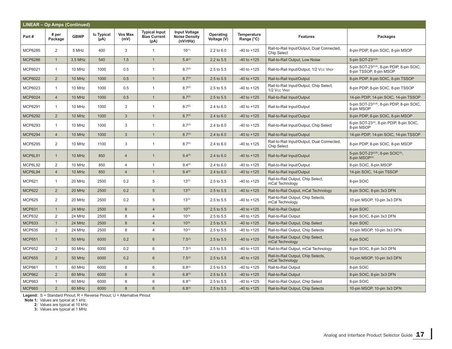|                | <b>LINEAR - Op Amps (Continued)</b> |               |                         |                        |                                                     |                                                           |                          |                                  |                                                                  |                                                                              |  |  |
|----------------|-------------------------------------|---------------|-------------------------|------------------------|-----------------------------------------------------|-----------------------------------------------------------|--------------------------|----------------------------------|------------------------------------------------------------------|------------------------------------------------------------------------------|--|--|
| Part#          | # per<br>Package                    | <b>GBWP</b>   | lo Typical<br>$(\mu A)$ | <b>Vos Max</b><br>(mV) | <b>Typical Input</b><br><b>Bias Current</b><br>(pA) | <b>Input Voltage</b><br><b>Noise Density</b><br>(nV/rtHz) | Operating<br>Voltage (V) | <b>Temperature</b><br>Range (°C) | <b>Features</b>                                                  | <b>Packages</b>                                                              |  |  |
| MCP6285        | 2                                   | 5 MHz         | 400                     | 3                      | $\mathbf{1}$                                        | $16^{(1)}$                                                | 2.2 to 6.0               | $-40$ to $+125$                  | Rail-to-Rail Input/Output, Dual Connected,<br><b>Chip Select</b> | 8-pin PDIP, 8-pin SOIC, 8-pin MSOP                                           |  |  |
| <b>MCP6286</b> | $\mathbf{1}$                        | 3.5 MHz       | 540                     | 1.5                    | $\mathbf{1}$                                        | 5.4(2)                                                    | 2.2 to 5.5               | $-40$ to $+125$                  | Rail-to-Rail Output, Low Noise                                   | 5-pin SOT-23(S,R)                                                            |  |  |
| MCP6021        | $\mathbf{1}$                        | 10 MHz        | 1000                    | 0.5                    | $\mathbf{1}$                                        | 8.7 <sup>(2)</sup>                                        | 2.5 to 5.5               | $-40$ to $+125$                  | Rail-to-Rail Input/Output, 1/2 Vcc VREF                          | 5-pin SOT-23(S,R), 8-pin PDIP, 8-pin SOIC,<br>8-pin TSSOP, 8-pin MSOP        |  |  |
| <b>MCP6022</b> | 2                                   | 10 MHz        | 1000                    | 0.5                    | $\mathbf{1}$                                        | 8.7 <sup>(2)</sup>                                        | 2.5 to 5.5               | $-40$ to $+125$                  | Rail-to-Rail Input/Output                                        | 8-pin PDIP, 8-pin SOIC, 8-pin TSSOP                                          |  |  |
| MCP6023        | $\mathbf{1}$                        | 10 MHz        | 1000                    | 0.5                    | $\mathbf{1}$                                        | 8.7 <sup>(2)</sup>                                        | 2.5 to 5.5               | $-40$ to $+125$                  | Rail-to-Rail Input/Output, Chip Select,<br>1/2 Vcc VREF          | 8-pin PDIP, 8-pin SOIC, 8-pin TSSOP                                          |  |  |
| <b>MCP6024</b> | $\overline{4}$                      | 10 MHz        | 1000                    | 0.5                    | $\mathbf{1}$                                        | 8.7 <sup>(2)</sup>                                        | 2.5 to 5.5               | $-40$ to $+125$                  | Rail-to-Rail Input/Output                                        | 14-pin PDIP, 14-pin SOIC, 14-pin TSSOP                                       |  |  |
| MCP6291        | $\mathbf{1}$                        | 10 MHz        | 1000                    | 3                      | $\mathbf{1}$                                        | 8.7 <sup>(2)</sup>                                        | 2.4 to 6.0               | $-40$ to $+125$                  | Rail-to-Rail Input/Output                                        | 5-pin SOT-23(S,R), 8-pin PDIP, 8-pin SOIC,<br>8-pin MSOP                     |  |  |
| MCP6292        | $\overline{2}$                      | 10 MHz        | 1000                    | $\mathbf{3}$           | $\mathbf{1}$                                        | 8.7 <sup>(2)</sup>                                        | 2.4 to 6.0               | $-40$ to $+125$                  | Rail-to-Rail Input/Output                                        | 8-pin PDIP, 8-pin SOIC, 8-pin MSOP                                           |  |  |
| MCP6293        | $\mathbf{1}$                        | 10 MHz        | 1000                    | 3                      | $\mathbf{1}$                                        | 8.7 <sup>(2)</sup>                                        | $2.4 \text{ to } 6.0$    | $-40$ to $+125$                  | Rail-to-Rail Input/Output, Chip Select                           | 6-pin SOT-23(S), 8-pin PDIP, 8-pin SOIC,<br>8-pin MSOP                       |  |  |
| <b>MCP6294</b> | $\overline{4}$                      | 10 MHz        | 1000                    | $\mathbf{3}$           | $\mathbf{1}$                                        | 8.7 <sup>(2)</sup>                                        | 2.4 to 6.0               | $-40$ to $+125$                  | Rail-to-Rail Input/Output                                        | 14-pin PDIP, 14-pin SOIC, 14-pin TSSOP                                       |  |  |
| MCP6295        | 2                                   | 10 MHz        | 1100                    | 3                      | $\mathbf{1}$                                        | 8.7 <sup>(2)</sup>                                        | 2.4 to 6.0               | $-40$ to $+125$                  | Rail-to-Rail Input/Output, Dual Connected,<br><b>Chip Select</b> | 8-pin PDIP, 8-pin SOIC, 8-pin MSOP                                           |  |  |
| MCP6L91        | $\mathbf{1}$                        | 10 MHz        | 850                     | $\overline{4}$         | $\mathbf{1}$                                        | $9.4^{(2)}$                                               | 2.4 to 6.0               | $-40$ to $+125$                  | Rail-to-Rail Input/Output                                        | 5-pin SOT-23 <sup>(S,R)</sup> , 8-pin SOIC <sup>(S)</sup> ,<br>8-pin MSOP(S) |  |  |
| MCP6L92        | 2                                   | 10 MHz        | 850                     | $\overline{4}$         | $\mathbf{1}$                                        | $9.4^{(2)}$                                               | 2.4 to 6.0               | $-40$ to $+125$                  | Rail-to-Rail Input/Output                                        | 8-pin SOIC, 8-pin MSOP                                                       |  |  |
| MCP6L94        | $\overline{4}$                      | 10 MHz        | 850                     | $\overline{4}$         | $\mathbf{1}$                                        | $9.4^{(2)}$                                               | 2.4 to 6.0               | $-40$ to $+125$                  | Rail-to-Rail Input/Output                                        | 14-pin SOIC, 14-pin TSSOP                                                    |  |  |
| <b>MCP621</b>  | $\mathbf{1}$                        | 20 MHz        | 2500                    | 0.2                    | 5                                                   | $13^{(3)}$                                                | 2.5 to 5.5               | $-40$ to $+125$                  | Rail-to-Rail Output, Chip Select,<br>mCal Technology             | 8-pin SOIC                                                                   |  |  |
| <b>MCP622</b>  | 2                                   | 20 MHz        | 2500                    | 0.2                    | 5                                                   | $13^{(3)}$                                                | 2.5 to 5.5               | $-40$ to $+125$                  | Rail-to-Rail Output, mCal Technology                             | 8-pin SOIC, 8-pin 3x3 DFN                                                    |  |  |
| <b>MCP625</b>  | 2                                   | 20 MHz        | 2500                    | 0.2                    | 5                                                   | $13^{(3)}$                                                | 2.5 to 5.5               | $-40$ to $+125$                  | Rail-to-Rail Output, Chip Selects,<br>mCal Technology            | 10-pin MSOP, 10-pin 3x3 DFN                                                  |  |  |
| <b>MCP631</b>  | $\mathbf{1}$                        | 24 MHz        | 2500                    | 8                      | $\overline{4}$                                      | $10^{(3)}$                                                | 2.5 to 5.5               | $-40$ to $+125$                  | Rail-to-Rail Output                                              | 8-pin SOIC                                                                   |  |  |
| <b>MCP632</b>  | 2                                   | 24 MHz        | 2500                    | 8                      | 4                                                   | $10^{(3)}$                                                | 2.5 to 5.5               | $-40$ to $+125$                  | Rail-to-Rail Output                                              | 8-pin SOIC, 8-pin 3x3 DFN                                                    |  |  |
| <b>MCP633</b>  | $\mathbf{1}$                        | 24 MHz        | 2500                    | 8                      | $\overline{4}$                                      | $10^{(3)}$                                                | 2.5 to 5.5               | $-40$ to $+125$                  | Rail-to-Rail Output, Chip Select                                 | 8-pin SOIC                                                                   |  |  |
| <b>MCP635</b>  | $\overline{2}$                      | 24 MHz        | 2500                    | 8                      | 4                                                   | $10^{(3)}$                                                | 2.5 to 5.5               | $-40$ to $+125$                  | Rail-to-Rail Output, Chip Selects                                | 10-pin MSOP, 10-pin 3x3 DFN                                                  |  |  |
| <b>MCP651</b>  | $\mathbf{1}$                        | 50 MHz        | 6000                    | 0.2                    | 6                                                   | $7.5^{(3)}$                                               | 2.5 to 5.5               | $-40$ to $+125$                  | Rail-to-Rail Output, Chip Select,<br>mCal Technology             | 8-pin SOIC                                                                   |  |  |
| <b>MCP652</b>  | 2                                   | 50 MHz        | 6000                    | 0.2                    | 6                                                   | $7.5^{(3)}$                                               | 2.5 to 5.5               | $-40$ to $+125$                  | Rail-to-Rail Output, mCal Technology                             | 8-pin SOIC, 8-pin 3x3 DFN                                                    |  |  |
| <b>MCP655</b>  | $\overline{2}$                      | <b>50 MHz</b> | 6000                    | 0.2                    | 6                                                   | $7.5^{(3)}$                                               | 2.5 to 5.5               | $-40$ to $+125$                  | Rail-to-Rail Output, Chip Selects,<br>mCal Technology            | 10-pin MSOP, 10-pin 3x3 DFN                                                  |  |  |
| <b>MCP661</b>  | $\mathbf{1}$                        | 60 MHz        | 6000                    | 8                      | 6                                                   | $6.8^{(3)}$                                               | 2.5 to 5.5               | $-40$ to $+125$                  | Rail-to-Rail Output                                              | 8-pin SOIC                                                                   |  |  |
| <b>MCP662</b>  | $\overline{2}$                      | 60 MHz        | 6000                    | 8                      | 6                                                   | $6.8^{(3)}$                                               | 2.5 to 5.5               | $-40$ to $+125$                  | Rail-to-Rail Output                                              | 8-pin SOIC, 8-pin 3x3 DFN                                                    |  |  |
| <b>MCP663</b>  | $\mathbf{1}$                        | 60 MHz        | 6000                    | 8                      | 6                                                   | $6.8^{(3)}$                                               | 2.5 to 5.5               | $-40$ to $+125$                  | Rail-to-Rail Output, Chip Select                                 | 8-pin SOIC                                                                   |  |  |
| <b>MCP665</b>  | $\overline{2}$                      | 60 MHz        | 6000                    | 8                      | 6                                                   | $6.8^{(3)}$                                               | 2.5 to 5.5               | $-40$ to $+125$                  | Rail-to-Rail Output, Chip Selects                                | 10-pin MSOP, 10-pin 3x3 DFN                                                  |  |  |

 **Note 1:** Values are typical at 1 kHz

 **2:** Values are typical at 10 kHz

 **3:** Values are typical at 1 MHz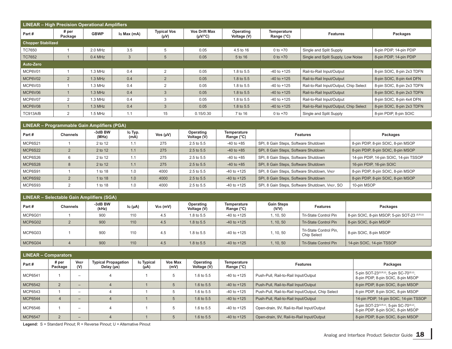|                           | <b>LINEAR - High Precision Operational Amplifiers</b>                                                                              |           |                          |                           |           |            |                 |                                        |                            |  |  |  |  |
|---------------------------|------------------------------------------------------------------------------------------------------------------------------------|-----------|--------------------------|---------------------------|-----------|------------|-----------------|----------------------------------------|----------------------------|--|--|--|--|
| Part#                     | <b>Typical Vos</b><br><b>Vos Drift Max</b><br># <sub>per</sub><br><b>GBWP</b><br>Io Max (mA)<br>$(UV)^{\circ}C$<br>Package<br>(Vu) |           | Operating<br>Voltage (V) | Temperature<br>Range (°C) | Features  | Packages   |                 |                                        |                            |  |  |  |  |
| <b>Chopper Stabilized</b> |                                                                                                                                    |           |                          |                           |           |            |                 |                                        |                            |  |  |  |  |
| <b>TC7650</b>             |                                                                                                                                    | 2.0 MHz   | 3.5                      | 5                         | 0.05      | 4.5 to 16  | $0$ to $+70$    | Single and Split Supply                | 8-pin PDIP, 14-pin PDIP    |  |  |  |  |
| <b>TC7652</b>             |                                                                                                                                    | $0.4$ MHz | 3                        |                           | 0.05      | 5 to 16    | 0 to $+70$      | Single and Split Supply, Low Noise     | 8-pin PDIP, 14-pin PDIP    |  |  |  |  |
| Auto-Zero                 |                                                                                                                                    |           |                          |                           |           |            |                 |                                        |                            |  |  |  |  |
| MCP6V01                   |                                                                                                                                    | $1.3$ MHz | 0.4                      | 2                         | 0.05      | 1.8 to 5.5 | $-40$ to $+125$ | Rail-to-Rail Input/Output              | 8-pin SOIC, 8-pin 2x3 TDFN |  |  |  |  |
| MCP6V02                   | 2                                                                                                                                  | $1.3$ MHz | 0.4                      | 2                         | 0.05      | 1.8 to 5.5 | $-40$ to $+125$ | Rail-to-Rail Input/Output              | 8-pin SOIC, 8-pin 4x4 DFN  |  |  |  |  |
| MCP6V03                   |                                                                                                                                    | $1.3$ MHz | 0.4                      | 2                         | 0.05      | 1.8 to 5.5 | $-40$ to $+125$ | Rail-to-Rail Input/Output, Chip Select | 8-pin SOIC, 8-pin 2x3 TDFN |  |  |  |  |
| MCP6V06                   |                                                                                                                                    | $1.3$ MHz | 0.4                      |                           | 0.05      | 1.8 to 5.5 | $-40$ to $+125$ | Rail-to-Rail Input/Output              | 8-pin SOIC, 8-pin 2x3 TDFN |  |  |  |  |
| MCP6V07                   | 2                                                                                                                                  | $1.3$ MHz | 0.4                      | 3                         | 0.05      | 1.8 to 5.5 | $-40$ to $+125$ | Rail-to-Rail Input/Output              | 8-pin SOIC, 8-pin 4x4 DFN  |  |  |  |  |
| MCP6V08                   |                                                                                                                                    | $1.3$ MHz | 0.4                      | 3                         | 0.05      | 1.8 to 5.5 | $-40$ to $+125$ | Rail-to-Rail Input/Output, Chip Select | 8-pin SOIC, 8-pin 2x3 TDFN |  |  |  |  |
| TC913A/B                  | 2                                                                                                                                  | $1.5$ MHz | 1.1                      | 15                        | 0.15/0.30 | 7 to 16    | 0 to $+70$      | Single and Split Supply                | 8-pin PDIP, 8-pin SOIC     |  |  |  |  |

|         | LINEAR - Programmable Gain Amplifiers (PGA) |                  |                 |               |                          |                           |                                                |                                        |  |  |  |  |  |
|---------|---------------------------------------------|------------------|-----------------|---------------|--------------------------|---------------------------|------------------------------------------------|----------------------------------------|--|--|--|--|--|
| Part#   | <b>Channels</b>                             | -3dB BW<br>(MHz) | lo Typ.<br>(mA) | Vos $(\mu V)$ | Operating<br>Voltage (V) | Temperature<br>Range (°C) | <b>Features</b>                                | Packages                               |  |  |  |  |  |
| MCP6S21 |                                             | 2 to 12          | 1.1             | 275           | 2.5 to 5.5               | $-40$ to $+85$            | SPI, 8 Gain Steps, Software Shutdown           | 8-pin PDIP, 8-pin SOIC, 8-pin MSOP     |  |  |  |  |  |
| MCP6S22 |                                             | 2 to 12          | 1.1             | 275           | 2.5 to 5.5               | $-40$ to $+85$            | SPI, 8 Gain Steps, Software Shutdown           | 8-pin PDIP, 8-pin SOIC, 8-pin MSOP     |  |  |  |  |  |
| MCP6S26 |                                             | 2 to 12          | 1.1             | 275           | 2.5 to 5.5               | $-40$ to $+85$            | SPI, 8 Gain Steps, Software Shutdown           | 14-pin PDIP, 14-pin SOIC, 14-pin TSSOP |  |  |  |  |  |
| MCP6S28 |                                             | 2 to 12          | 1.1             | 275           | 2.5 to 5.5               | $-40$ to $+85$            | SPI, 8 Gain Steps, Software Shutdown           | 16-pin PDIP, 16-pin SOIC               |  |  |  |  |  |
| MCP6S91 |                                             | 1 to 18          | 1.0             | 4000          | 2.5 to 5.5               | $-40$ to $+125$           | SPI, 8 Gain Steps, Software Shutdown, VREF     | 8-pin PDIP, 8-pin SOIC, 8-pin MSOP     |  |  |  |  |  |
| MCP6S92 |                                             | 1 to 18          | 1.0             | 4000          | 2.5 to 5.5               | $-40$ to $+125$           | SPI, 8 Gain Steps, Software Shutdown           | 8-pin PDIP, 8-pin SOIC, 8-pin MSOP     |  |  |  |  |  |
| MCP6S93 |                                             | 1 to 18          | 1.0             | 4000          | 2.5 to 5.5               | $-40$ to $+125$           | SPI, 8 Gain Steps, Software Shutdown, VREF, SO | 10-pin MSOP                            |  |  |  |  |  |

|         | <b>LINEAR - Selectable Gain Amplifiers (SGA)</b> |                  |         |            |                          |                           |                            |                                       |                                              |  |  |  |  |
|---------|--------------------------------------------------|------------------|---------|------------|--------------------------|---------------------------|----------------------------|---------------------------------------|----------------------------------------------|--|--|--|--|
| Part #  | Channels                                         | -3dB BW<br>(kHz) | lo (µA) | $Vos$ (mV) | Operating<br>Voltage (V) | Temperature<br>Range (°C) | <b>Gain Steps</b><br>(V/V) | <b>Features</b>                       | Packages                                     |  |  |  |  |
| MCP6G01 |                                                  | 900              | 110     | 4.5        | 1.8 to 5.5               | $-40$ to $+125$           | 1, 10, 50                  | Tri-State Control Pin                 | 8-pin SOIC, 8-pin MSOP, 5-pin SOT-23 (S,R,U) |  |  |  |  |
| MCP6G02 |                                                  | 900              | 110     | 4.5        | 1.8 to 5.5               | $-40$ to $+125$           | 1, 10, 50                  | Tri-State Control Pin                 | 8-pin SOIC, 8-pin MSOP                       |  |  |  |  |
| MCP6G03 |                                                  | 900              | 110     | 4.5        | 1.8 to 5.5               | $-40$ to $+125$           | 1, 10, 50                  | Tri-State Control Pin,<br>Chip Select | 8-pin SOIC, 8-pin MSOP                       |  |  |  |  |
| MCP6G04 |                                                  | 900              | 110     | 4.5        | 1.8 to 5.5               | $-40$ to $+125$           | , 10, 50                   | Tri-State Control Pin                 | 14-pin SOIC, 14-pin TSSOP                    |  |  |  |  |

|                | <b>LINEAR - Comparators</b> |                          |                                               |                    |                 |                          |                           |                                                   |                                                                                                        |  |  |  |
|----------------|-----------------------------|--------------------------|-----------------------------------------------|--------------------|-----------------|--------------------------|---------------------------|---------------------------------------------------|--------------------------------------------------------------------------------------------------------|--|--|--|
| Part #         | # per<br>Package            | <b>VREF</b><br>(V)       | <b>Typical Propagation</b><br>Delay $(\mu s)$ | lo Typical<br>(µA) | Vos Max<br>(mV) | Operating<br>Voltage (V) | Temperature<br>Range (°C) | <b>Features</b>                                   | Packages                                                                                               |  |  |  |
| MCP6541        |                             | $\overline{\phantom{0}}$ |                                               |                    |                 | 1.6 to 5.5               | $-40$ to $+125$           | Push-Pull, Rail-to-Rail Input/Output              | 5-pin SOT-23 <sup>(S,R,U)</sup> , 5-pin SC-70 <sup>(S,U)</sup> ,<br>8-pin PDIP, 8-pin SOIC, 8-pin MSOP |  |  |  |
| MCP6542        | $\overline{2}$              | $-$                      |                                               |                    |                 | 1.6 to 5.5               | $-40$ to $+125$           | Push-Pull, Rail-to-Rail Input/Output              | 8-pin PDIP, 8-pin SOIC, 8-pin MSOP                                                                     |  |  |  |
| MCP6543        |                             | $\overline{\phantom{a}}$ |                                               |                    |                 | 1.6 to 5.5               | $-40$ to $+125$           | Push-Pull, Rail-to-Rail Input/Output, Chip Select | 8-pin PDIP, 8-pin SOIC, 8-pin MSOP                                                                     |  |  |  |
| <b>MCP6544</b> | 4                           | $-$                      |                                               |                    |                 | 1.6 to 5.5               | $-40$ to $+125$           | Push-Pull, Rail-to-Rail Input/Output              | 14-pin PDIP, 14-pin SOIC, 14-pin TSSOP                                                                 |  |  |  |
| MCP6546        |                             | -                        |                                               |                    |                 | 1.6 to 5.5               | $-40$ to $+125$           | Open-drain, 9V, Rail-to-Rail Input/Output         | 5-pin SOT-23 <sup>(S,R,U)</sup> , 5-pin SC-70 <sup>(S,U)</sup> ,<br>8-pin PDIP, 8-pin SOIC, 8-pin MSOP |  |  |  |
| <b>MCP6547</b> | 2                           | $-$                      |                                               |                    |                 | 1.6 to 5.5               | $-40$ to $+125$           | Open-drain, 9V, Rail-to-Rail Input/Output         | 8-pin PDIP, 8-pin SOIC, 8-pin MSOP                                                                     |  |  |  |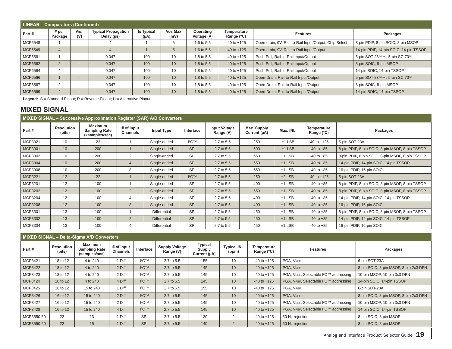|                | <b>LINEAR - Comparators (Continued)</b> |                          |                                               |                    |                 |                          |                           |                                                        |                                        |  |  |  |  |
|----------------|-----------------------------------------|--------------------------|-----------------------------------------------|--------------------|-----------------|--------------------------|---------------------------|--------------------------------------------------------|----------------------------------------|--|--|--|--|
| Part #         | # per<br>Package                        | <b>VREF</b><br>(V)       | <b>Typical Propagation</b><br>Delay $(\mu s)$ | lo Typical<br>(µA) | Vos Max<br>(mV) | Operating<br>Voltage (V) | Temperature<br>Range (°C) | <b>Features</b>                                        | Packages                               |  |  |  |  |
| MCP6548        |                                         | $\overline{\phantom{a}}$ |                                               |                    |                 | 1.6 to 5.5               | $-40$ to $+125$           | Open-drain, 9V, Rail-to-Rail Input/Output, Chip Select | 8-pin PDIP, 8-pin SOIC, 8-pin MSOP     |  |  |  |  |
| MCP6549        | $\overline{4}$                          | $\overline{\phantom{0}}$ | 4                                             |                    |                 | 1.6 to 5.5               | $-40$ to $+125$           | Open-drain, 9V, Rail-to-Rail Input/Output              | 14-pin PDIP, 14-pin SOIC, 14-pin TSSOP |  |  |  |  |
| MCP6561        |                                         | $\overline{\phantom{a}}$ | 0.047                                         | 100                | 10              | 1.8 to 5.5               | $-40$ to $+125$           | Push-Pull, Rail-to-Rail Input/Output                   | 5-pin SOT-23(S,R,U), 5-pin SC-70(S)    |  |  |  |  |
| MCP6562        | $\overline{2}$                          | $\overline{\phantom{0}}$ | 0.047                                         | 100                | 10              | 1.8 to 5.5               | $-40$ to $+125$           | Push-Pull, Rail-to-Rail Input/Output                   | 8-pin SOIC, 8-pin MSOP                 |  |  |  |  |
| MCP6564        |                                         | -                        | 0.047                                         | 100                | 10              | 1.8 to 5.5               | $-40$ to $+125$           | Push-Pull, Rail-to-Rail Input/Output                   | 14-pin SOIC, 14-pin TSSOP              |  |  |  |  |
| <b>MCP6566</b> |                                         | $-$                      | 0.047                                         | 100                | 10              | 1.8 to 5.5               | $-40$ to $+125$           | Open-Drain, Rail-to-Rail Input/Output                  | 5-pin SOT-23(S,R,U), 5-pin SC-70(S)    |  |  |  |  |
| MCP6567        | 2                                       | -                        | 0.047                                         | 100                | 10              | 1.8 to 5.5               | $-40$ to $+125$           | Open-Drain, Rail-to-Rail Input/Output                  | 8-pin SOIC, 8-pin MSOP                 |  |  |  |  |
| <b>MCP6569</b> | 4                                       | $\overline{\phantom{0}}$ | 0.047                                         | 100                | 10              | 1.8 to 5.5               | $-40$ to $+125$           | Open-Drain, Rail-to-Rail Input/Output                  | 14-pin SOIC, 14-pin TSSOP              |  |  |  |  |

#### **MIXED SIGNAL**

| MIXED SIGNAL - Successive Approximation Register (SAR) A/D Converters |                             |                                                          |                        |                     |            |                                   |                             |          |                           |                                                 |  |  |
|-----------------------------------------------------------------------|-----------------------------|----------------------------------------------------------|------------------------|---------------------|------------|-----------------------------------|-----------------------------|----------|---------------------------|-------------------------------------------------|--|--|
| Part#                                                                 | <b>Resolution</b><br>(bits) | <b>Maximum</b><br><b>Sampling Rate</b><br>(ksamples/sec) | # of Input<br>Channels | Input Type          | Interface  | <b>Input Voltage</b><br>Range (V) | Max. Supply<br>Current (µA) | Max. INL | Temperature<br>Range (°C) | Packages                                        |  |  |
| MCP3021                                                               | 10                          | 22                                                       |                        | Single-ended        | $12C$ TM   | 2.7 to 5.5                        | 250                         | $±1$ LSB | $-40$ to $+125$           | 5-pin SOT-23A                                   |  |  |
| <b>MCP3001</b>                                                        | 10                          | 200                                                      |                        | Single-ended        | <b>SPI</b> | 2.7 to 5.5                        | 500                         | $±1$ LSB | $-40$ to $+85$            | 8-pin PDIP, 8-pin SOIC, 8-pin MSOP, 8-pin TSSOP |  |  |
| MCP3002                                                               | 10                          | 200                                                      | 2                      | Single-ended        | <b>SPI</b> | 2.7 to 5.5                        | 650                         | $±1$ LSB | $-40$ to $+85$            | 8-pin PDIP, 8-pin SOIC, 8-pin MSOP, 8-pin TSSOP |  |  |
| MCP3004                                                               | 10                          | 200                                                      | 4                      | Single-ended        | <b>SPI</b> | 2.7 to 5.5                        | 550                         | $±1$ LSB | $-40$ to $+85$            | 14-pin PDIP, 14-pin SOIC, 14-pin TSSOP          |  |  |
| MCP3008                                                               | 10                          | 200                                                      | 8                      | Single-ended        | <b>SPI</b> | 2.7 to 5.5                        | 550                         | $±1$ LSB | $-40$ to $+85$            | 16-pin PDIP, 16-pin SOIC                        |  |  |
| <b>MCP3221</b>                                                        | 12                          | 22                                                       |                        | Single-ended        | $12C$ TM   | 2.7 to 5.5                        | 250                         | $±2$ LSB | $-40$ to $+125$           | 5-pin SOT-23A                                   |  |  |
| MCP3201                                                               | 12                          | 100                                                      |                        | Single-ended        | <b>SPI</b> | 2.7 to 5.5                        | 400                         | $±1$ LSB | $-40$ to $+85$            | 8-pin PDIP, 8-pin SOIC, 8-pin MSOP, 8-pin TSSOP |  |  |
| <b>MCP3202</b>                                                        | 12                          | 100                                                      | $\overline{2}$         | Single-ended        | <b>SPI</b> | 2.7 to 5.5                        | 550                         | $±1$ LSB | $-40$ to $+85$            | 8-pin PDIP, 8-pin SOIC, 8-pin MSOP, 8-pin TSSOP |  |  |
| MCP3204                                                               | 12                          | 100                                                      | 4                      | Single-ended        | <b>SPI</b> | 2.7 to 5.5                        | 400                         | $±1$ LSB | $-40$ to $+85$            | 14-pin PDIP, 14-pin SOIC, 14-pin TSSOP          |  |  |
| <b>MCP3208</b>                                                        | 12                          | 100                                                      | 8                      | Single-ended        | <b>SPI</b> | 2.7 to 5.5                        | 400                         | $±1$ LSB | $-40$ to $+85$            | 16-pin PDIP, 16-pin SOIC                        |  |  |
| MCP3301                                                               | 13                          | 100                                                      |                        | Differential        | SPI        | 2.7 to 5.5                        | 450                         | $±1$ LSB | $-40$ to $+85$            | 8-pin PDIP, 8-pin SOIC, 8-pin MSOP, 8-pin TSSOP |  |  |
| MCP3302                                                               | 13                          | 100                                                      | $\overline{2}$         | <b>Differential</b> | <b>SPI</b> | 2.7 to 5.5                        | 450                         | $±1$ LSB | $-40$ to $+85$            | 14-pin PDIP, 14-pin SOIC, 14-pin TSSOP          |  |  |
| MCP3304                                                               | 13                          | 100                                                      | 4                      | Differential        | <b>SPI</b> | 2.7 to 5.5                        | 450                         | $±1$ LSB | $-40$ to $+85$            | 16-pin PDIP, 16-pin SOIC                        |  |  |

|                |                             | MIXED SIGNAL - Delta-Sigma A/D Converters               |                               |                   |                                    |                                                 |                             |                           |                                                    |                                       |
|----------------|-----------------------------|---------------------------------------------------------|-------------------------------|-------------------|------------------------------------|-------------------------------------------------|-----------------------------|---------------------------|----------------------------------------------------|---------------------------------------|
| Part#          | <b>Resolution</b><br>(bits) | <b>Maximum</b><br><b>Sampling Rate</b><br>(samples/sec) | # of Input<br><b>Channels</b> | Interface         | <b>Supply Voltage</b><br>Range (V) | <b>Typical</b><br><b>Supply</b><br>Current (µA) | <b>Typical INL</b><br>(ppm) | Temperature<br>Range (°C) | <b>Features</b>                                    | Packages                              |
| MCP3421        | 18 to 12                    | 4 to 240                                                | 1 Diff                        | I <sup>2</sup> C™ | 2.7 to 5.5                         | 155                                             | 10                          | $-40$ to $+125$           | PGA. VREF                                          | 6-pin SOT-23A                         |
| <b>MCP3422</b> | 18 to 12                    | 4 to 240                                                | 2 Diff                        | $12C$ TM          | 2.7 to 5.5                         | 145                                             | 10                          | $-40$ to $+125$           | PGA. VREF                                          | 8-pin SOIC, 8-pin MSOP, 8-pin 2x3 DFN |
| MCP3423        | 18 to 12                    | 4 to 240                                                | 2 Diff                        | $12C$ TM          | 2.7 to 5.5                         | 145                                             | 10                          | $-40$ to $+125$           | PGA, VREF, Selectable I <sup>2</sup> C™ addressing | 10-pin MSOP, 10-pin 3x3 DFN           |
| <b>MCP3424</b> | 18 to 12                    | 4 to 240                                                | 4 Diff                        | $12C^{TM}$        | 2.7 to 5.5                         | 145                                             | 10                          | $-40$ to $+125$           | PGA, VREF, Selectable I <sup>2</sup> C™ addressing | 14-pin SOIC, 14-pin TSSOP             |
| MCP3425        | 16 to 12                    | 15 to 240                                               | 1 Diff                        | $12C$ TM          | 2.7 to 5.5                         | 155                                             | 10                          | $-40$ to $+125$           | PGA. VREF                                          | 6-pin SOT-23A                         |
| MCP3426        | 16 to 12                    | 15 to 240                                               | 2 Diff                        | $12C$ TM          | 2.7 to 5.5                         | 145                                             | 10                          | $-40$ to $+125$           | PGA. VREF                                          | 8-pin SOIC, 8-pin MSOP, 8-pin 2x3 DFN |
| <b>MCP3427</b> | 16 to 12                    | 15 to 240                                               | 2 Diff                        | ${}^{12}C$ TM     | 2.7 to 5.5                         | 145                                             | 10                          | $-40$ to $+125$           | PGA, VREF, Selectable I <sup>2</sup> C™ addressing | 10-pin MSOP, 10-pin 3x3 DFN           |
| <b>MCP3428</b> | 16 to 12                    | 15 to 240                                               | 4 Diff                        | $12C$ TM          | 2.7 to 5.5                         | 145                                             | 10                          | $-40$ to $+125$           | PGA, VREF, Selectable I <sup>2</sup> C™ addressing | 14-pin SOIC, 14-pin TSSOP             |
| MCP3550-50     | 22                          | 13                                                      | 1 Diff                        | SPI               | 2.7 to 5.5                         | 120                                             | $\overline{2}$              | $-40$ to $+125$           | 50 Hz rejection                                    | 8-pin SOIC, 8-pin MSOP                |
| MCP3550-60     | 22                          | 15                                                      | 1 Diff                        | <b>SPI</b>        | 2.7 to 5.5                         | 140                                             | 2                           | $-40$ to $+125$           | 60 Hz rejection                                    | 8-pin SOIC, 8-pin MSOP                |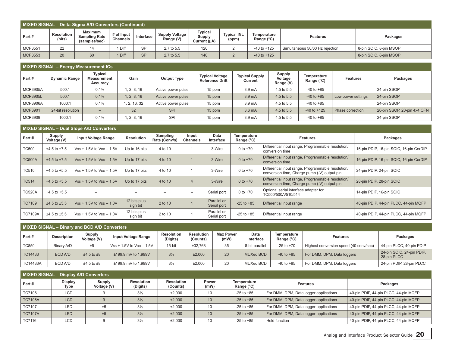| MIXED SIGNAL - Delta-Sigma A/D Converters (Continued) |                             |                                                  |                               |            |                             |                                          |                             |                           |                                 |                        |  |  |
|-------------------------------------------------------|-----------------------------|--------------------------------------------------|-------------------------------|------------|-----------------------------|------------------------------------------|-----------------------------|---------------------------|---------------------------------|------------------------|--|--|
| Part#                                                 | <b>Resolution</b><br>(bits) | Maximum<br><b>Sampling Rate</b><br>(samples/sec) | # of Input<br><b>Channels</b> | Interface  | Supply Voltage<br>Range (V) | <b>Typical</b><br>Supply<br>Current (µA) | <b>Typical INL</b><br>(ppm) | Temperature<br>Range (°C) | <b>Features</b>                 | Packages               |  |  |
| <b>MCP3551</b>                                        | 22                          | 14                                               | 1 Diff                        | SPI        | 2.7 to 5.5                  | 120                                      |                             | $-40$ to $+125$           | Simultaneous 50/60 Hz rejection | 8-pin SOIC, 8-pin MSOP |  |  |
| MCP3553                                               | 20                          | 60                                               | 1 Diff                        | <b>SPI</b> | 2.7 to 5.5                  | 140                                      |                             | $-40$ to $+125$           |                                 | 8-pin SOIC, 8-pin MSOP |  |  |

| MIXED SIGNAL - Energy Measurement ICs |                      |                                           |             |                    |                                                  |                                  |                                       |                           |                    |                             |  |  |
|---------------------------------------|----------------------|-------------------------------------------|-------------|--------------------|--------------------------------------------------|----------------------------------|---------------------------------------|---------------------------|--------------------|-----------------------------|--|--|
| Part#                                 | <b>Dynamic Range</b> | <b>Typical</b><br>Measurement<br>Accuracy | Gain        | <b>Output Type</b> | <b>Typical Voltage</b><br><b>Reference Drift</b> | <b>Typical Supply</b><br>Current | <b>Supply</b><br>Voltage<br>Range (V) | Temperature<br>Range (°C) | <b>Features</b>    | Packages                    |  |  |
| <b>MCP3905A</b>                       | 500:1                | 0.1%                                      | 1, 2, 8, 16 | Active power pulse | 15 ppm                                           | 3.9 <sub>m</sub> A               | 4.5 to 5.5                            | $-40$ to $+85$            |                    | 24-pin SSOP                 |  |  |
| <b>MCP3905L</b>                       | 500:1                | 0.1%                                      | 1, 2, 8, 16 | Active power pulse | 15 ppm                                           | 3.9 <sub>mA</sub>                | 4.5 to 5.5                            | $-40$ to $+85$            | Low power settings | 24-pin SSOP                 |  |  |
| <b>MCP3906A</b>                       | 1000:1               | 0.1%                                      | , 2, 16, 32 | Active power pulse | 15 ppm                                           | 3.9 <sub>m</sub> A               | 4.5 to 5.5                            | $-40$ to $+85$            |                    | 24-pin SSOP                 |  |  |
| MCP3901                               | 24-bit resolution    | $-$                                       | 32          | <b>SPI</b>         | 15 ppm                                           | 3.6 <sub>m</sub> A               | 4.5 to 5.5                            | $-40$ to $+125$           | Phase correction   | 20-pin SSOP, 20-pin 4x4 QFN |  |  |
| MCP3909                               | 1000:1               | 0.1%                                      | , 2, 8, 16  | SPI                | 15 ppm                                           | 3.9 <sub>m</sub> A               | 4.5 to 5.5                            | $-40$ to $+85$            |                    | 24-pin SSOP                 |  |  |

|                | <b>MIXED SIGNAL – Dual Slope A/D Converters</b> |                              |                          |                           |                          |                            |                                    |                                                                                                    |                                         |  |  |  |  |  |
|----------------|-------------------------------------------------|------------------------------|--------------------------|---------------------------|--------------------------|----------------------------|------------------------------------|----------------------------------------------------------------------------------------------------|-----------------------------------------|--|--|--|--|--|
| Part#          | <b>Supply</b><br>Voltage (V)                    | <b>Input Voltage Range</b>   | Resolution               | Sampling<br>Rate (Conv/s) | Input<br><b>Channels</b> | Data<br>Interface          | Temperature<br>Range $(^{\circ}C)$ | <b>Features</b>                                                                                    | Packages                                |  |  |  |  |  |
| <b>TC500</b>   | $±4.5$ to $±7.5$                                | $Vss + 1.5V$ to $VDD - 1.5V$ | Up to 16 bits            | 4 to 10                   |                          | 3-Wire                     | $0 to +70$                         | Differential input range, Programmable resolution/<br>conversion time                              | 16-pin PDIP, 16-pin SOIC, 16-pin CerDIP |  |  |  |  |  |
| <b>TC500A</b>  | $±4.5$ to $±7.5$                                | $Vss + 1.5V$ to $VDD - 1.5V$ | Up to 17 bits            | 4 to 10                   |                          | 3-Wire                     | 0 to $+70$                         | Differential input range, Programmable resolution/<br>conversion time                              | 16-pin PDIP, 16-pin SOIC, 16-pin CerDIP |  |  |  |  |  |
| <b>TC510</b>   | $+4.5$ to $+5.5$                                | $Vss + 1.5V$ to $VDD - 1.5V$ | Up to 17 bits            | 4 to 10                   |                          | 3-Wire                     | $0 to +70$                         | Differential input range, Programmable resolution/<br>conversion time, Charge pump (-V) output pin | 24-pin PDIP, 24-pin SOIC                |  |  |  |  |  |
| <b>TC514</b>   | $+4.5$ to $+5.5$                                | $Vss + 1.5V$ to $VDD - 1.5V$ | Up to 17 bits            | 4 to 10                   | $\overline{4}$           | 3-Wire                     | 0 to $+70$                         | Differential input range, Programmable resolution/<br>conversion time, Charge pump (-V) output pin | 28-pin PDIP, 28-pin SOIC                |  |  |  |  |  |
| <b>TC520A</b>  | $+4.5$ to $+5.5$                                |                              |                          |                           | -                        | Serial port                | $0 to +70$                         | Optional serial interface adapter for<br>TC500/500A/510/514                                        | 14-pin PDIP, 16-pin SOIC                |  |  |  |  |  |
| <b>TC7109</b>  | $±4.5$ to $±5.5$                                | $Vss + 1.5V$ to $VDD - 1.0V$ | 12 bits plus<br>sign bit | 2 to 10                   |                          | Parallel or<br>Serial port | $-25$ to $+85$                     | Differential input range                                                                           | 40-pin PDIP, 44-pin PLCC, 44-pin MQFP   |  |  |  |  |  |
| <b>TC7109A</b> | $±4.5$ to $±5.5$                                | $Vss + 1.5V$ to $VDD - 1.0V$ | 12 bits plus<br>sign bit | 2 to 10                   |                          | Parallel or<br>Serial port | $-25$ to $+85$                     | Differential input range                                                                           | 40-pin PDIP, 44-pin PLCC, 44-pin MQFP   |  |  |  |  |  |

| MIXED SIGNAL - Binary and BCD A/D Converters |                    |                       |                                 |                               |                        |                          |                   |                           |                                        |                                          |  |  |
|----------------------------------------------|--------------------|-----------------------|---------------------------------|-------------------------------|------------------------|--------------------------|-------------------|---------------------------|----------------------------------------|------------------------------------------|--|--|
| Part#                                        | <b>Description</b> | Supply<br>Voltage (V) | <b>Input Voltage Range</b>      | <b>Resolution</b><br>(Digits) | Resolution<br>(Counts) | <b>Max Power</b><br>(mW) | Data<br>Interface | Temperature<br>Range (°C) | <b>Features</b>                        | Packages                                 |  |  |
| <b>TC850</b>                                 | Binary A/D         | ±5                    | $Vss + 1.5V$ to $V_{DD} - 1.5V$ | $15$ -bit                     | ±32.768                | 35                       | 8-bit parallel    | $-25$ to $+70$            | Highest conversion speed (40 conv/sec) | 44-pin PLCC, 40-pin PDIP                 |  |  |
| TC14433                                      | <b>BCD A/D</b>     | $±4.5$ to $±8$        | ±199.9 mV to 1.999V             | $3\frac{1}{2}$                | ±2,000                 | 20                       | MUXed BCD         | $-40$ to $+85$            | For DMM, DPM, Data loggers             | 24-pin SOIC, 24-pin PDIP,<br>28-pin PLCC |  |  |
| TC14433A                                     | <b>BCD A/D</b>     | $\pm 4.5$ to $\pm 8$  | ±199.9 mV to 1.999V             | $3\frac{1}{2}$                | ±2,000                 | 20                       | MUXed BCD         | $-40$ to $+85$            | For DMM, DPM, Data loggers             | 24-pin PDIP, 28-pin PLCC                 |  |  |

| <b>MIXED SIGNAL - Display A/D Converters</b> |                        |                       |                               |                               |               |                           |                                        |                                       |  |  |  |  |
|----------------------------------------------|------------------------|-----------------------|-------------------------------|-------------------------------|---------------|---------------------------|----------------------------------------|---------------------------------------|--|--|--|--|
| Part#                                        | <b>Display</b><br>Type | Supply<br>Voltage (V) | <b>Resolution</b><br>(Digits) | <b>Resolution</b><br>(Counts) | Power<br>(mW) | Temperature<br>Range (°C) | <b>Features</b>                        | Packages                              |  |  |  |  |
| <b>TC7106</b>                                | LCD                    |                       | $3\frac{1}{2}$                | ±2.000                        | 10            | $-25$ to $+85$            | For DMM, DPM, Data logger applications | 40-pin PDIP, 44-pin PLCC, 44-pin MQFP |  |  |  |  |
| <b>TC7106A</b>                               | <b>LCD</b>             |                       | $3\frac{1}{2}$                | ±2,000                        | 10            | $-25$ to $+85$            | For DMM, DPM, Data logger applications | 40-pin PDIP, 44-pin PLCC, 44-pin MQFP |  |  |  |  |
| <b>TC7107</b>                                | LED                    | ±5                    | $3\frac{1}{2}$                | ±2.000                        | 10            | $-25$ to $+85$            | For DMM, DPM, Data logger applications | 40-pin PDIP, 44-pin PLCC, 44-pin MQFP |  |  |  |  |
| <b>TC7107A</b>                               | <b>LED</b>             | ±5                    | $3\frac{1}{2}$                | ±2,000                        | 10            | $-25$ to $+85$            | For DMM, DPM, Data logger applications | 40-pin PDIP, 44-pin PLCC, 44-pin MQFP |  |  |  |  |
| TC7116                                       | LCD                    |                       | $3\frac{1}{2}$                | ±2.000                        | 10            | $-25$ to $+85$            | <b>Hold function</b>                   | 40-pin PDIP, 44-pin PLCC, 44-pin MQFP |  |  |  |  |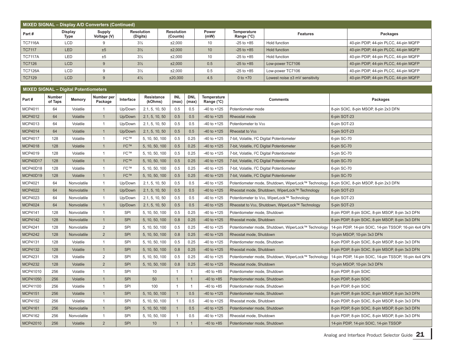| MIXED SIGNAL - Display A/D Converters (Continued) |                        |                       |                               |                               |                      |                           |                                |                                       |  |  |  |  |
|---------------------------------------------------|------------------------|-----------------------|-------------------------------|-------------------------------|----------------------|---------------------------|--------------------------------|---------------------------------------|--|--|--|--|
| Part#                                             | <b>Display</b><br>Type | Supply<br>Voltage (V) | <b>Resolution</b><br>(Digits) | <b>Resolution</b><br>(Counts) | <b>Power</b><br>(mW) | Temperature<br>Range (°C) | <b>Features</b>                | Packages                              |  |  |  |  |
| <b>TC7116A</b>                                    | <b>LCD</b>             |                       | $3\frac{1}{2}$                | ±2,000                        | 10                   | $-25$ to $+85$            | Hold function                  | 40-pin PDIP, 44-pin PLCC, 44-pin MQFP |  |  |  |  |
| <b>TC7117</b>                                     | LED                    | ±5                    | $3\frac{1}{2}$                | ±2,000                        | 10                   | $-25$ to $+85$            | <b>Hold function</b>           | 40-pin PDIP, 44-pin PLCC, 44-pin MQFP |  |  |  |  |
| <b>TC7117A</b>                                    | LED                    | ±5                    | $3\frac{1}{2}$                | ±2.000                        | 10                   | $-25$ to $+85$            | Hold function                  | 40-pin PDIP, 44-pin PLCC, 44-pin MQFP |  |  |  |  |
| <b>TC7126</b>                                     | <b>LCD</b>             |                       | $3\frac{1}{2}$                | ±2,000                        | 0.5                  | $-25$ to $+85$            | Low-power TC7106               | 40-pin PDIP, 44-pin PLCC, 44-pin MQFP |  |  |  |  |
| <b>TC7126A</b>                                    | <b>LCD</b>             |                       | $3\frac{1}{2}$                | ±2,000                        | 0.5                  | $-25$ to $+85$            | Low-power TC7106               | 40-pin PDIP, 44-pin PLCC, 44-pin MQFP |  |  |  |  |
| <b>TC7129</b>                                     | <b>LCD</b>             |                       | $4\frac{1}{2}$                | ±20.000                       | 4.5                  | 0 to $+70$                | Lowest noise ±3 mV sensitivity | 40-pin PDIP, 44-pin PLCC, 44-pin MQFP |  |  |  |  |

| MIXED SIGNAL - Digital Potentiometers |
|---------------------------------------|
|---------------------------------------|

| Part#           | <b>Number</b><br>of Taps | Memory          | Number per<br>Package | Interface                | <b>Resistance</b><br>(kOhms) | <b>INL</b><br>(max) | <b>DNL</b><br>(max) | Temperature<br>Range (°C) | <b>Comments</b>                                         | Packages                                               |
|-----------------|--------------------------|-----------------|-----------------------|--------------------------|------------------------------|---------------------|---------------------|---------------------------|---------------------------------------------------------|--------------------------------------------------------|
| MCP4011         | 64                       | Volatile        | $\mathbf{1}$          | Up/Down                  | 2.1, 5, 10, 50               | 0.5                 | 0.5                 | $-40$ to $+125$           | Potentiometer mode                                      | 8-pin SOIC, 8-pin MSOP, 8-pin 2x3 DFN                  |
| MCP4012         | 64                       | Volatile        | $\mathbf{1}$          | Up/Down                  | 2.1, 5, 10, 50               | 0.5                 | 0.5                 | $-40$ to $+125$           | Rheostat mode                                           | 6-pin SOT-23                                           |
| MCP4013         | 64                       | Volatile        | $\mathbf{1}$          | Up/Down                  | 2.1, 5, 10, 50               | 0.5                 | 0.5                 | $-40$ to $+125$           | Potentiometer to Vss                                    | 6-pin SOT-23                                           |
| <b>MCP4014</b>  | 64                       | Volatile        | $\mathbf{1}$          | Up/Down                  | 2.1, 5, 10, 50               | 0.5                 | 0.5                 | $-40$ to $+125$           | <b>Rheostat to Vss</b>                                  | 5-pin SOT-23                                           |
| <b>MCP4017</b>  | 128                      | Volatile        | $\mathbf{1}$          | ${}^{12}C$ TM            | 5, 10, 50, 100               | 0.5                 | 0.25                | $-40$ to $+125$           | 7-bit, Volatile, I <sup>2</sup> C Digital Potentiometer | 6-pin SC-70                                            |
| <b>MCP4018</b>  | 128                      | Volatile        | $\mathbf{1}$          | $1^2C$ <sub>TM</sub>     | 5, 10, 50, 100               | 0.5                 | 0.25                | $-40$ to $+125$           | 7-bit, Volatile, <sup>2</sup> C Digital Potentiometer   | 6-pin SC-70                                            |
| MCP4019         | 128                      | Volatile        | $\mathbf{1}$          | ${}^{12}C$ <sub>TM</sub> | 5, 10, 50, 100               | 0.5                 | 0.25                | $-40$ to $+125$           | 7-bit, Volatile, I <sup>2</sup> C Digital Potentiometer | 5-pin SC-70                                            |
| MCP40D17        | 128                      | Volatile        | $\mathbf{1}$          | $1^2C$ <sub>TM</sub>     | 5, 10, 50, 100               | 0.5                 | 0.25                | $-40$ to $+125$           | 7-bit, Volatile, I <sup>2</sup> C Digital Potentiometer | 6-pin SC-70                                            |
| MCP40D18        | 128                      | Volatile        | $\mathbf{1}$          | ${}^{12}C$ <sub>TM</sub> | 5, 10, 50, 100               | 0.5                 | 0.25                | $-40$ to $+125$           | 7-bit, Volatile, <sup>2</sup> C Digital Potentiometer   | 6-pin SC-70                                            |
| <b>MCP40D19</b> | 128                      | Volatile        | $\mathbf{1}$          | $12C$ <sub>TM</sub>      | 5, 10, 50, 100               | 0.5                 | 0.25                | $-40$ to $+125$           | 7-bit, Volatile, <sup>12</sup> C Digital Potentiometer  | 5-pin SC-70                                            |
| MCP4021         | 64                       | Nonvolatile     | $\mathbf{1}$          | Up/Down                  | 2.1, 5, 10, 50               | 0.5                 | 0.5                 | $-40$ to $+125$           | Potentiometer mode, Shutdown, WiperLock™ Technology     | 8-pin SOIC, 8-pin MSOP, 8-pin 2x3 DFN                  |
| <b>MCP4022</b>  | 64                       | Nonvolatile     | $\mathbf{1}$          | Up/Down                  | 2.1, 5, 10, 50               | 0.5                 | 0.5                 | $-40$ to $+125$           | Rheostat mode, Shutdown, WiperLock™ Technology          | 6-pin SOT-23                                           |
| MCP4023         | 64                       | Nonvolatile     | $\mathbf{1}$          | Up/Down                  | 2.1, 5, 10, 50               | 0.5                 | 0.5                 | $-40$ to $+125$           | Potentiometer to Vss, WiperLock™ Technology             | 6-pin SOT-23                                           |
| <b>MCP4024</b>  | 64                       | Nonvolatile     | $\mathbf{1}$          | Up/Down                  | 2.1, 5, 10, 50               | 0.5                 | 0.5                 | $-40$ to $+125$           | Rheostat to Vss, Shutdown, WiperLock™ Technology        | 5-pin SOT-23                                           |
| <b>MCP4141</b>  | 128                      | Nonvolatile     | $\mathbf{1}$          | SPI                      | 5, 10, 50, 100               | 0.5                 | 0.25                | $-40$ to $+125$           | Potentiometer mode, Shutdown                            | 8-pin PDIP, 8-pin SOIC, 8-pin MSOP, 8-pin 3x3 DFN      |
| <b>MCP4142</b>  | 128                      | Nonvolatile     | $\mathbf{1}$          | <b>SPI</b>               | 5, 10, 50, 100               | 0.8                 | 0.25                | $-40$ to $+125$           | Rheostat mode, Shutdown                                 | 8-pin PDIP, 8-pin SOIC, 8-pin MSOP, 8-pin 3x3 DFN      |
| <b>MCP4241</b>  | 128                      | Nonvolatile     | $\overline{2}$        | SPI                      | 5, 10, 50, 100               | 0.5                 | 0.25                | $-40$ to $+125$           | Potentiometer mode, Shutdown, WiperLock™ Technology     | 14-pin PDIP, 14-pin SOIC, 14-pin TSSOP, 16-pin 4x4 QFN |
| <b>MCP4242</b>  | 128                      | Nonvolatile     | 2                     | <b>SPI</b>               | 5, 10, 50, 100               | 0.8                 | 0.25                | $-40$ to $+125$           | Rheostat mode, Shutdown                                 | 10-pin MSOP, 10-pin 3x3 DFN                            |
| <b>MCP4131</b>  | 128                      | Volatile        | $\mathbf{1}$          | <b>SPI</b>               | 5, 10, 50, 100               | 0.5                 | 0.25                | $-40$ to $+125$           | Potentiometer mode, Shutdown                            | 8-pin PDIP, 8-pin SOIC, 8-pin MSOP, 8-pin 3x3 DFN      |
| <b>MCP4132</b>  | 128                      | Volatile        | $\mathbf{1}$          | <b>SPI</b>               | 5, 10, 50, 100               | 0.8                 | 0.25                | $-40$ to $+125$           | Rheostat mode, Shutdown                                 | 8-pin PDIP, 8-pin SOIC, 8-pin MSOP, 8-pin 3x3 DFN      |
| <b>MCP4231</b>  | 128                      | Volatile        | 2                     | SPI                      | 5, 10, 50, 100               | 0.5                 | 0.25                | $-40$ to $+125$           | Potentiometer mode, Shutdown, WiperLock™ Technology     | 14-pin PDIP, 14-pin SOIC, 14-pin TSSOP, 16-pin 4x4 QFN |
| <b>MCP4232</b>  | 128                      | Volatile        | $\overline{2}$        | SPI                      | 5, 10, 50, 100               | 0.8                 | 0.25                | $-40$ to $+125$           | Rheostat mode, Shutdown                                 | 10-pin MSOP, 10-pin 3x3 DFN                            |
| MCP41010        | 256                      | Volatile        | $\mathbf{1}$          | SPI                      | 10                           | $\overline{1}$      | $\mathbf{1}$        | $-40$ to $+85$            | Potentiometer mode, Shutdown                            | 8-pin PDIP, 8-pin SOIC                                 |
| MCP41050        | 256                      | Volatile        | $\mathbf{1}$          | <b>SPI</b>               | 50                           | $\overline{1}$      | $\mathbf{1}$        | $-40$ to $+85$            | Potentiometer mode, Shutdown                            | 8-pin PDIP, 8-pin SOIC                                 |
| MCP41100        | 256                      | Volatile        | $\mathbf{1}$          | <b>SPI</b>               | 100                          | $\overline{1}$      | $\mathbf{1}$        | $-40$ to $+85$            | Potentiometer mode, Shutdown                            | 8-pin PDIP, 8-pin SOIC                                 |
| <b>MCP4151</b>  | 256                      | <b>Volatile</b> | $\mathbf{1}$          | <b>SPI</b>               | 5, 10, 50, 100               | $\overline{1}$      | 0.5                 | $-40$ to $+125$           | Potentiometer mode, Shutdown                            | 8-pin PDIP, 8-pin SOIC, 8-pin MSOP, 8-pin 3x3 DFN      |
| MCP4152         | 256                      | Volatile        | $\mathbf{1}$          | <b>SPI</b>               | 5, 10, 50, 100               | $\overline{1}$      | 0.5                 | $-40$ to $+125$           | Rheostat mode, Shutdown                                 | 8-pin PDIP, 8-pin SOIC, 8-pin MSOP, 8-pin 3x3 DFN      |
| <b>MCP4161</b>  | 256                      | Nonvolatile     | $\mathbf{1}$          | SPI                      | 5, 10, 50, 100               | $\overline{1}$      | 0.5                 | $-40$ to $+125$           | Potentiometer mode, Shutdown                            | 8-pin PDIP, 8-pin SOIC, 8-pin MSOP, 8-pin 3x3 DFN      |
| MCP4162         | 256                      | Nonvolatile     | $\mathbf{1}$          | SPI                      | 5, 10, 50, 100               | $\overline{1}$      | 0.5                 | $-40$ to $+125$           | Rheostat mode, Shutdown                                 | 8-pin PDIP, 8-pin SOIC, 8-pin MSOP, 8-pin 3x3 DFN      |
| MCP42010        | 256                      | Volatile        | $\overline{2}$        | <b>SPI</b>               | 10                           | $\overline{1}$      | $\mathbf{1}$        | $-40$ to $+85$            | Potentiometer mode, Shutdown                            | 14-pin PDIP, 14-pin SOIC, 14-pin TSSOP                 |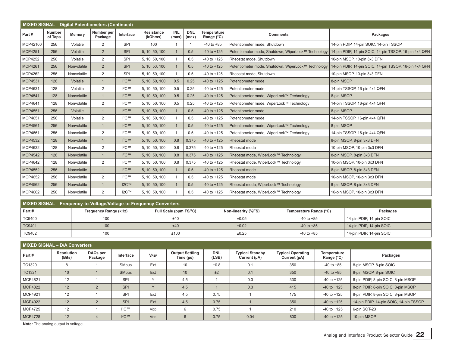|                | <b>MIXED SIGNAL - Digital Potentiometers (Continued)</b> |             |                       |                                        |                       |                     |                     |                           |                                                     |                                                        |  |  |  |
|----------------|----------------------------------------------------------|-------------|-----------------------|----------------------------------------|-----------------------|---------------------|---------------------|---------------------------|-----------------------------------------------------|--------------------------------------------------------|--|--|--|
| Part#          | <b>Number</b><br>of Taps                                 | Memory      | Number per<br>Package | Interface                              | Resistance<br>(kOhms) | <b>INL</b><br>(max) | <b>DNL</b><br>(max) | Temperature<br>Range (°C) | <b>Comments</b>                                     | Packages                                               |  |  |  |
| MCP42100       | 256                                                      | Volatile    | 2                     | SPI                                    | 100                   | -1                  |                     | $-40$ to $+85$            | Potentiometer mode, Shutdown                        | 14-pin PDIP, 14-pin SOIC, 14-pin TSSOP                 |  |  |  |
| <b>MCP4251</b> | 256                                                      | Volatile    | 2                     | <b>SPI</b>                             | 5, 10, 50, 100        |                     | 0.5                 | $-40$ to $+125$           | Potentiometer mode, Shutdown, WiperLock™ Technology | 14-pin PDIP, 14-pin SOIC, 14-pin TSSOP, 16-pin 4x4 QFN |  |  |  |
| <b>MCP4252</b> | 256                                                      | Volatile    | $\overline{2}$        | SPI                                    | 5, 10, 50, 100        |                     | 0.5                 | $-40$ to $+125$           | Rheostat mode, Shutdown                             | 10-pin MSOP, 10-pin 3x3 DFN                            |  |  |  |
| <b>MCP4261</b> | 256                                                      | Nonvolatile | 2                     | <b>SPI</b>                             | 5, 10, 50, 100        |                     | 0.5                 | $-40$ to $+125$           | Potentiometer mode, Shutdown, WiperLock™ Technology | 14-pin PDIP, 14-pin SOIC, 14-pin TSSOP, 16-pin 4x4 QFN |  |  |  |
| <b>MCP4262</b> | 256                                                      | Nonvolatile | $\overline{2}$        | SPI                                    | 5, 10, 50, 100        |                     | 0.5                 | $-40$ to $+125$           | Rheostat mode, Shutdown                             | 10-pin MSOP, 10-pin 3x3 DFN                            |  |  |  |
| <b>MCP4531</b> | 128                                                      | Volatile    | $\mathbf{1}$          | $12C$ <sub>TM</sub>                    | 5, 10, 50, 100        | 0.5                 | 0.25                | $-40$ to $+125$           | Potentiometer mode                                  | 8-pin MSOP                                             |  |  |  |
| MCP4631        | 128                                                      | Volatile    | $\overline{2}$        | ${}^{12}C$ <sub>TM</sub>               | 5, 10, 50, 100        | 0.5                 | 0.25                | $-40$ to $+125$           | Potentiometer mode                                  | 14-pin TSSOP, 16-pin 4x4 QFN                           |  |  |  |
| <b>MCP4541</b> | 128                                                      | Nonvolatile | $\mathbf{1}$          | ICTM                                   | 5, 10, 50, 100        | 0.5                 | 0.25                | $-40$ to $+125$           | Potentiometer mode, WiperLock™ Technology           | 8-pin MSOP                                             |  |  |  |
| MCP4641        | 128                                                      | Nonvolatile | $\overline{2}$        | $12C$ TM                               | 5, 10, 50, 100        | 0.5                 | 0.25                | $-40$ to $+125$           | Potentiometer mode, WiperLock™ Technology           | 14-pin TSSOP, 16-pin 4x4 QFN                           |  |  |  |
| <b>MCP4551</b> | 256                                                      | Volatile    | $\mathbf{1}$          | $12C$ <sub>TM</sub>                    | 5, 10, 50, 100        |                     | 0.5                 | $-40$ to $+125$           | Potentiometer mode                                  | 8-pin MSOP                                             |  |  |  |
| MCP4651        | 256                                                      | Volatile    | $\overline{2}$        | $12C$ <sub>TM</sub>                    | 5, 10, 50, 100        |                     | 0.5                 | $-40$ to $+125$           | Potentiometer mode                                  | 14-pin TSSOP, 16-pin 4x4 QFN                           |  |  |  |
| <b>MCP4561</b> | 256                                                      | Nonvolatile | $\mathbf{1}$          | ICTM                                   | 5, 10, 50, 100        |                     | 0.5                 | $-40$ to $+125$           | Potentiometer mode, WiperLock™ Technology           | 8-pin MSOP                                             |  |  |  |
| MCP4661        | 256                                                      | Nonvolatile | $\overline{2}$        | $12C$ <sub>TM</sub>                    | 5, 10, 50, 100        |                     | 0.5                 | $-40$ to $+125$           | Potentiometer mode, WiperLock™ Technology           | 14-pin TSSOP, 16-pin 4x4 QFN                           |  |  |  |
| <b>MCP4532</b> | 128                                                      | Nonvolatile | $\mathbf{1}$          | $12C$ <sub>TM</sub>                    | 5, 10, 50, 100        | 0.8                 | 0.375               | $-40$ to $+125$           | Rheostat mode                                       | 8-pin MSOP, 8-pin 3x3 DFN                              |  |  |  |
| MCP4632        | 128                                                      | Nonvolatile | $\overline{2}$        | $12C$ <sub>TM</sub>                    | 5, 10, 50, 100        | 0.8                 | 0.375               | $-40$ to $+125$           | Rheostat mode                                       | 10-pin MSOP, 10-pin 3x3 DFN                            |  |  |  |
| <b>MCP4542</b> | 128                                                      | Nonvolatile | $\mathbf{1}$          | $1^2C$ TM                              | 5, 10, 50, 100        | 0.8                 | 0.375               | $-40$ to $+125$           | Rheostat mode, WiperLock™ Technology                | 8-pin MSOP, 8-pin 3x3 DFN                              |  |  |  |
| <b>MCP4642</b> | 128                                                      | Nonvolatile | $\overline{2}$        | $12C$ <sub>TM</sub>                    | 5, 10, 50, 100        | 0.8                 | 0.375               | $-40$ to $+125$           | Rheostat mode, WiperLock™ Technology                | 10-pin MSOP, 10-pin 3x3 DFN                            |  |  |  |
| <b>MCP4552</b> | 256                                                      | Nonvolatile | $\mathbf{1}$          | ICTM                                   | 5, 10, 50, 100        |                     | 0.5                 | $-40$ to $+125$           | Rheostat mode                                       | 8-pin MSOP, 8-pin 3x3 DFN                              |  |  |  |
| <b>MCP4652</b> | 256                                                      | Nonvolatile | $\overline{2}$        | $\mathsf{I}^2\mathsf{C}^{\mathsf{TM}}$ | 5, 10, 50, 100        |                     | 0.5                 | $-40$ to $+125$           | Rheostat mode                                       | 10-pin MSOP. 10-pin 3x3 DFN                            |  |  |  |
| <b>MCP4562</b> | 256                                                      | Nonvolatile | $\mathbf{1}$          | <b>I2C™</b>                            | 5, 10, 50, 100        |                     | 0.5                 | $-40$ to $+125$           | Rheostat mode, WiperLock™ Technology                | 8-pin MSOP, 8-pin 3x3 DFN                              |  |  |  |
| MCP4662        | 256                                                      | Nonvolatile | $\overline{2}$        | $12C$ <sub>TM</sub>                    | 5, 10, 50, 100        |                     | 0.5                 | $-40$ to $+125$           | Rheostat mode, WiperLock™ Technology                | 10-pin MSOP, 10-pin 3x3 DFN                            |  |  |  |

| MIXED SIGNAL – Frequency-to-Voltage/Voltage-to-Frequency Converters |                              |                        |                     |                        |                          |  |  |  |  |  |  |  |
|---------------------------------------------------------------------|------------------------------|------------------------|---------------------|------------------------|--------------------------|--|--|--|--|--|--|--|
| $ $ Part #                                                          | <b>Frequency Range (kHz)</b> | Full Scale (ppm FS/°C) | Non-linearity (%FS) | Temperature Range (°C) | Packages                 |  |  |  |  |  |  |  |
| <b>TC9400</b>                                                       | 100                          | ±40                    | ±0.05               | $-40$ to $+85$         | 14-pin PDIP, 14-pin SOIC |  |  |  |  |  |  |  |
| <b>TC9401</b>                                                       | 100                          | ±40                    | ±0.02               | $-40$ to $+85$         | 14-pin PDIP, 14-pin SOIC |  |  |  |  |  |  |  |
| TC9402                                                              | 100                          | ±100                   | ±0.25               | -40 to +85             | 14-pin PDIP, 14-pin SOIC |  |  |  |  |  |  |  |

| MIXED SIGNAL - D/A Converters |                             |                     |                               |                       |                                          |                     |                                        |                                          |                           |                                        |  |  |  |
|-------------------------------|-----------------------------|---------------------|-------------------------------|-----------------------|------------------------------------------|---------------------|----------------------------------------|------------------------------------------|---------------------------|----------------------------------------|--|--|--|
| Part#                         | <b>Resolution</b><br>(Bits) | DACs per<br>Package | Interface                     | <b>VREF</b>           | <b>Output Settling</b><br>Time $(\mu s)$ | <b>DNL</b><br>(LSB) | <b>Typical Standby</b><br>Current (µA) | <b>Typical Operating</b><br>Current (µA) | Temperature<br>Range (°C) | Packages                               |  |  |  |
| <b>TC1320</b>                 | 8                           |                     | SMbus                         | Ext                   | 10                                       | ±0.8                | 0.1                                    | 350                                      | $-40$ to $+85$            | 8-pin MSOP, 8-pin SOIC                 |  |  |  |
| <b>TC1321</b>                 | 10                          |                     | <b>SMbus</b>                  | Ext                   | 10                                       | ±2                  | 0.1                                    | 350                                      | $-40$ to $+85$            | 8-pin MSOP, 8-pin SOIC                 |  |  |  |
| MCP4821                       | 12                          |                     | <b>SPI</b>                    | $\sqrt{}$             | 4.5                                      |                     | 0.3                                    | 330                                      | $-40$ to $+125$           | 8-pin PDIP, 8-pin SOIC, 8-pin MSOP     |  |  |  |
| <b>MCP4822</b>                | 12                          |                     | <b>SPI</b>                    | $\vee$                | 4.5                                      |                     | 0.3                                    | 415                                      | $-40$ to $+125$           | 8-pin PDIP, 8-pin SOIC, 8-pin MSOP     |  |  |  |
| MCP4921                       | 12                          |                     | <b>SPI</b>                    | Ext                   | 4.5                                      | 0.75                |                                        | 175                                      | $-40$ to $+125$           | 8-pin PDIP, 8-pin SOIC, 8-pin MSOP     |  |  |  |
| <b>MCP4922</b>                | 12                          |                     | <b>SPI</b>                    | Ext                   | 4.5                                      | 0.75                |                                        | 350                                      | $-40$ to $+125$           | 14-pin PDIP, 14-pin SOIC, 14-pin TSSOP |  |  |  |
| MCP4725                       | 12                          |                     | $12C$ TM                      | <b>V<sub>DD</sub></b> |                                          | 0.75                |                                        | 210                                      | $-40$ to $+125$           | 6-pin SOT-23                           |  |  |  |
| <b>MCP4728</b>                | 12                          |                     | $\mathsf{I}^2C$ <sub>TM</sub> | <b>V<sub>DD</sub></b> |                                          | 0.75                | 0.04                                   | 800                                      | $-40$ to $+125$           | 10-pin MSOP                            |  |  |  |

**Note:** The analog output is voltage.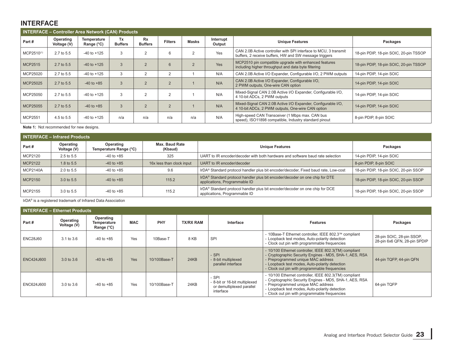# **INTERFACE**

|                        |                          | <b>INTERFACE - Controller Area Network (CAN) Products</b> |                      |                             |                |                |                     |                                                                                                                            |                                        |
|------------------------|--------------------------|-----------------------------------------------------------|----------------------|-----------------------------|----------------|----------------|---------------------|----------------------------------------------------------------------------------------------------------------------------|----------------------------------------|
| Part#                  | Operating<br>Voltage (V) | Temperature<br>Range $(^{\circ}C)$                        | Tx<br><b>Buffers</b> | <b>Rx</b><br><b>Buffers</b> | <b>Filters</b> | <b>Masks</b>   | Interrupt<br>Output | <b>Unique Features</b>                                                                                                     | Packages                               |
| MCP2510 <sup>(1)</sup> | 2.7 to 5.5               | $-40$ to $+125$                                           | 3                    | $\overline{2}$              | 6              | $\overline{2}$ | Yes                 | CAN 2.0B Active controller with SPI interface to MCU, 3 transmit<br>buffers, 2 receive buffers, HW and SW message triggers | 18-pin PDIP, 18-pin SOIC, 20-pin TSSOP |
| <b>MCP2515</b>         | 2.7 to 5.5               | $-40$ to $+125$                                           | 3                    | $\overline{2}$              | 6              | $\overline{2}$ | Yes                 | MCP2510 pin compatible upgrade with enhanced features<br>including higher throughput and data byte filtering               | 18-pin PDIP, 18-pin SOIC, 20-pin TSSOP |
| MCP25020               | 2.7 to 5.5               | $-40$ to $+125$                                           | 3                    | 2                           | $\overline{2}$ |                | N/A                 | CAN 2.0B Active I/O Expander, Configurable I/O, 2 PWM outputs                                                              | 14-pin PDIP, 14-pin SOIC               |
| MCP25025               | 2.7 to 5.5               | $-40$ to $+85$                                            | $\mathcal{A}$        | $\overline{2}$              | $\mathcal{P}$  |                | N/A                 | CAN 2.0B Active I/O Expander, Configurable I/O,<br>2 PWM outputs, One-wire CAN option                                      | 14-pin PDIP, 14-pin SOIC               |
| MCP25050               | 2.7 to 5.5               | $-40$ to $+125$                                           | 3                    | 2                           | $\overline{2}$ |                | N/A                 | Mixed-Signal CAN 2.0B Active I/O Expander, Configurable I/O,<br>4 10-bit ADCs, 2 PWM outputs                               | 14-pin PDIP, 14-pin SOIC               |
| MCP25055               | 2.7 to 5.5               | $-40$ to $+85$                                            | $\mathcal{A}$        | $\overline{2}$              | $\mathcal{P}$  |                | N/A                 | Mixed-Signal CAN 2.0B Active I/O Expander, Configurable I/O,<br>4 10-bit ADCs, 2 PWM outputs, One-wire CAN option          | 14-pin PDIP, 14-pin SOIC               |
| MCP2551                | 4.5 to 5.5               | $-40$ to $+125$                                           | n/a                  | n/a                         | n/a            | n/a            | N/A                 | High-speed CAN Transceiver (1 Mbps max. CAN bus<br>speed), ISO11898 compatible, Industry standard pinout                   | 8-pin PDIP, 8-pin SOIC                 |

**Note 1:** Not recommended for new designs.

|                 | <b>INTERFACE - Infrared Products</b> |                                                                  |                           |                                                                                                               |                                       |  |  |  |  |  |
|-----------------|--------------------------------------|------------------------------------------------------------------|---------------------------|---------------------------------------------------------------------------------------------------------------|---------------------------------------|--|--|--|--|--|
| Part#           | Operating<br>Voltage (V)             | Max. Baud Rate<br>Operating<br>Temperature Range (°C)<br>(Kbaud) |                           | <b>Unique Features</b>                                                                                        | Packages                              |  |  |  |  |  |
| MCP2120         | 2.5 to 5.5                           | $-40$ to $+85$                                                   | 325                       | UART to IR encoder/decoder with both hardware and software baud rate selection                                | 14-pin PDIP, 14-pin SOIC              |  |  |  |  |  |
| MCP2122         | 1.8 to 5.5                           | $-40$ to $+85$                                                   | 16x less than clock input | UART to IR encoder/decoder                                                                                    | 8-pin PDIP, 8-pin SOIC                |  |  |  |  |  |
| <b>MCP2140A</b> | 2.0 to 5.5                           | $-40$ to $+85$                                                   | 9.6                       | IrDA® Standard protocol handler plus bit encoder/decoder, Fixed baud rate, Low-cost                           | 18-pin PDIP, 18-pin SOIC, 20-pin SSOP |  |  |  |  |  |
| <b>MCP2150</b>  | 3.0 to 5.5                           | $-40$ to $+85$                                                   | 115.2                     | IrDA® Standard protocol handler plus bit encoder/decoder on one chip for DTE<br>applications, Programmable ID | 18-pin PDIP, 18-pin SOIC, 20-pin SSOP |  |  |  |  |  |
| MCP2155         | 3.0 to 5.5                           | $-40$ to $+85$                                                   | 115.2                     | IrDA® Standard protocol handler plus bit encoder/decoder on one chip for DCE<br>applications, Programmable ID | 18-pin PDIP, 18-pin SOIC, 20-pin SSOP |  |  |  |  |  |

IrDA® is a registered trademark of Infrared Data Association

|                   | <b>INTERFACE - Ethernet Products</b> |                                        |            |              |                  |                                                                                  |                                                                                                                                                                                                                                                            |                                                           |
|-------------------|--------------------------------------|----------------------------------------|------------|--------------|------------------|----------------------------------------------------------------------------------|------------------------------------------------------------------------------------------------------------------------------------------------------------------------------------------------------------------------------------------------------------|-----------------------------------------------------------|
| Part#             | Operating<br>Voltage (V)             | Operating<br>Temperature<br>Range (°C) | <b>MAC</b> | PHY          | <b>TX/RX RAM</b> | Interface                                                                        | <b>Features</b>                                                                                                                                                                                                                                            | Packages                                                  |
| <b>ENC28J60</b>   | 3.1 to 3.6                           | $-40$ to $+85$                         | Yes        | 10Base-T     | 8 KB             | <b>SPI</b>                                                                       | - 10Base-T Ethernet controller, IEEE 802.3™ compliant<br>- Loopback test modes, Auto-polarity detection<br>- Clock out pin with programmable frequencies                                                                                                   | 28-pin SOIC, 28-pin SSOP,<br>28-pin 6x6 QFN, 28-pin SPDIP |
| <b>ENC424J600</b> | 3.0 to 3.6                           | $-40$ to $+85$                         | Yes        | 10/100Base-T | 24KB             | - SPI<br>- 8-bit multiplexed<br>parallel interface                               | - 10/100 Ethernet controller, IEEE 802.3(TM) compliant<br>- Cryptographic Security Engines - MD5, SHA-1, AES, RSA<br>- Preprogrammed unique MAC address<br>- Loopback test modes, Auto-polarity detection<br>- Clock out pin with programmable frequencies | 44-pin TQFP, 44-pin QFN                                   |
| ENC624J600        | 3.0 to 3.6                           | $-40$ to $+85$                         | Yes        | 10/100Base-T | 24KB             | - SPI<br>- 8-bit or 16-bit multiplexed<br>or demultiplexed parallel<br>interface | - 10/100 Ethernet controller, IEEE 802.3(TM) compliant<br>- Cryptographic Security Engines - MD5, SHA-1, AES, RSA<br>- Preprogrammed unique MAC address<br>- Loopback test modes, Auto-polarity detection<br>- Clock out pin with programmable frequencies | 64-pin TQFP                                               |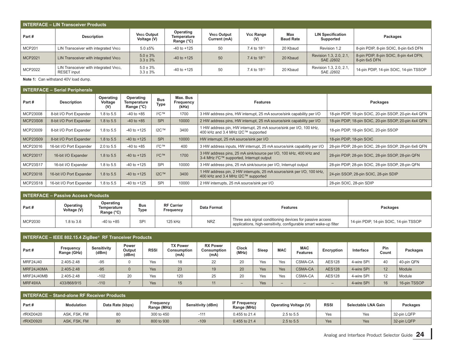| <b>INTERFACE - LIN Transceiver Products</b> |                                                             |                                   |                                        |                                    |                          |                         |                                             |                                                         |  |  |
|---------------------------------------------|-------------------------------------------------------------|-----------------------------------|----------------------------------------|------------------------------------|--------------------------|-------------------------|---------------------------------------------|---------------------------------------------------------|--|--|
| Part#                                       | <b>Description</b>                                          | <b>VREG Output</b><br>Voltage (V) | Operating<br>Temperature<br>Range (°C) | <b>VREG Output</b><br>Current (mA) | <b>Vcc Range</b><br>(V)  | Max<br><b>Baud Rate</b> | <b>LIN Specification</b><br>Supported       | Packages                                                |  |  |
| <b>MCP201</b>                               | LIN Transceiver with integrated VREG                        | $5.0 \pm 5\%$                     | $-40$ to $+125$                        | 50                                 | 7.4 to 18 <sup>(1)</sup> | 20 Kbaud                | Revision 1.2                                | 8-pin PDIP, 8-pin SOIC, 8-pin 6x5 DFN                   |  |  |
| MCP2021                                     | LIN Transceiver with integrated VREG                        | $5.0 \pm 3\%$<br>$3.3 \pm 3\%$    | $-40$ to $+125$                        | 50                                 | 7.4 to $18^{(1)}$        | 20 Kbaud                | Revision 1.3, 2.0, 2.1,<br><b>SAE J2602</b> | 8-pin PDIP, 8-pin SOIC, 8-pin 4x4 DFN,<br>8-pin 6x5 DFN |  |  |
| MCP2022                                     | LIN Transceiver with integrated VREG,<br><b>RESET</b> input | $5.0 \pm 3\%$<br>$3.3 \pm 3\%$    | $-40$ to $+125$                        | 50                                 | 7.4 to $18^{(1)}$        | 20 Kbaud                | Revision 1.3, 2.0, 2.1,<br><b>SAE J2602</b> | 14-pin PDIP, 14-pin SOIC, 14-pin TSSOP                  |  |  |

**Note 1:** Can withstand 40V load dump.

|                 | <b>INTERFACE - Serial Peripherals</b> |                             |                                        |                    |                                |                                                                                                                             |                                                       |  |  |  |  |
|-----------------|---------------------------------------|-----------------------------|----------------------------------------|--------------------|--------------------------------|-----------------------------------------------------------------------------------------------------------------------------|-------------------------------------------------------|--|--|--|--|
| Part#           | <b>Description</b>                    | Operating<br>Voltage<br>(V) | Operating<br>Temperature<br>Range (°C) | <b>Bus</b><br>Type | Max. Bus<br>Frequency<br>(kHz) | <b>Features</b>                                                                                                             | Packages                                              |  |  |  |  |
| MCP23008        | 8-bit I/O Port Expander               | 1.8 to 5.5                  | $-40$ to $+85$                         | $12C$ TM           | 1700                           | 3 HW address pins, HW interrupt, 25 mA source/sink capability per I/O                                                       | 18-pin PDIP, 18-pin SOIC, 20-pin SSOP, 20-pin 4x4 QFN |  |  |  |  |
| <b>MCP23S08</b> | 8-bit I/O Port Expander               | 1.8 to 5.5                  | $-40$ to $+85$                         | <b>SPI</b>         | 10000                          | 2 HW address pins, HW interrupt, 25 mA source/sink capability per I/O                                                       | 18-pin PDIP, 18-pin SOIC, 20-pin SSOP, 20-pin 4x4 QFN |  |  |  |  |
| MCP23009        | 8-bit I/O Port Expander               | 1.8 to 5.5                  | $-40$ to $+125$                        | I2C™               | 3400                           | 1 HW address pin, HW interrupt, 25 mA source/sink per I/O, 100 kHz,<br>400 kHz and 3.4 MHz I2C™ supported                   | 18-pin PDIP, 18-pin SOIC, 20-pin SSOP                 |  |  |  |  |
| <b>MCP23S09</b> | 8-bit I/O Port Expander               | 1.8 to 5.5                  | $-40$ to $+125$                        | <b>SPI</b>         | 10000                          | HW interrupt, 25 mA source/sink per I/O                                                                                     | 18-pin PDIP, 18-pin SOIC                              |  |  |  |  |
| MCP23016        | 16-bit I/O Port Expander              | 2.0 to 5.5                  | $-40$ to $+85$                         | $12^{\circ}C$ TM   | 400                            | 3 HW address inputs, HW interrupt, 25 mA source/sink capability per I/O                                                     | 28-pin PDIP, 28-pin SOIC, 28-pin SSOP, 28-pin 6x6 QFN |  |  |  |  |
| MCP23017        | 16-bit I/O Expander                   | 1.8 to 5.5                  | $-40$ to $+125$                        | $12C$ TM           | 1700                           | 3 HW address pins, 25 mA sink/source per I/O, 100 kHz, 400 kHz and<br>3-4 MHz I <sup>2</sup> C™ supported, Interrupt output | 28-pin PDIP, 28-pin SOIC, 28-pin SSOP, 28-pin QFN     |  |  |  |  |
| <b>MCP23S17</b> | 16-bit I/O Expander                   | 1.8 to 5.5                  | $-40$ to $+125$                        | SPI                | 10000                          | 3 HW address pins, 25 mA sink/source per I/O, Interrupt output                                                              | 28-pin PDIP, 28-pin SOIC, 28-pin SSOP, 28-pin QFN     |  |  |  |  |
| MCP23018        | 16-bit I/O Port Expander              | 1.8 to 5.5                  | $-40$ to $+125$                        | <b>I2C™</b>        | 3400                           | 1 HW address pin, 2 HW interrupts, 25 mA source/sink per I/O, 100 kHz,<br>400 kHz and 3.4 MHz I2C™ supported                | 24-pin SSOP, 28-pin SOIC, 28-pin SDIP                 |  |  |  |  |
| MCP23S18        | 16-bit I/O Port Expander              | 1.8 to 5.5                  | $-40$ to $+125$                        | <b>SPI</b>         | 10000                          | 2 HW interrupts, 25 mA source/sink per I/O                                                                                  | 28-pin SOIC, 28-pin SDIP                              |  |  |  |  |

|         | <b>INTERFACE - Passive Access Products</b> |                                        |                    |                                |             |                                                                                                                                |                                        |  |  |  |
|---------|--------------------------------------------|----------------------------------------|--------------------|--------------------------------|-------------|--------------------------------------------------------------------------------------------------------------------------------|----------------------------------------|--|--|--|
| Part#   | Operating<br>Voltage (V)                   | Operating<br>Temperature<br>Range (°C) | <b>Bus</b><br>Type | <b>RF Carrier</b><br>Frequency | Data Format | <b>Features</b>                                                                                                                | Packages                               |  |  |  |
| MCP2030 | 1.8 to 3.6                                 | $-40$ to $+85$                         | SPI                | 125 kHz                        | <b>NRZ</b>  | Three axis signal conditioning devices for passive access<br>applications, high-sensitivity, configurable smart wake-up filter | 14-pin PDIP, 14-pin SOIC, 14-pin TSSOP |  |  |  |

| INTERFACE - IEEE 802.15.4 ZigBee <sup>®</sup> RF Tranceiver Products |                          |                      |                          |             |                                        |                                        |                          |       |                          |                               |                          |            |              |              |
|----------------------------------------------------------------------|--------------------------|----------------------|--------------------------|-------------|----------------------------------------|----------------------------------------|--------------------------|-------|--------------------------|-------------------------------|--------------------------|------------|--------------|--------------|
| Part#                                                                | Frequency<br>Range (GHz) | Sensitivity<br>(dBm) | Power<br>Output<br>(dBm) | <b>RSSI</b> | <b>TX Power</b><br>Consumption<br>(mA) | <b>RX Power</b><br>Consumption<br>(mA) | <b>Clock</b><br>(MHz)    | Sleep | <b>MAC</b>               | <b>MAC</b><br><b>Features</b> | Encryption               | Interface  | Pin<br>Count | Packages     |
| MRF24J40                                                             | 2.405-2.48               | $-95$                |                          | Yes         | 18                                     | 22                                     | 20                       | Yes   | Yes                      | CSMA-CA                       | <b>AES128</b>            | 4-wire SPI | 40           | 40-pin QFN   |
| MRF24J40MA                                                           | 2.405-2.48               | $-95$                |                          | Yes         | 23                                     | 19                                     | 20                       | Yes   | Yes                      | CSMA-CA                       | <b>AES128</b>            | 4-wire SPI | 12           | Module       |
| MRF24J40MB                                                           | 2.405-2.48               | $-102$               | 20                       | Yes         | 120                                    | 25                                     | 20                       | Yes   | Yes                      | CSMA-CA                       | <b>AES128</b>            | 4-wire SPI | 12           | Module       |
| MRF49XA                                                              | 433/868/915              | $-110$               |                          | Yes         | 15                                     | 11                                     | $\overline{\phantom{0}}$ | Yes   | $\overline{\phantom{0}}$ | $\overline{\phantom{0}}$      | $\overline{\phantom{0}}$ | 4-wire SPI | 16           | 16-pin TSSOP |

| I INTERFACE - Stand-alone RF Receiver Products |                   |                  |                          |                   |                                    |                              |             |                     |             |  |
|------------------------------------------------|-------------------|------------------|--------------------------|-------------------|------------------------------------|------------------------------|-------------|---------------------|-------------|--|
| Part#                                          | <b>Modulation</b> | Data Rate (kbps) | Frequency<br>Range (MHz) | Sensitivity (dBm) | <b>IF Frequency</b><br>Range (MHz) | <b>Operating Voltage (V)</b> | <b>RSSI</b> | Selectable LNA Gain | Packages    |  |
| rfRXD0420                                      | ASK. FSK. FM      | 80               | 300 to 450               | $-111$            | 0.455 to 21.4                      | 2.5 to 5.5                   | Yes         | Yes                 | 32-pin LQFP |  |
| rfRXD0920                                      | ASK, FSK, FM      | 80               | 800 to 930               | $-109$            | 0.455 to 21.4                      | 2.5 to 5.5                   | Yes         | Yes                 | 32-pin LQFP |  |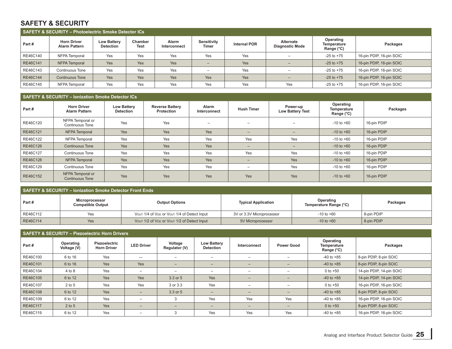## **SAFETY & SECURITY**

| SAFETY & SECURITY - Photoelectric Smoke Detector ICs |                                            |                                        |                        |                       |                          |                     |                                     |                                        |                          |  |
|------------------------------------------------------|--------------------------------------------|----------------------------------------|------------------------|-----------------------|--------------------------|---------------------|-------------------------------------|----------------------------------------|--------------------------|--|
| Part#                                                | <b>Horn Driver</b><br><b>Alarm Pattern</b> | <b>Low Battery</b><br><b>Detection</b> | Chamber<br><b>Test</b> | Alarm<br>Interconnect | Sensitivity<br>Timer     | <b>Internal POR</b> | Alternate<br><b>Diagnostic Mode</b> | Operating<br>Temperature<br>Range (°C) | Packages                 |  |
| RE46C140                                             | NFPA Temporal                              | Yes                                    | Yes                    | Yes                   | Yes                      | Yes                 |                                     | $-25$ to $+75$                         | 16-pin PDIP, 16-pin SOIC |  |
| RE46C141                                             | NFPA Temporal                              | Yes                                    | Yes                    | Yes                   | $\overline{\phantom{0}}$ | Yes                 |                                     | $-25$ to $+75$                         | 16-pin PDIP, 16-pin SOIC |  |
| RE46C143                                             | <b>Continuous Tone</b>                     | Yes                                    | Yes                    | Yes                   | $\overline{\phantom{0}}$ | Yes                 | -                                   | $-25$ to $+75$                         | 16-pin PDIP, 16-pin SOIC |  |
| RE46C144                                             | <b>Continuous Tone</b>                     | Yes                                    | Yes                    | Yes                   | Yes                      | Yes                 | $\overline{\phantom{0}}$            | $-25$ to $+75$                         | 16-pin PDIP, 16-pin SOIC |  |
| RE46C145                                             | NFPA Temporal                              | Yes                                    | Yes                    | Yes                   | Yes                      | Yes                 | Yes                                 | $-25$ to $+75$                         | 16-pin PDIP, 16-pin SOIC |  |

#### **SAFETY & SECURITY – Ionization Smoke Detector ICs**

| Part#    | <b>Horn Driver</b><br><b>Alarm Pattern</b> | <b>Low Battery</b><br><b>Detection</b> | <b>Reverse Battery</b><br><b>Protection</b> | <b>Alarm</b><br>Interconnect | <b>Hush Timer</b>        | Power-up<br><b>Low Battery Test</b> | Operating<br>Temperature<br>Range (°C) | Packages    |
|----------|--------------------------------------------|----------------------------------------|---------------------------------------------|------------------------------|--------------------------|-------------------------------------|----------------------------------------|-------------|
| RE46C120 | NFPA Temporal or<br><b>Continuous Tone</b> | Yes                                    | Yes                                         | $\overline{\phantom{0}}$     | $\overline{\phantom{m}}$ | $-$                                 | $-10$ to $+60$                         | 16-pin PDIP |
| RE46C121 | NFPA Temporal                              | Yes                                    | Yes                                         | Yes                          | $-$                      | $\overline{\phantom{a}}$            | $-10$ to $+60$                         | 16-pin PDIP |
| RE46C122 | NFPA Temporal                              | Yes                                    | Yes                                         | Yes                          | Yes                      | Yes                                 | $-10$ to $+60$                         | 16-pin PDIP |
| RE46C126 | <b>Continuous Tone</b>                     | Yes                                    | Yes                                         | Yes                          | $-$                      | $-$                                 | $-10$ to $+60$                         | 16-pin PDIP |
| RE46C127 | <b>Continuous Tone</b>                     | Yes                                    | Yes                                         | Yes                          | Yes                      | Yes                                 | $-10$ to $+60$                         | 16-pin PDIP |
| RE46C128 | NFPA Temporal                              | Yes                                    | Yes                                         | Yes                          | $-$                      | Yes                                 | $-10$ to $+60$                         | 16-pin PDIP |
| RE46C129 | <b>Continuous Tone</b>                     | Yes                                    | Yes                                         | Yes                          | $\overline{\phantom{0}}$ | Yes                                 | $-10$ to $+60$                         | 16-pin PDIP |
| RE46C152 | NFPA Temporal or<br><b>Continuous Tone</b> | Yes                                    | Yes                                         | Yes                          | Yes                      | Yes                                 | $-10$ to $+60$                         | 16-pin PDIP |

## **SAFETY & SECURITY – Ionization Smoke Detector Front Ends Part # Microprocessor Compatible Output Output Options Typical Application Operating Temperature Range (°C) Packages** RE46C112 Yes Vour 1/4 of VDD or Vour 1/4 of Detect Input 3V or 3.3V Microprocessor 3.1 + 10 to +60 8-pin PDIP RE46C114 | Yes | Vout 1/2 of Vout 1/2 of Vout 1/2 of Detect Input | 5V Microprocessor | -10 to +60 8-pin PDIP

| <b>SAFETY &amp; SECURITY - Piezoelectric Horn Drivers</b> |                          |                                     |                          |                          |                                        |                          |                          |                                        |                          |  |  |
|-----------------------------------------------------------|--------------------------|-------------------------------------|--------------------------|--------------------------|----------------------------------------|--------------------------|--------------------------|----------------------------------------|--------------------------|--|--|
| Part#                                                     | Operating<br>Voltage (V) | Piezoelectric<br><b>Horn Driver</b> | <b>LED Driver</b>        | Voltage<br>Regulator (V) | <b>Low Battery</b><br><b>Detection</b> | Interconnect             | <b>Power Good</b>        | Operating<br>Temperature<br>Range (°C) | Packages                 |  |  |
| RE46C100                                                  | 6 to 16                  | Yes                                 |                          | -                        |                                        | -                        | -                        | $-40$ to $+85$                         | 8-pin PDIP, 8-pin SOIC   |  |  |
| RE46C101                                                  | 6 to 16                  | <b>Yes</b>                          | Yes                      | $-$                      | $\overline{\phantom{0}}$               | $\overline{\phantom{0}}$ | $-$                      | $-40$ to $+85$                         | 8-pin PDIP, 8-pin SOIC   |  |  |
| RE46C104                                                  | 4 to 8                   | Yes                                 | $\overline{\phantom{0}}$ | $\overline{\phantom{0}}$ | $\overline{\phantom{0}}$               | $\overline{\phantom{0}}$ | $\overline{\phantom{0}}$ | $0$ to $+50$                           | 14-pin PDIP, 14-pin SOIC |  |  |
| RE46C105                                                  | 6 to 12                  | Yes                                 | Yes                      | 3.3 or 5                 | Yes                                    | $\overline{\phantom{0}}$ | $-$                      | $-40$ to $+85$                         | 14-pin PDIP, 14-pin SOIC |  |  |
| RE46C107                                                  | $2$ to 5                 | Yes                                 | Yes                      | 3 or 3.3                 | Yes                                    | $\overline{\phantom{m}}$ | $\overline{\phantom{0}}$ | $0$ to $+50$                           | 16-pin PDIP, 16-pin SOIC |  |  |
| RE46C108                                                  | 6 to 12                  | <b>Yes</b>                          | $-$                      | 3.3 or 5                 | $\overline{\phantom{0}}$               | $\qquad \qquad -$        | $-$                      | $-40$ to $+85$                         | 8-pin PDIP, 8-pin SOIC   |  |  |
| RE46C109                                                  | 6 to 12                  | Yes                                 | $\overline{\phantom{0}}$ | 3                        | Yes                                    | Yes                      | Yes                      | $-40$ to $+85$                         | 16-pin PDIP, 16-pin SOIC |  |  |
| RE46C117                                                  | $2$ to 5                 | Yes                                 | $\overline{\phantom{0}}$ | $-$                      | $\overline{\phantom{0}}$               | $\qquad \qquad -$        | $\qquad \qquad -$        | $0$ to $+50$                           | 8-pin PDIP, 8-pin SOIC   |  |  |
| RE46C119                                                  | 6 to 12                  | Yes                                 | $\overline{\phantom{0}}$ | 3                        | Yes                                    | Yes                      | Yes                      | $-40$ to $+85$                         | 16-pin PDIP, 16-pin SOIC |  |  |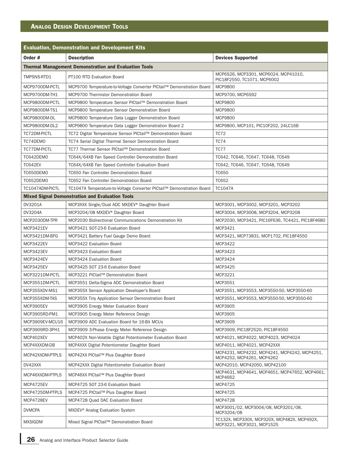# **ANALOG DESIGN DEVELOPMENT TOOLS**

|                     | <b>Evaluation, Demonstration and Development Kits</b>                 |                                                                           |  |  |  |  |  |  |  |  |
|---------------------|-----------------------------------------------------------------------|---------------------------------------------------------------------------|--|--|--|--|--|--|--|--|
| Order #             | <b>Description</b>                                                    | <b>Devices Supported</b>                                                  |  |  |  |  |  |  |  |  |
|                     | <b>Thermal Management Demonstration and Evaluation Tools</b>          |                                                                           |  |  |  |  |  |  |  |  |
| TMPSNS-RTD1         | PT100 RTD Evaluation Board                                            | MCP6S26, MCP3301, MCP6024, MCP41010,<br>PIC18F2550, TC1071, MCP6002       |  |  |  |  |  |  |  |  |
| MCP9700DM-PCTL      | MCP9700 Temperature-to-Voltage Converter PICtail™ Demonstration Board | <b>MCP9800</b>                                                            |  |  |  |  |  |  |  |  |
| MCP9700DM-TH1       | MCP9700 Thermistor Demonstration Board                                | MCP9700, MCP6S92                                                          |  |  |  |  |  |  |  |  |
| MCP9800DM-PCTL      | MCP9800 Temperature Sensor PlCtail™ Demonstration Board               | MCP9800                                                                   |  |  |  |  |  |  |  |  |
| MCP9800DM-TS1       | MCP9800 Temperature Sensor Demonstration Board                        | MCP9800                                                                   |  |  |  |  |  |  |  |  |
| MCP9800DM-DL        | MCP9800 Temperature Data Logger Demonstration Board                   | MCP9800                                                                   |  |  |  |  |  |  |  |  |
| MCP9800DM-DL2       | MCP9800 Temperature Data Logger Demonstration Board 2                 | MCP9800, MCP101, PIC10F202, 24LC16B                                       |  |  |  |  |  |  |  |  |
| TC72DM-PICTL        | TC72 Digital Temperature Sensor PlCtail™ Demonstration Board          | <b>TC72</b>                                                               |  |  |  |  |  |  |  |  |
| TC74DEMO            | TC74 Serial Digital Thermal Sensor Demonstration Board                | TC74                                                                      |  |  |  |  |  |  |  |  |
| <b>TC77DM-PICTL</b> | TC77 Thermal Sensor PlCtail™ Demonstration Board                      | TC77                                                                      |  |  |  |  |  |  |  |  |
| TC642DEMO           | TC64X/64XB Fan Speed Controller Demonstration Board                   | TC642, TC646, TC647, TC648, TC649                                         |  |  |  |  |  |  |  |  |
| <b>TC642EV</b>      | TC64X/64XB Fan Speed Controller Evaluation Board                      | TC642, TC646, TC647, TC648, TC649                                         |  |  |  |  |  |  |  |  |
| TC650DEMO           | TC650 Fan Controller Demonstration Board                              | <b>TC650</b>                                                              |  |  |  |  |  |  |  |  |
| TC652DEMO           | <b>TC652 Fan Controller Demonstration Board</b>                       | <b>TC652</b>                                                              |  |  |  |  |  |  |  |  |
| TC1047ADM-PICTL     | TC1047A Temperature-to-Voltage Converter PICtail™ Demonstration Board | TC1047A                                                                   |  |  |  |  |  |  |  |  |
|                     | <b>Mixed Signal Demonstration and Evaluation Tools</b>                |                                                                           |  |  |  |  |  |  |  |  |
| <b>DV3201A</b>      | MCP3XXX Single/Dual ADC MXDEV® Daughter Board                         | MCP3001, MCP3002, MCP3201, MCP3202                                        |  |  |  |  |  |  |  |  |
| <b>DV3204A</b>      | MCP3204/08 MXDEV <sup>®</sup> Daughter Board                          | MCP3004, MCP3008, MCP3204, MCP3208                                        |  |  |  |  |  |  |  |  |
| MCP2030DM-TPR       | MCP2030 Bidirectional Communications Demonstration Kit                | MCP2030, MCP3421, PIC16F636, TC4421, PIC18F4680                           |  |  |  |  |  |  |  |  |
| MCP3421EV           | MCP3421 SOT-23-6 Evaluation Board                                     | MCP3421                                                                   |  |  |  |  |  |  |  |  |
| MCP3421DM-BFG       | MCP3421 Battery Fuel Gauge Demo Board                                 | MCP3421, MCP73831, MCP1702, PIC18F4550                                    |  |  |  |  |  |  |  |  |
| <b>MCP3422EV</b>    | MCP3422 Evaluation Board                                              | MCP3422                                                                   |  |  |  |  |  |  |  |  |
| MCP3423EV           | MCP3423 Evaluation Board                                              | MCP3423                                                                   |  |  |  |  |  |  |  |  |
| MCP3424EV           | MCP3424 Evaluation Board                                              | MCP3424                                                                   |  |  |  |  |  |  |  |  |
| <b>MCP3425EV</b>    | MCP3425 SOT 23-6 Evaluation Board                                     | MCP3425                                                                   |  |  |  |  |  |  |  |  |
| MCP3221DM-PCTL      | MCP3221 PlCtail™ Demonstration Board                                  | MCP3221                                                                   |  |  |  |  |  |  |  |  |
| MCP3551DM-PCTL      | MCP3551 Delta-Sigma ADC Demonstration Board                           | MCP3551                                                                   |  |  |  |  |  |  |  |  |
| MCP355XDV-MS1       | MCP355X Sensor Application Developer's Board                          | MCP3551, MCP3553, MCP3550-50, MCP3550-60                                  |  |  |  |  |  |  |  |  |
| MCP355XDM-TAS       | MCP355X Tiny Application Sensor Demonstration Board                   | MCP3551, MCP3553, MCP3550-50, MCP3550-60                                  |  |  |  |  |  |  |  |  |
| <b>MCP3905EV</b>    | MCP3905 Energy Meter Evaluation Board                                 | MCP3905                                                                   |  |  |  |  |  |  |  |  |
| MCP3905RD-PM1       | MCP3905 Energy Meter Reference Design                                 | MCP3905                                                                   |  |  |  |  |  |  |  |  |
| MCP3909EV-MCU16     | MCP3909 ADC Evaluation Board for 16-Bit MCUs                          | MCP3909                                                                   |  |  |  |  |  |  |  |  |
| MCP3909RD-3PH1      | MCP3909 3-Phase Energy Meter Reference Design                         | MCP3909, PIC18F2520, PIC18F4550                                           |  |  |  |  |  |  |  |  |
| MCP402XEV           | MCP402X Non-Volatile Digital Potentiometer Evaluation Board           | MCP4021, MCP4022, MCP4023, MCP4024                                        |  |  |  |  |  |  |  |  |
| MCP4XXXDM-DB        | MCP4XXX Digital Potentiometer Daughter Board                          | MCP4011, MCP4021, MCP42XXX                                                |  |  |  |  |  |  |  |  |
| MCP42XXDM-PTPLS     | MCP42XX PICtail™ Plus Daughter Board                                  | MCP4231, MCP4232, MCP4241, MCP4242, MCP4251,<br>MCP4252, MCP4261, MCP4262 |  |  |  |  |  |  |  |  |
| DV42XXX             | MCP42XXX Digital Potentiometer Evaluation Board                       | MCP42010, MCP42050, MCP42100                                              |  |  |  |  |  |  |  |  |
| MCP46XXDM-PTPLS     | MCP46XX PlCtail™ Plus Daughter Board                                  | MCP4631, MCP4641, MCP4651, MCP47652, MCP4661,<br>MCP4662                  |  |  |  |  |  |  |  |  |
| MCP4725EV           | MCP4725 SOT 23-6 Evaluation Board                                     | MCP4725                                                                   |  |  |  |  |  |  |  |  |
| MCP4725DM-PTPLS     | MCP4725 PlCtail™ Plus Daughter Board                                  | MCP4725                                                                   |  |  |  |  |  |  |  |  |
| MCP4728EV           | MCP4728 Quad DAC Evaluation Board                                     | MCP4728                                                                   |  |  |  |  |  |  |  |  |
| <b>DVMCPA</b>       | MXDEV <sup>®</sup> Analog Evaluation System                           | MCP3001/02, MCP3004/08, MCP3201/08,<br>MCP3204/08                         |  |  |  |  |  |  |  |  |
| <b>MXSIGDM</b>      | Mixed Signal PlCtail™ Demonstration Board                             | TC132X, MCP330X, MCP320X, MCP482X, MCP492X,<br>MCP3221, MCP3021, MCP1525  |  |  |  |  |  |  |  |  |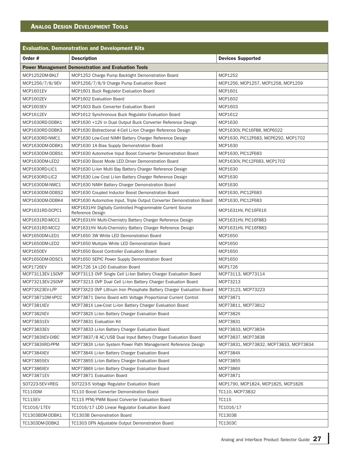# **ANALOG DESIGN DEVELOPMENT TOOLS**

| <b>Evaluation, Demonstration and Development Kits</b> |                                                                                |                                        |  |  |  |  |  |  |  |
|-------------------------------------------------------|--------------------------------------------------------------------------------|----------------------------------------|--|--|--|--|--|--|--|
| Order #                                               | <b>Description</b>                                                             | <b>Devices Supported</b>               |  |  |  |  |  |  |  |
|                                                       | <b>Power Management Demonstration and Evaluation Tools</b>                     |                                        |  |  |  |  |  |  |  |
| MCP1252DM-BKLT                                        | MCP1252 Charge Pump Backlight Demonstration Board                              | MCP1252                                |  |  |  |  |  |  |  |
| MCP1256/7/8/9EV                                       | MCP1256/7/8/9 Charge Pump Evaluation Board                                     | MCP1256, MCP1257, MCP1258, MCP1259     |  |  |  |  |  |  |  |
| <b>MCP1601EV</b>                                      | MCP1601 Buck Regulator Evaluation Board                                        | MCP1601                                |  |  |  |  |  |  |  |
| <b>MCP1602EV</b>                                      | MCP1602 Evaluation Board                                                       | MCP1602                                |  |  |  |  |  |  |  |
| <b>MCP1603EV</b>                                      | MCP1603 Buck Converter Evaluation Board                                        | MCP1603                                |  |  |  |  |  |  |  |
| MCP1612EV                                             | MCP1612 Synchronous Buck Regulator Evaluation Board                            | MCP1612                                |  |  |  |  |  |  |  |
| MCP1630RD-DDBK1                                       | MCP1630 +12V in Dual Output Buck Converter Reference Design                    | MCP1630                                |  |  |  |  |  |  |  |
| MCP1630RD-DDBK3                                       | MCP1630 Bidirectional 4-Cell Li-Ion Charger Reference Design                   | MCP1630V, PIC16F88, MCP6022            |  |  |  |  |  |  |  |
| MCP1630RD-NMC1                                        | MCP1630 Low-Cost NiMH Battery Charger Reference Design                         | MCP1630, PIC12F683, MCP6292, MCP1702   |  |  |  |  |  |  |  |
| MCP1630DM-DDBK1                                       | MCP1630 1A Bias Supply Demonstration Board                                     | MCP1630                                |  |  |  |  |  |  |  |
| MCP1630DM-DDBS1                                       | MCP1630 Automotive Input Boost Converter Demonstration Board                   | MCP1630, PIC12F683                     |  |  |  |  |  |  |  |
| MCP1630DM-LED2                                        | MCP1630 Boost Mode LED Driver Demonstration Board                              | MCP1630V, PIC12F683, MCP1702           |  |  |  |  |  |  |  |
| MCP1630RD-LIC1                                        | MCP1630 Li-Ion Multi Bay Battery Charger Reference Design                      | MCP1630                                |  |  |  |  |  |  |  |
| MCP1630RD-LIC2                                        | MCP1630 Low Cost Li-Ion Battery Charger Reference Design                       | MCP1630                                |  |  |  |  |  |  |  |
| MCP1630DM-NMC1                                        | MCP1630 NiMH Battery Charger Demonstration Board                               | MCP1630                                |  |  |  |  |  |  |  |
| MCP1630DM-DDBS2                                       | MCP1630 Coupled Inductor Boost Demonstration Board                             | MCP1630, PIC12F683                     |  |  |  |  |  |  |  |
| MCP1630DM-DDBK4                                       | MCP1630 Automotive Input, Triple Output Converter Demonstration Board          | MCP1630, PIC12F683                     |  |  |  |  |  |  |  |
| MCP1631RD-DCPC1                                       | MCP1631HV Digitally Controlled Programmable Current Source<br>Reference Design | MCP1631HV, PIC16F616                   |  |  |  |  |  |  |  |
| MCP1631RD-MCC1                                        | MCP1631HV Multi-Chemistry Battery Charger Reference Design                     | MCP1631HV, PIC16F883                   |  |  |  |  |  |  |  |
| MCP1631RD-MCC2                                        | MCP1631HV Multi-Chemistry Battery Charger Reference Design                     | MCP1631HV, PIC16F883                   |  |  |  |  |  |  |  |
| MCP1650DM-LED1                                        | MCP1650 3W White LED Demonstration Board                                       | MCP1650                                |  |  |  |  |  |  |  |
| MCP1650DM-LED2                                        | MCP1650 Multiple White LED Demonstration Board                                 | MCP1650                                |  |  |  |  |  |  |  |
| <b>MCP1650EV</b>                                      | MCP1650 Boost Controller Evaluation Board                                      | MCP1650                                |  |  |  |  |  |  |  |
| MCP1650DM-DDSC1                                       | MCP1650 SEPIC Power Supply Demonstration Board                                 | MCP1650                                |  |  |  |  |  |  |  |
| <b>MCP1726EV</b>                                      | MCP1726 1A LDO Evaluation Board                                                | MCP1726                                |  |  |  |  |  |  |  |
| MCP73113EV-1SOVP                                      | MCP73113 OVP Single Cell Li-Ion Battery Charger Evaluation Board               | MCP73113, MCP73114                     |  |  |  |  |  |  |  |
| MCP73213EV-2SOVP                                      | MCP73213 OVP Dual Cell Li-Ion Battery Charger Evaluation Board                 | MCP73213                               |  |  |  |  |  |  |  |
| MCP73X23EV-LFP                                        | MCP73X23 OVP Lithium Iron Phosphate Battery Charger Evaluation Board           | MCP73123, MCP73223                     |  |  |  |  |  |  |  |
| MCP73871DM-VPCC                                       | MCP73871 Demo Board with Voltage Proportional Current Control                  | MCP73871                               |  |  |  |  |  |  |  |
| MCP7381XEV                                            | MCP7381X Low-Cost Li-Ion Battery Charger Evaluation Board                      | MCP73811, MCP73812                     |  |  |  |  |  |  |  |
| MCP7382XEV                                            | MCP7382X Li-Ion Battery Charger Evaluation Board                               | <b>MCP7382X</b>                        |  |  |  |  |  |  |  |
| MCP73831EV                                            | MCP73831 Evaluation Kit                                                        | MCP73831                               |  |  |  |  |  |  |  |
| MCP73833EV                                            | MCP73833 Li-Ion Battery Charger Evaluation Board                               | MCP73833, MCP73834                     |  |  |  |  |  |  |  |
| MCP7383XEV-DIBC                                       | MCP73837/8 AC/USB Dual Input Battery Charger Evaluation Board                  | MCP73837, MCP73838                     |  |  |  |  |  |  |  |
| MCP7383XRD-PPM                                        | MCP7383X Li-Ion System Power Path Management Reference Design                  | MCP73831, MCP73832, MCP73833, MCP73834 |  |  |  |  |  |  |  |
| MCP7384XEV                                            | MCP7384X Li-Ion Battery Charger Evaluation Board                               | <b>MCP7384X</b>                        |  |  |  |  |  |  |  |
| MCP73855EV                                            | MCP73855 Li-Ion Battery Charger Evaluation Board                               | MCP73855                               |  |  |  |  |  |  |  |
| MCP7386XEV                                            | MCP7386X Li-Ion Battery Charger Evaluation Board                               | <b>MCP7386X</b>                        |  |  |  |  |  |  |  |
| MCP73871EV                                            | MCP73871 Evaluation Board                                                      | MCP73871                               |  |  |  |  |  |  |  |
| SOT223-5EV-VREG                                       | SOT223-5 Voltage Regulator Evaluation Board                                    | MCP1790, MCP1824, MCP1825, MCP1826     |  |  |  |  |  |  |  |
| <b>TC110DM</b>                                        | TC110 Boost Converter Demonstration Board                                      | TC110, MCP73832                        |  |  |  |  |  |  |  |
| <b>TC115EV</b>                                        | TC115 PFM/PWM Boost Converter Evaluation Board                                 | TC115                                  |  |  |  |  |  |  |  |
| TC1016/17EV                                           | TC1016/17 LDO Linear Regulator Evaluation Board                                | TC1016/17                              |  |  |  |  |  |  |  |
| TC1303BDM-DDBK1                                       | <b>TC1303B Demonstration Board</b>                                             | TC1303B                                |  |  |  |  |  |  |  |
| TC1303DM-DDBK2                                        | TC1303 DFN Adjustable Output Demonstration Board                               | TC1303C                                |  |  |  |  |  |  |  |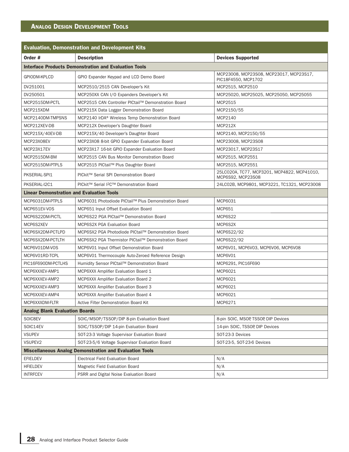## **ANALOG DESIGN DEVELOPMENT TOOLS**

| <b>Evaluation, Demonstration and Development Kits</b>          |                                                                                                           |                                                                  |  |  |  |  |  |
|----------------------------------------------------------------|-----------------------------------------------------------------------------------------------------------|------------------------------------------------------------------|--|--|--|--|--|
| Order $#$                                                      | <b>Description</b>                                                                                        | <b>Devices Supported</b>                                         |  |  |  |  |  |
| <b>Interface Products Demonstration and Evaluation Tools</b>   |                                                                                                           |                                                                  |  |  |  |  |  |
| GPIODM-KPLCD                                                   | MCP23008, MCP23S08, MCP23017, MCP23S17,<br>GPIO Expander Keypad and LCD Demo Board<br>PIC18F4550. MCP1702 |                                                                  |  |  |  |  |  |
| DV251001                                                       | MCP2510/2515 CAN Developer's Kit                                                                          | MCP2515, MCP2510                                                 |  |  |  |  |  |
| DV250501                                                       | MCP250XX CAN I/O Expanders Developer's Kit                                                                | MCP25020, MCP25025, MCP25050, MCP25055                           |  |  |  |  |  |
| MCP2515DM-PCTL                                                 | MCP2515 CAN Controller PlCtail™ Demonstration Board                                                       | MCP2515                                                          |  |  |  |  |  |
| MCP215XDM                                                      | MCP215X Data Logger Demonstration Board                                                                   | MCP2150/55                                                       |  |  |  |  |  |
| MCP2140DM-TMPSNS                                               | MCP2140 IrDA <sup>®</sup> Wireless Temp Demonstration Board                                               | MCP2140                                                          |  |  |  |  |  |
| MCP212XEV-DB                                                   | MCP212X Developer's Daughter Board                                                                        | <b>MCP212X</b>                                                   |  |  |  |  |  |
| MCP215X/40EV-DB                                                | MCP215X/40 Developer's Daughter Board                                                                     | MCP2140, MCP2150/55                                              |  |  |  |  |  |
| MCP23X08EV                                                     | MCP23X08 8-bit GPIO Expander Evaluation Board                                                             | MCP23008, MCP23S08                                               |  |  |  |  |  |
| MCP23X17EV                                                     | MCP23X17 16-bit GPIO Expander Evaluation Board                                                            | MCP23017, MCP23S17                                               |  |  |  |  |  |
| MCP2515DM-BM                                                   | MCP2515 CAN Bus Monitor Demonstration Board                                                               | MCP2515, MCP2551                                                 |  |  |  |  |  |
| MCP2515DM-PTPLS                                                | MCP2515 PlCtail™ Plus Daughter Board                                                                      | MCP2515, MCP2551                                                 |  |  |  |  |  |
| PKSERIAL-SPI1                                                  | PICkit™ Serial SPI Demonstration Board                                                                    | 25LC020A, TC77, MCP3201, MCP4822, MCP41010,<br>MCP6S92, MCP23S08 |  |  |  |  |  |
| PKSERIAL-I2C1                                                  | PICkit™ Serial I <sup>2</sup> C™ Demonstration Board                                                      | 24LC02B, MCP9801, MCP3221, TC1321, MCP23008                      |  |  |  |  |  |
| <b>Linear Demonstration and Evaluation Tools</b>               |                                                                                                           |                                                                  |  |  |  |  |  |
| MCP6031DM-PTPLS                                                | MCP6031 Photodiode PlCtail™ Plus Demonstration Board                                                      | MCP6031                                                          |  |  |  |  |  |
| MCP651EV-VOS                                                   | MCP651 Input Offset Evaluation Board                                                                      | MCP651                                                           |  |  |  |  |  |
| MCP6S22DM-PICTL                                                | MCP6S22 PGA PICtail™ Demonstration Board                                                                  | MCP6S22                                                          |  |  |  |  |  |
| MCP6S2XEV                                                      | MCP6S2X PGA Evaluation Board                                                                              | MCP6S2X                                                          |  |  |  |  |  |
| MCP6SX2DM-PCTLPD                                               | MCP6SX2 PGA Photodiode PICtail™ Demonstration Board                                                       | MCP6S22/92                                                       |  |  |  |  |  |
| MCP6SX2DM-PCTLTH                                               | MCP6SX2 PGA Thermistor PICtail™ Demonstration Board                                                       | MCP6S22/92                                                       |  |  |  |  |  |
| MCP6V01DM-VOS                                                  | MCP6V01 Input Offset Demonstration Board                                                                  | MCP6V01, MCP6V03, MCP6V06, MCP6V08                               |  |  |  |  |  |
| MCP6V01RD-TCPL                                                 | MCP6V01 Thermocouple Auto-Zeroed Reference Design                                                         | MCP6V01                                                          |  |  |  |  |  |
| PIC16F690DM-PCTLHS                                             | Humidity Sensor PlCtail™ Demonstration Board                                                              | MCP6291, PIC16F690                                               |  |  |  |  |  |
| MCP6XXXEV-AMP1                                                 | MCP6XXX Amplifier Evaluation Board 1                                                                      | MCP6021                                                          |  |  |  |  |  |
| MCP6XXXEV-AMP2                                                 | MCP6XXX Amplifier Evaluation Board 2                                                                      | MCP6021                                                          |  |  |  |  |  |
| MCP6XXXEV-AMP3                                                 | MCP6XXX Amplifier Evaluation Board 3                                                                      | MCP6021                                                          |  |  |  |  |  |
| MCP6XXXEV-AMP4                                                 | MCP6XXX Amplifier Evaluation Board 4                                                                      | MCP6021                                                          |  |  |  |  |  |
| MCP6XXXDM-FLTR                                                 | Active Filter Demonstration Board Kit                                                                     | MCP6271                                                          |  |  |  |  |  |
| <b>Analog Blank Evaluation Boards</b>                          |                                                                                                           |                                                                  |  |  |  |  |  |
| SOIC8EV                                                        | SOIC/MSOP/TSSOP/DIP 8-pin Evaluation Board                                                                | 8-pin SOIC, MSOP, TSSOP, DIP Devices                             |  |  |  |  |  |
| SOIC14EV                                                       | SOIC/TSSOP/DIP 14-pin Evaluation Board                                                                    | 14-pin SOIC, TSSOP, DIP Devices                                  |  |  |  |  |  |
| <b>VSUPEV</b>                                                  | SOT-23-3 Voltage Supervisor Evaluation Board                                                              | SOT-23-3 Devices                                                 |  |  |  |  |  |
| VSUPEV2                                                        | SOT-23-5/6 Voltage Supervisor Evaluation Board                                                            | SOT-23-5, SOT-23-6 Devices                                       |  |  |  |  |  |
| <b>Miscellaneous Analog Demonstration and Evaluation Tools</b> |                                                                                                           |                                                                  |  |  |  |  |  |
| <b>EFIELDEV</b>                                                | <b>Electrical Field Evaluation Board</b>                                                                  | N/A                                                              |  |  |  |  |  |
| <b>HFIELDEV</b>                                                | Magnetic Field Evaluation Board                                                                           | N/A                                                              |  |  |  |  |  |
| <b>INTRFCEV</b>                                                | PSRR and Digital Noise Evaluation Board                                                                   | N/A                                                              |  |  |  |  |  |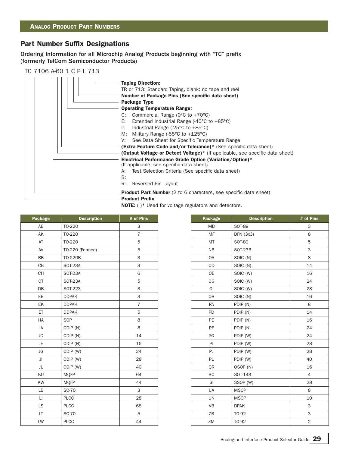## **Part Number Suffix Designations**

Ordering Information for all Microchip Analog Products beginning with "TC" prefix (formerly TelCom Semiconductor Products)

TC 7106 A-60 1 C P L 713

| <b>Taping Direction:</b><br>TR or 713: Standard Taping, blank: no tape and reel<br>Number of Package Pins (See specific data sheet)<br>Package Type<br><b>Operating Temperature Range:</b><br>Commercial Range ( $0^{\circ}$ C to +70 $^{\circ}$ C)<br>C:<br>E:<br>Extended Industrial Range $(-40^{\circ}C \text{ to } +85^{\circ}C)$<br>Industrial Range $(-25^{\circ}C \text{ to } +85^{\circ}C)$<br>Ŀ.<br>M: Military Range $(-55^{\circ}C \text{ to } +125^{\circ}C)$<br>See Data Sheet for Specific Temperature Range<br>V:<br>(Extra Feature Code and/or Tolerance)* (See specific data sheet)<br><b>(Output Voltage or Detect Voltage)</b> * (If applicable, see specific data sheet)<br>Electrical Performance Grade Option (Variation/Option)*<br>(If applicable, see specific data sheet)<br>Test Selection Criteria (See specific data sheet)<br>A:<br>B: |
|-----------------------------------------------------------------------------------------------------------------------------------------------------------------------------------------------------------------------------------------------------------------------------------------------------------------------------------------------------------------------------------------------------------------------------------------------------------------------------------------------------------------------------------------------------------------------------------------------------------------------------------------------------------------------------------------------------------------------------------------------------------------------------------------------------------------------------------------------------------------------|
| R:<br>Reversed Pin Layout                                                                                                                                                                                                                                                                                                                                                                                                                                                                                                                                                                                                                                                                                                                                                                                                                                             |
| <b>Product Part Number</b> (2 to 6 characters, see specific data sheet)<br><b>Product Prefix</b>                                                                                                                                                                                                                                                                                                                                                                                                                                                                                                                                                                                                                                                                                                                                                                      |

**NOTE:** ( )\* Used for voltage regulators and detectors.

| Package                                  | <b>Description</b> | # of Pins      | Package                     | <b>Description</b> | # of Pins |
|------------------------------------------|--------------------|----------------|-----------------------------|--------------------|-----------|
| AB                                       | T0-220             | 3              | <b>MB</b>                   | <b>SOT-89</b>      | 3         |
| AK                                       | TO-220             | $\overline{7}$ | MF                          | DFN (3x3)          | 8         |
| AT                                       | T0-220             | 5              | MT                          | SOT-89             |           |
| AV                                       | TO-220 (Formed)    | 5              | <b>NB</b>                   | SOT-23B            |           |
| <b>BB</b>                                | TO-220B            | 3              | <b>OA</b>                   | SOIC (N)           |           |
| CB                                       | <b>SOT-23A</b>     | 3              | <b>OD</b>                   | SOIC (N)           | 14        |
| $\mathsf{CH}% \left( \mathcal{M}\right)$ | <b>SOT-23A</b>     | $\,$ 6 $\,$    | OE                          | SOIC (W)           | 16        |
| <b>CT</b>                                | <b>SOT-23A</b>     | 5              | OG                          | SOIC (W)           | 24        |
| DB                                       | SOT-223            | 3              | O <sub>1</sub>              | SOIC (W)           | 28        |
| EB                                       | <b>DDPAK</b>       | 3              | <b>OR</b>                   | SOIC (N)           | 16        |
| EK                                       | <b>DDPAK</b>       | $\overline{7}$ | PA                          | PDIP (N)           |           |
| ET.                                      | <b>DDPAK</b>       | 5              | <b>PD</b>                   | PDIP (N)           | 14        |
| HA                                       | SOP                | 8              | <b>PE</b>                   | PDIP (N)           | 16        |
| JA                                       | CDIP (N)           | 8              | PF                          | PDIP (N)           | 24        |
| JD                                       | CDIP (N)           | 14             | PG                          | PDIP (W)           | 24        |
| JE.                                      | CDIP (N)           | 16             | P                           | PDIP (W)           | 28        |
| JG                                       | CDIP (W)           | 24             | PJ                          | PDIP (W)           | 28        |
| JI                                       | CDIP (W)           | 28             | PL                          | PDIP (W)           | 40        |
| JL                                       | CDIP (W)           | 40             | QR                          | QSOP (N)           | 16        |
| KU                                       | <b>MQFP</b>        | 64             | RC                          | SOT-143            |           |
| KW                                       | <b>MQFP</b>        | 44             | <b>SI</b>                   | SSOP (W)           | 28        |
| <b>LB</b>                                | <b>SC-70</b>       | 3              | <b>UA</b>                   | <b>MSOP</b>        |           |
| $\Box$                                   | <b>PLCC</b>        | 28             | <b>UN</b>                   | <b>MSOP</b>        | 10        |
| LS                                       | PLCC               | 68             | <b>VB</b>                   | <b>DPAK</b>        |           |
| LT                                       | <b>SC-70</b>       | 5              | ZB                          | TO-92              |           |
|                                          | $\mathbb{R}^n$     | $\overline{a}$ | $\rightarrow$ $\rightarrow$ | $\pm 0.00$         |           |

| ckage     | <b>Description</b> | # of Pins      | Package        | <b>Description</b> | # of Pins      |
|-----------|--------------------|----------------|----------------|--------------------|----------------|
| AB        | T0-220             | 3              | <b>MB</b>      | <b>SOT-89</b>      | 3              |
| AK        | T0-220             | $\overline{7}$ | <b>MF</b>      | $DFN$ (3x3)        | 8              |
| AT        | T0-220             | 5              | MT             | SOT-89             | 5              |
| AV        | TO-220 (Formed)    | 5              | <b>NB</b>      | <b>SOT-23B</b>     | 3              |
| ВB        | TO-220B            | 3              | <b>OA</b>      | SOIC (N)           | 8              |
| CВ        | <b>SOT-23A</b>     | 3              | <b>OD</b>      | SOIC (N)           | 14             |
| CН        | <b>SOT-23A</b>     | 6              | <b>OE</b>      | SOIC (W)           | 16             |
| <b>CT</b> | <b>SOT-23A</b>     | 5              | OG             | SOIC (W)           | 24             |
| DB        | SOT-223            | 3              | $\overline{O}$ | SOIC (W)           | 28             |
| EВ        | <b>DDPAK</b>       | 3              | <b>OR</b>      | SOIC (N)           | 16             |
| EK        | <b>DDPAK</b>       | $\overline{7}$ | PA             | PDIP (N)           | 8              |
| ET.       | <b>DDPAK</b>       | 5              | PD             | PDIP (N)           | 14             |
| HA        | SOP                | 8              | <b>PE</b>      | PDIP (N)           | 16             |
| JA        | CDIP (N)           | 8              | PF             | PDIP (N)           | 24             |
| JD        | CDIP (N)           | 14             | PG             | PDIP (W)           | 24             |
| JE        | CDIP (N)           | 16             | PI             | PDIP (W)           | 28             |
| JG        | CDIP (W)           | 24             | PJ             | PDIP (W)           | 28             |
| JI        | CDIP (W)           | 28             | PL             | PDIP (W)           | 40             |
| JL        | CDIP (W)           | 40             | QR             | QSOP (N)           | 16             |
| KU        | <b>MQFP</b>        | 64             | <b>RC</b>      | SOT-143            | $\overline{4}$ |
| KW        | <b>MOFP</b>        | 44             | SI             | SSOP (W)           | 28             |
| LB        | <b>SC-70</b>       | 3              | UA             | <b>MSOP</b>        | 8              |
| $\sqcup$  | <b>PLCC</b>        | 28             | <b>UN</b>      | <b>MSOP</b>        | 10             |
| LS.       | <b>PLCC</b>        | 68             | <b>VB</b>      | <b>DPAK</b>        | 3              |
| LT.       | <b>SC-70</b>       | 5              | ZB             | TO-92              | 3              |
| LW        | <b>PLCC</b>        | 44             | ZM             | TO-92              | $\overline{2}$ |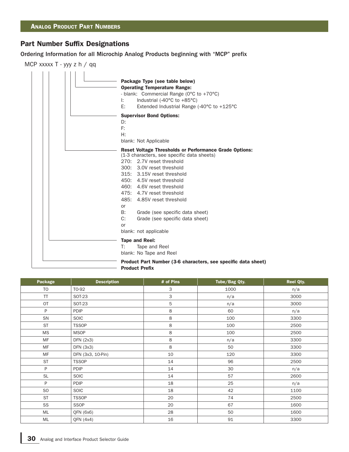#### **Part Number Suffix Designations**

Ordering Information for all Microchip Analog Products beginning with "MCP" prefix

MCP xxxxx T - yyy z h / qq



| Package        | <b>Description</b> | # of Pins | Tube/Bag Qty. | Reel Qty. |
|----------------|--------------------|-----------|---------------|-----------|
| T <sub>O</sub> | T0-92              | 3         | 1000          | n/a       |
| <b>TT</b>      | SOT-23             | 3         | n/a           | 3000      |
| OT             | SOT-23             | 5         | n/a           | 3000      |
| P              | <b>PDIP</b>        | 8         | 60            | n/a       |
| SN             | SOIC               | $\,8\,$   | 100           | 3300      |
| <b>ST</b>      | <b>TSSOP</b>       | $\,8\,$   | 100           | 2500      |
| <b>MS</b>      | <b>MSOP</b>        | $\,8\,$   | 100           | 2500      |
| <b>MF</b>      | DFN (2x3)          | $\,8\,$   | n/a           | 3300      |
| MF             | DFN (3x3)          | $\,8\,$   | 50            | 3300      |
| MF             | DFN (3x3, 10-Pin)  | 10        | 120           | 3300      |
| <b>ST</b>      | <b>TSSOP</b>       | 14        | 96            | 2500      |
| P              | <b>PDIP</b>        | 14        | 30            | n/a       |
| <b>SL</b>      | <b>SOIC</b>        | 14        | 57            | 2600      |
| P              | <b>PDIP</b>        | 18        | 25            | n/a       |
| SO.            | SOIC               | 18        | 42            | 1100      |
| <b>ST</b>      | <b>TSSOP</b>       | 20        | 74            | 2500      |
| SS             | SSOP               | 20        | 67            | 1600      |
| ML             | QFN (6x6)          | 28        | 50            | 1600      |
| ML             | QFN (4x4)          | 16        | 91            | 3300      |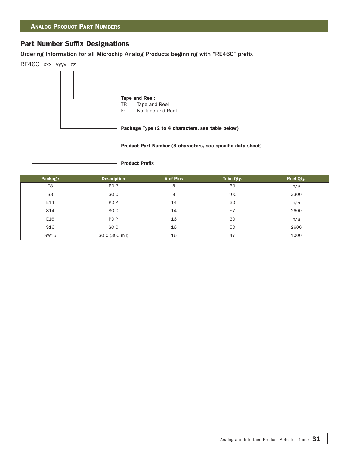## **Part Number Suffix Designations**

Ordering Information for all Microchip Analog Products beginning with "RE46C" prefix



| Package         | <b>Description</b> | # of Pins | Tube Qty. | <b>Reel Qty.</b> |
|-----------------|--------------------|-----------|-----------|------------------|
| E <sub>8</sub>  | PDIP               | 8         | 60        | n/a              |
| S <sub>8</sub>  | SOIC               | 8         | 100       | 3300             |
| E14             | <b>PDIP</b>        | 14        | 30        | n/a              |
| S <sub>14</sub> | <b>SOIC</b>        | 14        | 57        | 2600             |
| E16             | PDIP               | 16        | 30        | n/a              |
| S <sub>16</sub> | <b>SOIC</b>        | 16        | 50        | 2600             |
| SW16            | SOIC (300 mil)     | 16        | 47        | 1000             |